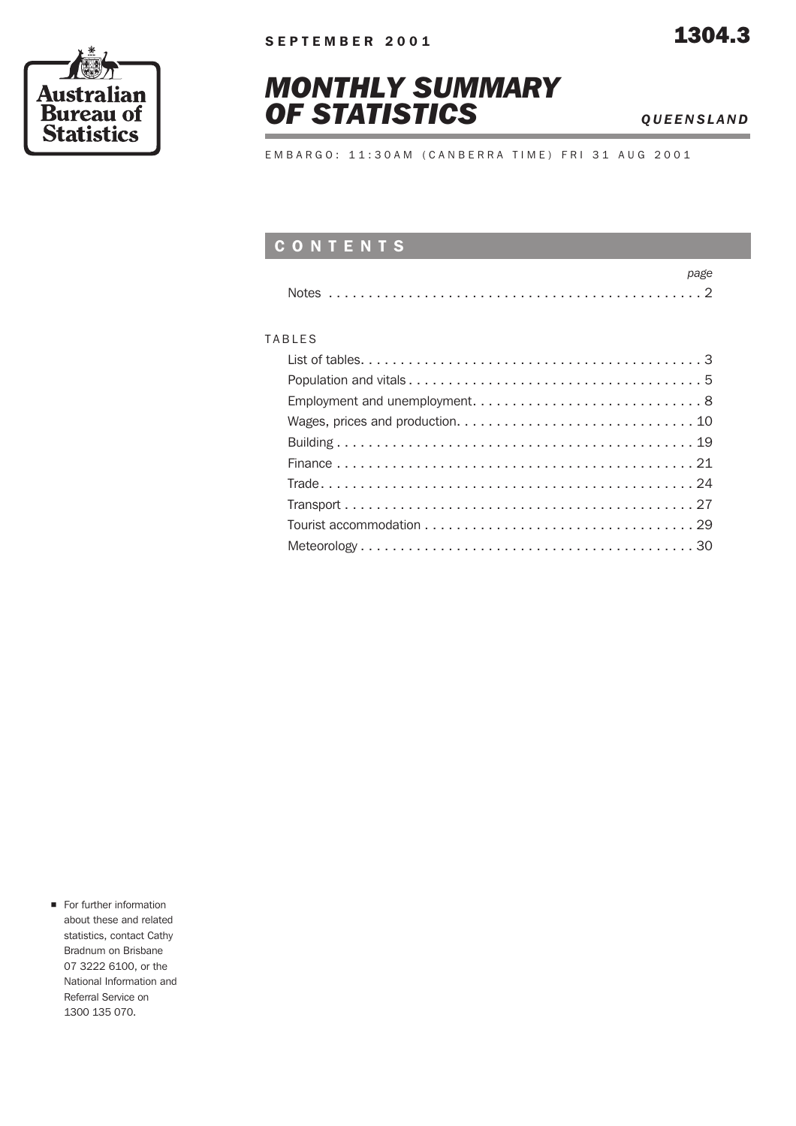



EMBARGO: 11:30AM (CANBERRA TIME) FRI 31 AUG 2001

#### CONTENTS

#### TABLES

For further information about these and related statistics, contact Cathy Bradnum on Brisbane 07 3222 6100, or the National Information and Referral Service on 1300 135 070.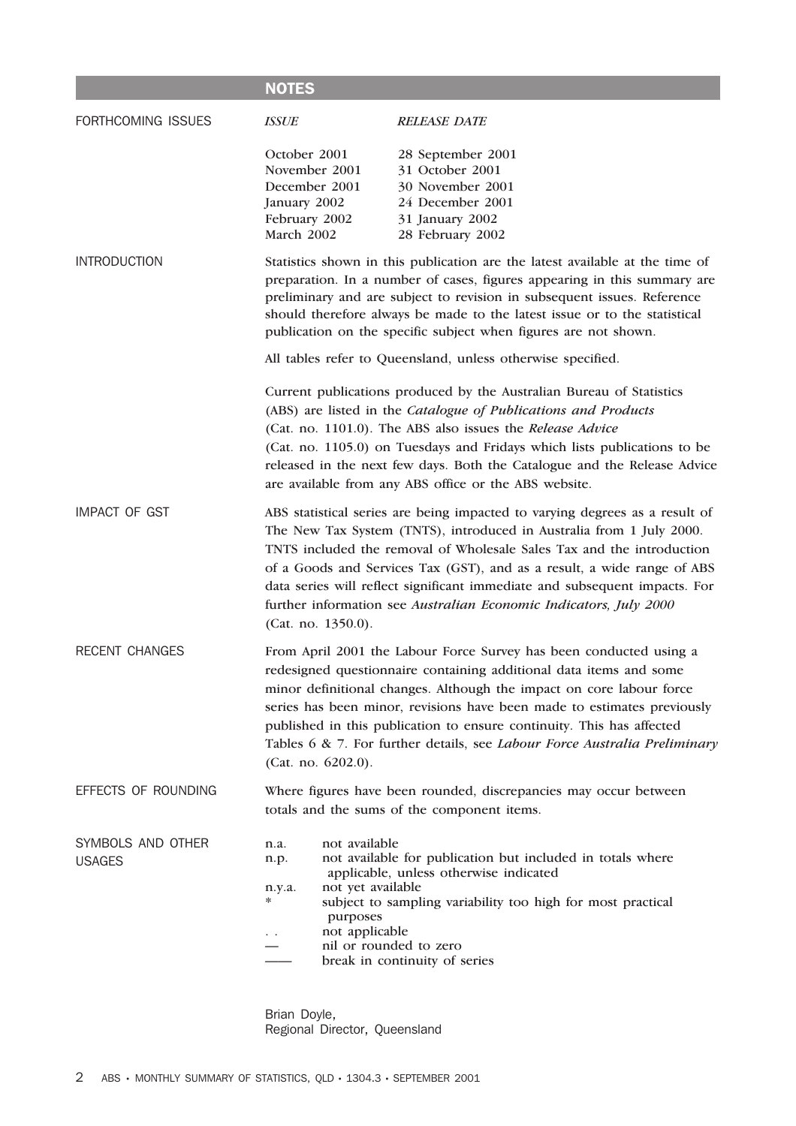#### **NOTES** FORTHCOMING ISSUES *ISSUE RELEASE DATE* October 2001 28 September 2001 November 2001 31 October 2001 December 2001 30 November 2001 January 2002 24 December 2001 February 2002 31 January 2002 March 2002 28 February 2002 INTRODUCTION Statistics shown in this publication are the latest available at the time of preparation. In a number of cases, figures appearing in this summary are preliminary and are subject to revision in subsequent issues. Reference should therefore always be made to the latest issue or to the statistical publication on the specific subject when figures are not shown. All tables refer to Queensland, unless otherwise specified. Current publications produced by the Australian Bureau of Statistics (ABS) are listed in the *Catalogue of Publications and Products* (Cat. no. 1101.0). The ABS also issues the *Release Advice* (Cat. no. 1105.0) on Tuesdays and Fridays which lists publications to be released in the next few days. Both the Catalogue and the Release Advice are available from any ABS office or the ABS website. IMPACT OF GST ABS statistical series are being impacted to varying degrees as a result of The New Tax System (TNTS), introduced in Australia from 1 July 2000. TNTS included the removal of Wholesale Sales Tax and the introduction of a Goods and Services Tax (GST), and as a result, a wide range of ABS data series will reflect significant immediate and subsequent impacts. For further information see *Australian Economic Indicators, July 2000* (Cat. no. 1350.0). RECENT CHANGES From April 2001 the Labour Force Survey has been conducted using a redesigned questionnaire containing additional data items and some minor definitional changes. Although the impact on core labour force series has been minor, revisions have been made to estimates previously published in this publication to ensure continuity. This has affected Tables 6 & 7. For further details, see *Labour Force Australia Preliminary* (Cat. no. 6202.0). EFFECTS OF ROUNDING Where figures have been rounded, discrepancies may occur between totals and the sums of the component items. SYMBOLS AND OTHER USAGES n.a. not available n.p. not available for publication but included in totals where applicable, unless otherwise indicated n.y.a. not yet available subject to sampling variability too high for most practical purposes not applicable — nil or rounded to zero break in continuity of series

Brian Doyle, Regional Director, Queensland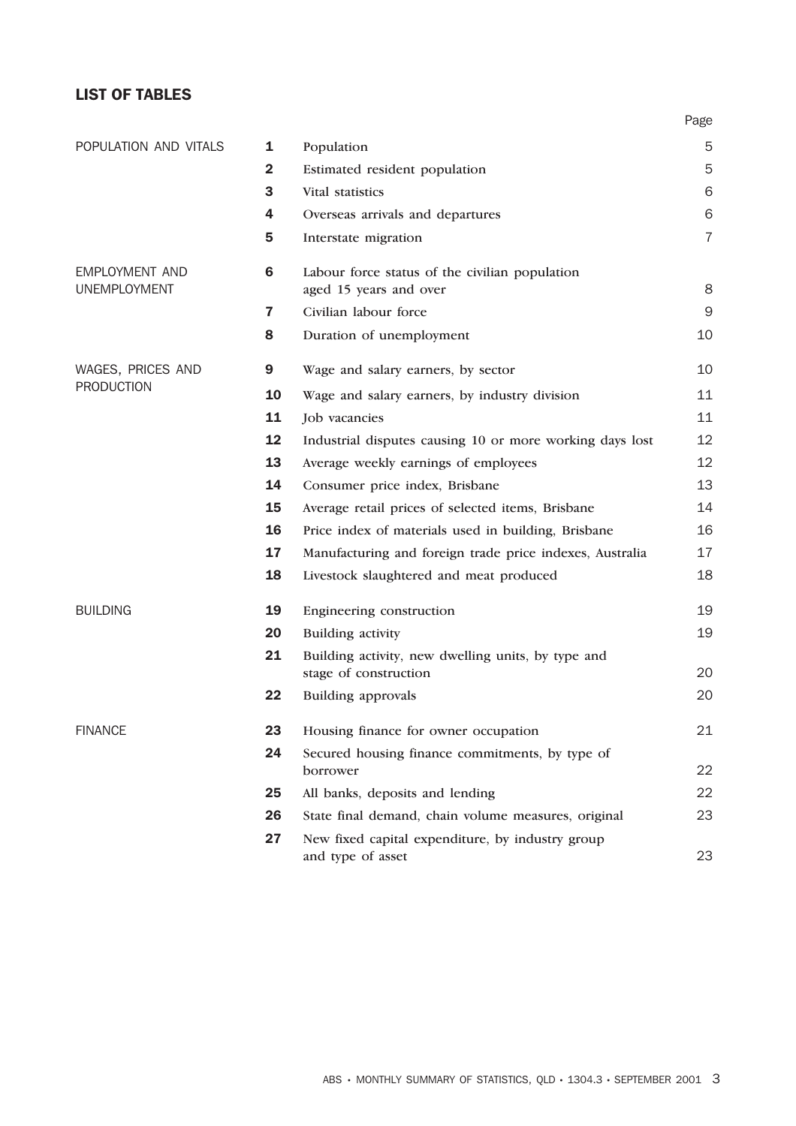#### LIST OF TABLES

|                       |              |                                                                             | Page           |
|-----------------------|--------------|-----------------------------------------------------------------------------|----------------|
| POPULATION AND VITALS | 1            | Population                                                                  | 5              |
|                       | $\mathbf{2}$ | Estimated resident population                                               | 5              |
|                       | 3            | Vital statistics                                                            | 6              |
|                       | 4            | Overseas arrivals and departures                                            | 6              |
|                       | 5            | Interstate migration                                                        | $\overline{7}$ |
| <b>EMPLOYMENT AND</b> | 6            | Labour force status of the civilian population                              |                |
| <b>UNEMPLOYMENT</b>   |              | aged 15 years and over                                                      | 8              |
|                       | $\mathbf{7}$ | Civilian labour force                                                       | $\mathsf 9$    |
|                       | 8            | Duration of unemployment                                                    | 10             |
| WAGES, PRICES AND     | 9            | Wage and salary earners, by sector                                          | 10             |
| <b>PRODUCTION</b>     | 10           | Wage and salary earners, by industry division                               | 11             |
|                       | 11           | Job vacancies                                                               | 11             |
|                       | 12           | Industrial disputes causing 10 or more working days lost                    | 12             |
|                       | 13           | Average weekly earnings of employees                                        | 12             |
|                       | 14           | Consumer price index, Brisbane                                              | 13             |
|                       | 15           | Average retail prices of selected items, Brisbane                           | 14             |
|                       | 16           | Price index of materials used in building, Brisbane                         | 16             |
|                       | 17           | Manufacturing and foreign trade price indexes, Australia                    | 17             |
|                       | 18           | Livestock slaughtered and meat produced                                     | 18             |
| <b>BUILDING</b>       | 19           | Engineering construction                                                    | 19             |
|                       | 20           | <b>Building activity</b>                                                    | 19             |
|                       | 21           | Building activity, new dwelling units, by type and<br>stage of construction | 20             |
|                       | 22           | Building approvals                                                          | 20             |
| <b>FINANCE</b>        | 23           | Housing finance for owner occupation                                        | 21             |
|                       | 24           | Secured housing finance commitments, by type of                             |                |
|                       |              | borrower                                                                    | 22             |
|                       | 25           | All banks, deposits and lending                                             | 22             |
|                       | 26           | State final demand, chain volume measures, original                         | 23             |
|                       | 27           | New fixed capital expenditure, by industry group<br>and type of asset       | 23             |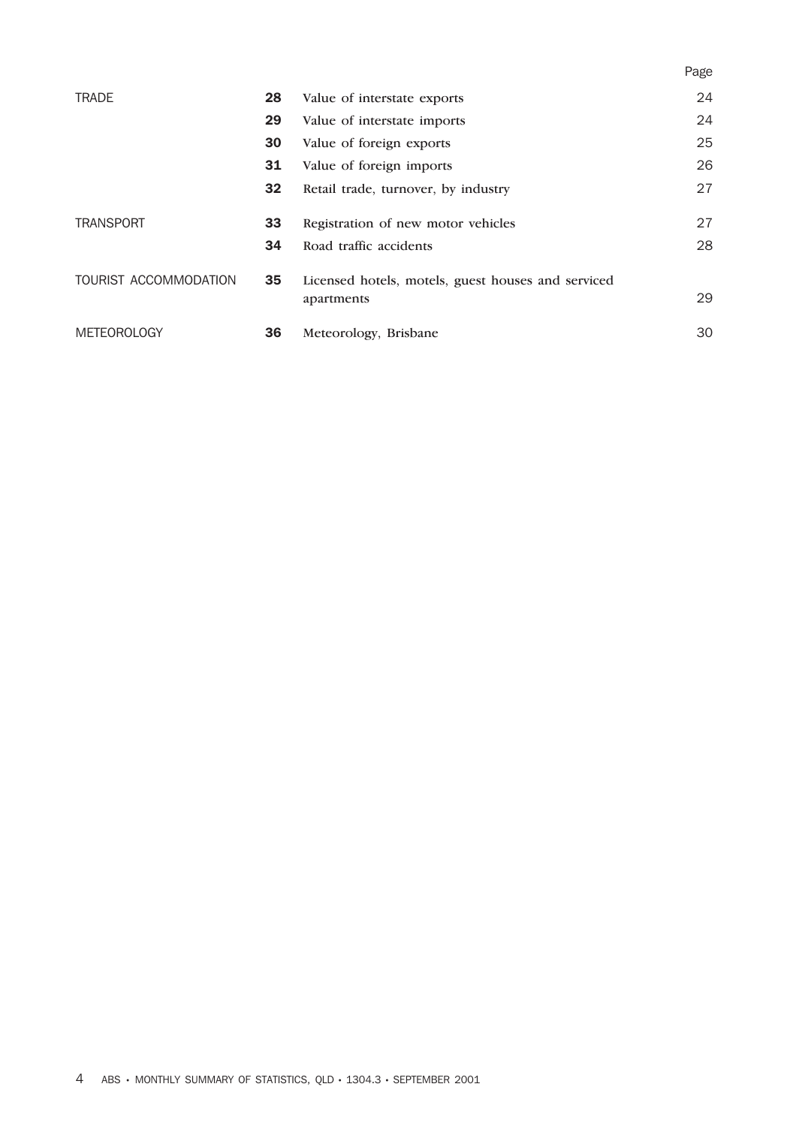|                       |    |                                                    | Page |
|-----------------------|----|----------------------------------------------------|------|
| <b>TRADE</b>          | 28 | Value of interstate exports                        | 24   |
|                       | 29 | Value of interstate imports                        | 24   |
|                       | 30 | Value of foreign exports                           | 25   |
|                       | 31 | Value of foreign imports                           | 26   |
|                       | 32 | Retail trade, turnover, by industry                | 27   |
| <b>TRANSPORT</b>      | 33 | Registration of new motor vehicles                 | 27   |
|                       | 34 | Road traffic accidents                             | 28   |
| TOURIST ACCOMMODATION | 35 | Licensed hotels, motels, guest houses and serviced | 29   |
|                       |    | apartments                                         |      |
| <b>METEOROLOGY</b>    | 36 | Meteorology, Brisbane                              | 30   |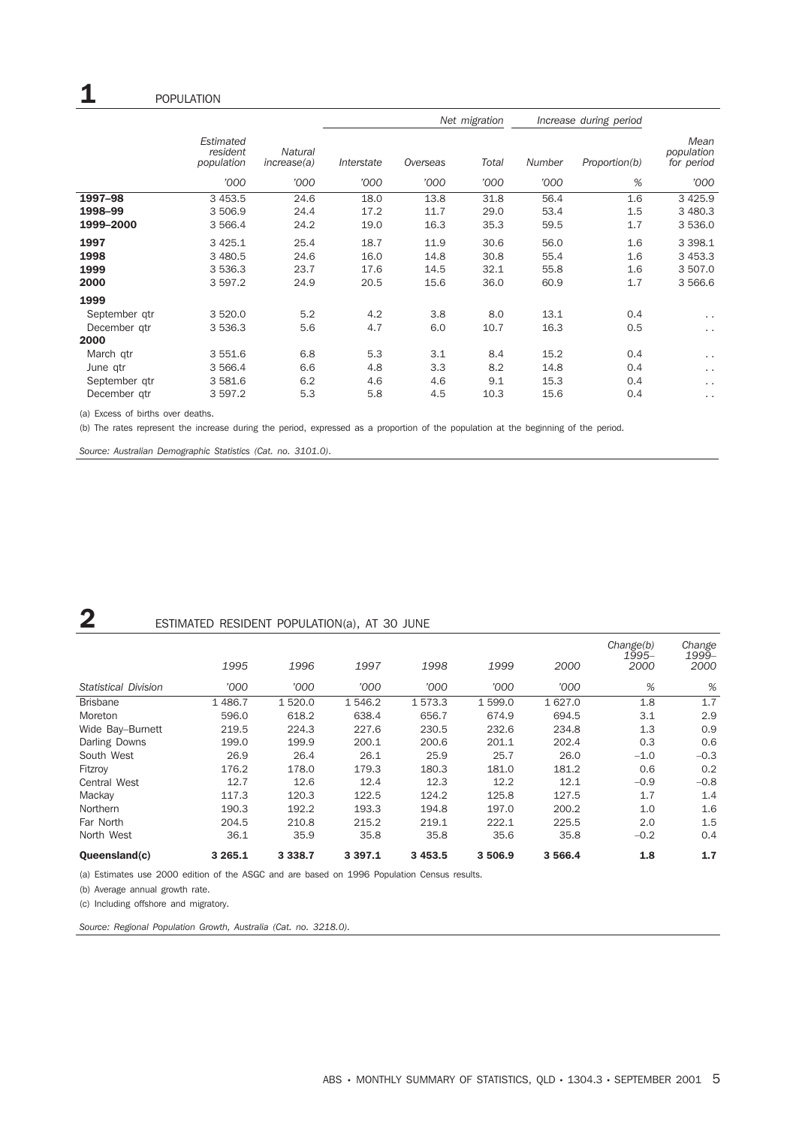|               |                                     |                               | Net migration |          |       | Increase during period |               |                                  |
|---------------|-------------------------------------|-------------------------------|---------------|----------|-------|------------------------|---------------|----------------------------------|
|               | Estimated<br>resident<br>population | <b>Natural</b><br>increase(a) | Interstate    | Overseas | Total | <b>Number</b>          | Proportion(b) | Mean<br>population<br>for period |
|               | '000                                | '000                          | '000          | '000     | '000  | '000                   | %             | '000                             |
| 1997-98       | 3 4 5 3.5                           | 24.6                          | 18.0          | 13.8     | 31.8  | 56.4                   | 1.6           | 3 4 2 5.9                        |
| 1998-99       | 3 506.9                             | 24.4                          | 17.2          | 11.7     | 29.0  | 53.4                   | 1.5           | 3 480.3                          |
| 1999-2000     | 3 5 6 6.4                           | 24.2                          | 19.0          | 16.3     | 35.3  | 59.5                   | 1.7           | 3 536.0                          |
| 1997          | 3 4 2 5.1                           | 25.4                          | 18.7          | 11.9     | 30.6  | 56.0                   | 1.6           | 3 3 9 8.1                        |
| 1998          | 3 480.5                             | 24.6                          | 16.0          | 14.8     | 30.8  | 55.4                   | 1.6           | 3 4 5 3.3                        |
| 1999          | 3 5 3 6 . 3                         | 23.7                          | 17.6          | 14.5     | 32.1  | 55.8                   | 1.6           | 3 507.0                          |
| 2000          | 3 5 9 7.2                           | 24.9                          | 20.5          | 15.6     | 36.0  | 60.9                   | 1.7           | 3 566.6                          |
| 1999          |                                     |                               |               |          |       |                        |               |                                  |
| September gtr | 3 5 2 0.0                           | 5.2                           | 4.2           | 3.8      | 8.0   | 13.1                   | 0.4           | $\sim$ $\sim$                    |
| December gtr  | 3 5 3 6 . 3                         | 5.6                           | 4.7           | 6.0      | 10.7  | 16.3                   | 0.5           | $\ddot{\phantom{0}}$             |
| 2000          |                                     |                               |               |          |       |                        |               |                                  |
| March gtr     | 3 5 5 1.6                           | 6.8                           | 5.3           | 3.1      | 8.4   | 15.2                   | 0.4           | $\sim$ $\sim$                    |
| June qtr      | 3 566.4                             | 6.6                           | 4.8           | 3.3      | 8.2   | 14.8                   | 0.4           | $\ddotsc$                        |
| September gtr | 3 581.6                             | 6.2                           | 4.6           | 4.6      | 9.1   | 15.3                   | 0.4           | $\ddotsc$                        |
| December gtr  | 3 597.2                             | 5.3                           | 5.8           | 4.5      | 10.3  | 15.6                   | 0.4           | $\cdot$ .                        |

(a) Excess of births over deaths.

(b) The rates represent the increase during the period, expressed as a proportion of the population at the beginning of the period.

*Source: Australian Demographic Statistics (Cat. no. 3101.0).*

### **2** ESTIMATED RESIDENT POPULATION(a), AT 30 JUNE

| Oueensland(c)               | 3 2 6 5 . 1 | 3 3 3 8.7 | 3 3 9 7 . 1 | 3 4 5 3 . 5 | 3 506.9 | 3 566.4 | 1.8                        | 1.7                     |
|-----------------------------|-------------|-----------|-------------|-------------|---------|---------|----------------------------|-------------------------|
| North West                  | 36.1        | 35.9      | 35.8        | 35.8        | 35.6    | 35.8    | $-0.2$                     | 0.4                     |
| Far North                   | 204.5       | 210.8     | 215.2       | 219.1       | 222.1   | 225.5   | 2.0                        | 1.5                     |
| Northern                    | 190.3       | 192.2     | 193.3       | 194.8       | 197.0   | 200.2   | 1.0                        | 1.6                     |
| Mackay                      | 117.3       | 120.3     | 122.5       | 124.2       | 125.8   | 127.5   | 1.7                        | 1.4                     |
| <b>Central West</b>         | 12.7        | 12.6      | 12.4        | 12.3        | 12.2    | 12.1    | $-0.9$                     | $-0.8$                  |
| Fitzroy                     | 176.2       | 178.0     | 179.3       | 180.3       | 181.0   | 181.2   | 0.6                        | 0.2                     |
| South West                  | 26.9        | 26.4      | 26.1        | 25.9        | 25.7    | 26.0    | $-1.0$                     | $-0.3$                  |
| Darling Downs               | 199.0       | 199.9     | 200.1       | 200.6       | 201.1   | 202.4   | 0.3                        | 0.6                     |
| Wide Bay-Burnett            | 219.5       | 224.3     | 227.6       | 230.5       | 232.6   | 234.8   | 1.3                        | 0.9                     |
| Moreton                     | 596.0       | 618.2     | 638.4       | 656.7       | 674.9   | 694.5   | 3.1                        | 2.9                     |
| <b>Brisbane</b>             | 1486.7      | 1520.0    | 1 546.2     | 1573.3      | 1599.0  | 1 627.0 | 1.8                        | 1.7                     |
| <b>Statistical Division</b> | '000        | '000      | '000        | '000        | '000    | '000    | %                          | %                       |
|                             | 1995        | 1996      | 1997        | 1998        | 1999    | 2000    | Change(b)<br>1995-<br>2000 | Change<br>1999-<br>2000 |

(a) Estimates use 2000 edition of the ASGC and are based on 1996 Population Census results.

(b) Average annual growth rate.

(c) Including offshore and migratory.

*Source: Regional Population Growth, Australia (Cat. no. 3218.0).*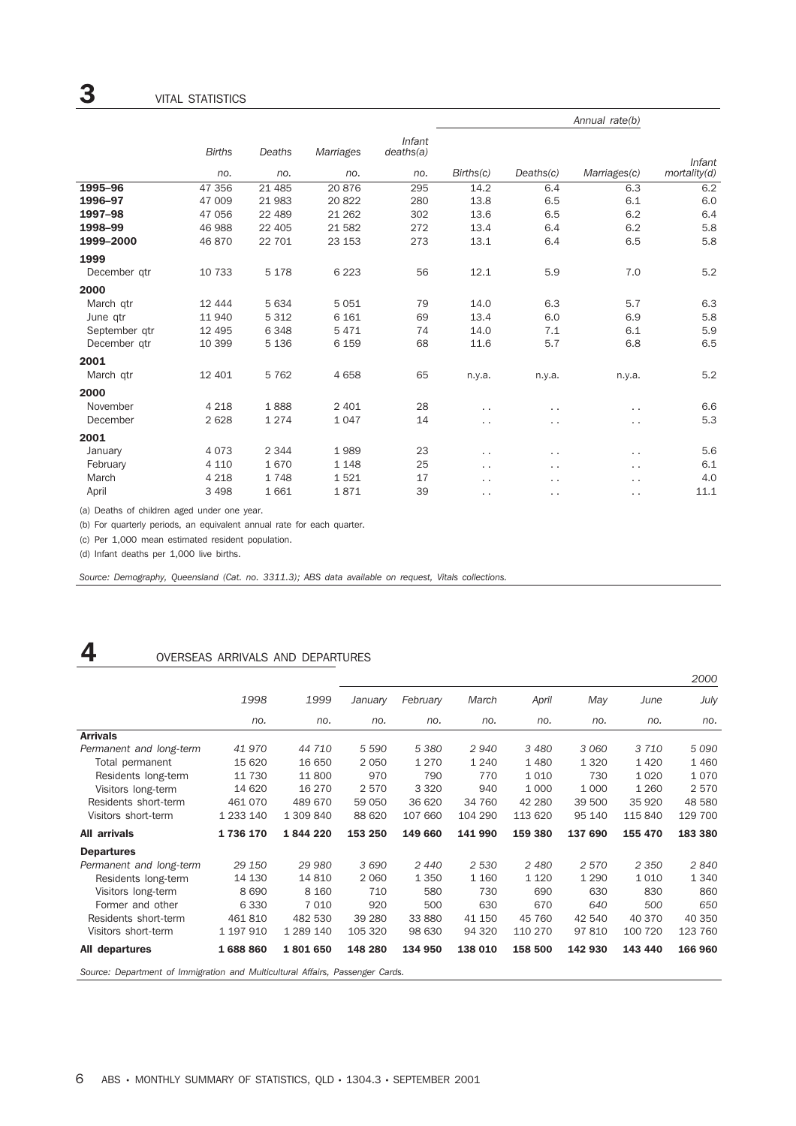|               |               |         |           |                     |                      |                      | Annual rate(b)       |              |
|---------------|---------------|---------|-----------|---------------------|----------------------|----------------------|----------------------|--------------|
|               | <b>Births</b> | Deaths  | Marriages | Infant<br>deaths(a) |                      |                      |                      | Infant       |
|               | no.           | no.     | no.       | no.                 | Births(c)            | Deaths(c)            | Marriages(c)         | mortality(d) |
| 1995-96       | 47 356        | 21 4 85 | 20876     | 295                 | 14.2                 | 6.4                  | 6.3                  | 6.2          |
| 1996-97       | 47 009        | 21983   | 20822     | 280                 | 13.8                 | 6.5                  | 6.1                  | 6.0          |
| 1997-98       | 47 056        | 22 489  | 21 26 2   | 302                 | 13.6                 | 6.5                  | 6.2                  | 6.4          |
| 1998-99       | 46 988        | 22 405  | 21 582    | 272                 | 13.4                 | 6.4                  | 6.2                  | 5.8          |
| 1999-2000     | 46 870        | 22 701  | 23 153    | 273                 | 13.1                 | 6.4                  | 6.5                  | 5.8          |
| 1999          |               |         |           |                     |                      |                      |                      |              |
| December gtr  | 10 733        | 5 1 7 8 | 6 2 2 3   | 56                  | 12.1                 | 5.9                  | 7.0                  | 5.2          |
| 2000          |               |         |           |                     |                      |                      |                      |              |
| March qtr     | 12 4 4 4      | 5 6 3 4 | 5051      | 79                  | 14.0                 | 6.3                  | 5.7                  | 6.3          |
| June qtr      | 11940         | 5 3 1 2 | 6 1 6 1   | 69                  | 13.4                 | 6.0                  | 6.9                  | 5.8          |
| September qtr | 12 4 95       | 6348    | 5471      | 74                  | 14.0                 | 7.1                  | 6.1                  | 5.9          |
| December gtr  | 10 399        | 5 1 3 6 | 6 1 5 9   | 68                  | 11.6                 | 5.7                  | 6.8                  | 6.5          |
| 2001          |               |         |           |                     |                      |                      |                      |              |
| March qtr     | 12 401        | 5762    | 4658      | 65                  | n.y.a.               | n.y.a.               | n.y.a.               | 5.2          |
| 2000          |               |         |           |                     |                      |                      |                      |              |
| November      | 4 2 1 8       | 1888    | 2 4 0 1   | 28                  | . .                  | . .                  | . .                  | 6.6          |
| December      | 2628          | 1274    | 1 0 4 7   | 14                  | $\ddot{\phantom{0}}$ | . .                  | $\ddot{\phantom{0}}$ | 5.3          |
| 2001          |               |         |           |                     |                      |                      |                      |              |
| January       | 4073          | 2 3 4 4 | 1989      | 23                  | . .                  | .,                   | $\ddot{\phantom{0}}$ | 5.6          |
| February      | 4 1 1 0       | 1670    | 1 1 4 8   | 25                  | $\cdot$ .            | $\ddot{\phantom{0}}$ | $\ddot{\phantom{0}}$ | 6.1          |
| March         | 4 2 1 8       | 1748    | 1521      | 17                  | . .                  | $\ddotsc$            | $\ddot{\phantom{0}}$ | 4.0          |
| April         | 3 4 9 8       | 1661    | 1871      | 39                  | . .                  | . .                  | $\ddot{\phantom{0}}$ | 11.1         |

(a) Deaths of children aged under one year.

(b) For quarterly periods, an equivalent annual rate for each quarter.

(c) Per 1,000 mean estimated resident population.

(d) Infant deaths per 1,000 live births.

*Source: Demography, Queensland (Cat. no. 3311.3); ABS data available on request, Vitals collections.*

## 4 OVERSEAS ARRIVALS AND DEPARTURES

|                                                                               |             |           |         |          |         |         |         |         | 2000    |
|-------------------------------------------------------------------------------|-------------|-----------|---------|----------|---------|---------|---------|---------|---------|
|                                                                               | 1998        | 1999      | January | February | March   | April   | May     | June    | July    |
|                                                                               | no.         | no.       | no.     | no.      | no.     | no.     | no.     | no.     | no.     |
| <b>Arrivals</b>                                                               |             |           |         |          |         |         |         |         |         |
| Permanent and long-term                                                       | 41 970      | 44 710    | 5 5 9 0 | 5 3 8 0  | 2940    | 3 4 8 0 | 3 0 6 0 | 3710    | 5 0 9 0 |
| Total permanent                                                               | 15 620      | 16 650    | 2 0 5 0 | 1 2 7 0  | 1 2 4 0 | 1 4 8 0 | 1 3 2 0 | 1420    | 1 4 6 0 |
| Residents long-term                                                           | 11 730      | 11800     | 970     | 790      | 770     | 1 0 1 0 | 730     | 1 0 2 0 | 1070    |
| Visitors long-term                                                            | 14 620      | 16 270    | 2570    | 3 3 2 0  | 940     | 1 0 0 0 | 1 0 0 0 | 1 2 6 0 | 2570    |
| Residents short-term                                                          | 461 070     | 489 670   | 59 050  | 36 620   | 34 760  | 42 280  | 39 500  | 35 9 20 | 48 580  |
| Visitors short-term                                                           | 1 2 3 1 4 0 | 1 309 840 | 88 620  | 107 660  | 104 290 | 113 620 | 95 140  | 115 840 | 129 700 |
| All arrivals                                                                  | 1736 170    | 1844220   | 153 250 | 149 660  | 141 990 | 159 380 | 137 690 | 155 470 | 183 380 |
| <b>Departures</b>                                                             |             |           |         |          |         |         |         |         |         |
| Permanent and long-term                                                       | 29 150      | 29 980    | 3690    | 2440     | 2 5 3 0 | 2480    | 2570    | 2 3 5 0 | 2840    |
| Residents long-term                                                           | 14 130      | 14 810    | 2 0 6 0 | 1 3 5 0  | 1 1 6 0 | 1 1 2 0 | 1 2 9 0 | 1010    | 1 3 4 0 |
| Visitors long-term                                                            | 8690        | 8 1 6 0   | 710     | 580      | 730     | 690     | 630     | 830     | 860     |
| Former and other                                                              | 6 3 3 0     | 7010      | 920     | 500      | 630     | 670     | 640     | 500     | 650     |
| Residents short-term                                                          | 461810      | 482 530   | 39 280  | 33 880   | 41 150  | 45 760  | 42 540  | 40 370  | 40 350  |
| Visitors short-term                                                           | 1 197 910   | 1 289 140 | 105 320 | 98 630   | 94 320  | 110 270 | 97 810  | 100 720 | 123 760 |
| All departures                                                                | 1688860     | 1801650   | 148 280 | 134 950  | 138 010 | 158 500 | 142 930 | 143 440 | 166 960 |
| Source: Department of Immigration and Multicultural Affairs, Passenger Cards. |             |           |         |          |         |         |         |         |         |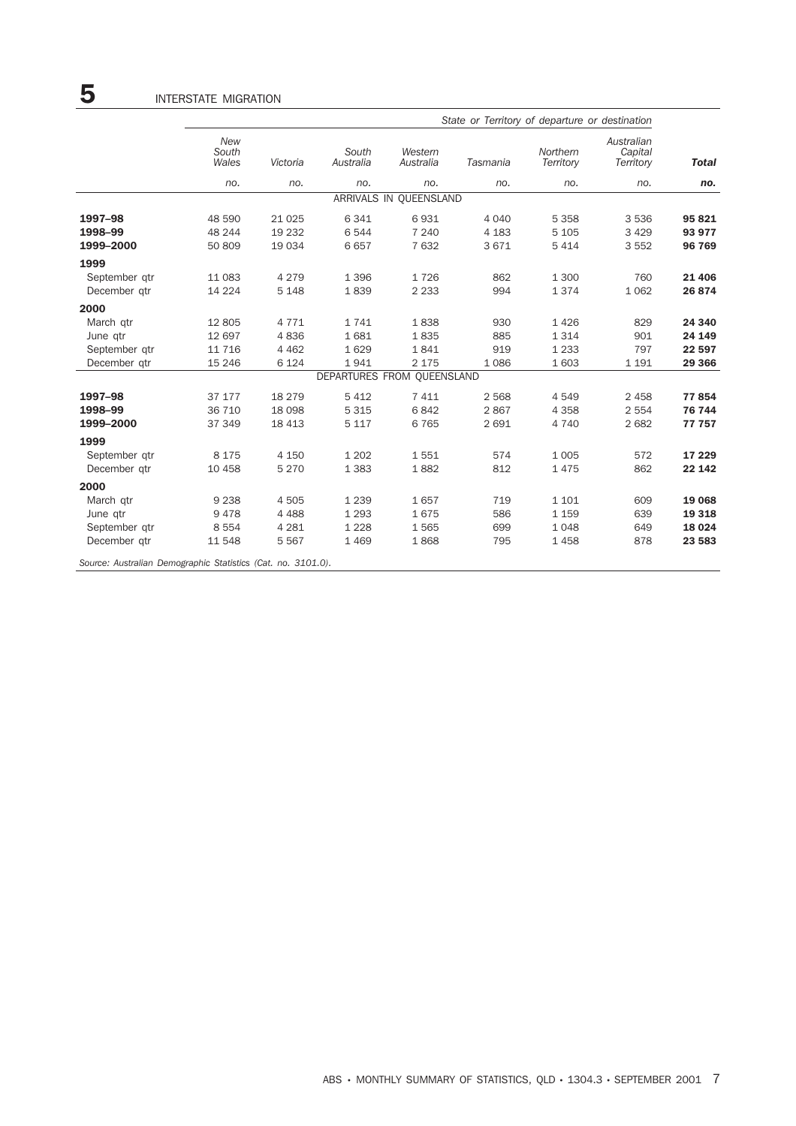|                                                              | State or Territory of departure or destination |          |                            |                        |          |                       |                                    |              |  |  |
|--------------------------------------------------------------|------------------------------------------------|----------|----------------------------|------------------------|----------|-----------------------|------------------------------------|--------------|--|--|
|                                                              | <b>New</b><br>South<br>Wales                   | Victoria | South<br>Australia         | Western<br>Australia   | Tasmania | Northern<br>Territory | Australian<br>Capital<br>Territory | <b>Total</b> |  |  |
|                                                              | no.                                            | no.      | no.                        | no.                    | no.      | no.                   | no.                                | no.          |  |  |
|                                                              |                                                |          |                            | ARRIVALS IN QUEENSLAND |          |                       |                                    |              |  |  |
| 1997-98                                                      | 48 590                                         | 21 0 25  | 6 3 4 1                    | 6931                   | 4 0 4 0  | 5 3 5 8               | 3536                               | 95 821       |  |  |
| 1998-99                                                      | 48 244                                         | 19 232   | 6 5 4 4                    | 7 2 4 0                | 4 1 8 3  | 5 1 0 5               | 3 4 2 9                            | 93 977       |  |  |
| 1999-2000                                                    | 50 809                                         | 19 0 34  | 6657                       | 7 632                  | 3671     | 5 4 1 4               | 3 5 5 2                            | 96 769       |  |  |
| 1999                                                         |                                                |          |                            |                        |          |                       |                                    |              |  |  |
| September qtr                                                | 11 083                                         | 4 2 7 9  | 1 3 9 6                    | 1726                   | 862      | 1 300                 | 760                                | 21 4 06      |  |  |
| December qtr                                                 | 14 2 24                                        | 5 1 4 8  | 1839                       | 2 2 3 3                | 994      | 1374                  | 1 0 6 2                            | 26 874       |  |  |
| 2000                                                         |                                                |          |                            |                        |          |                       |                                    |              |  |  |
| March qtr                                                    | 12 805                                         | 4771     | 1741                       | 1838                   | 930      | 1 4 2 6               | 829                                | 24 340       |  |  |
| June qtr                                                     | 12 697                                         | 4836     | 1681                       | 1835                   | 885      | 1 3 1 4               | 901                                | 24 149       |  |  |
| September gtr                                                | 11 7 16                                        | 4 4 6 2  | 1629                       | 1841                   | 919      | 1 2 3 3               | 797                                | 22 597       |  |  |
| December qtr                                                 | 15 246                                         | 6 1 2 4  | 1941                       | 2 1 7 5                | 1086     | 1 603                 | 1 1 9 1                            | 29 3 66      |  |  |
|                                                              |                                                |          | DEPARTURES FROM QUEENSLAND |                        |          |                       |                                    |              |  |  |
| 1997-98                                                      | 37 177                                         | 18 279   | 5 4 1 2                    | 7 4 1 1                | 2 5 6 8  | 4 5 4 9               | 2 4 5 8                            | 77854        |  |  |
| 1998-99                                                      | 36 710                                         | 18 0 98  | 5 3 1 5                    | 6842                   | 2867     | 4 3 5 8               | 2 5 5 4                            | 76 744       |  |  |
| 1999-2000                                                    | 37 349                                         | 18 4 13  | 5 1 1 7                    | 6765                   | 2 6 9 1  | 4 7 4 0               | 2682                               | 77 757       |  |  |
| 1999                                                         |                                                |          |                            |                        |          |                       |                                    |              |  |  |
| September qtr                                                | 8 1 7 5                                        | 4 1 5 0  | 1 2 0 2                    | 1551                   | 574      | 1 0 0 5               | 572                                | 17 229       |  |  |
| December qtr                                                 | 10 458                                         | 5 2 7 0  | 1 3 8 3                    | 1882                   | 812      | 1475                  | 862                                | 22 142       |  |  |
| 2000                                                         |                                                |          |                            |                        |          |                       |                                    |              |  |  |
| March qtr                                                    | 9 2 3 8                                        | 4505     | 1 2 3 9                    | 1657                   | 719      | 1 1 0 1               | 609                                | 19 068       |  |  |
| June qtr                                                     | 9478                                           | 4 4 8 8  | 1 2 9 3                    | 1675                   | 586      | 1 1 5 9               | 639                                | 19 3 18      |  |  |
| September gtr                                                | 8 5 5 4                                        | 4 2 8 1  | 1 2 2 8                    | 1565                   | 699      | 1 0 4 8               | 649                                | 18 0 24      |  |  |
| December qtr                                                 | 11 548                                         | 5 5 6 7  | 1 4 6 9                    | 1868                   | 795      | 1458                  | 878                                | 23 583       |  |  |
| Source: Australian Demographic Statistics (Cat. no. 3101.0). |                                                |          |                            |                        |          |                       |                                    |              |  |  |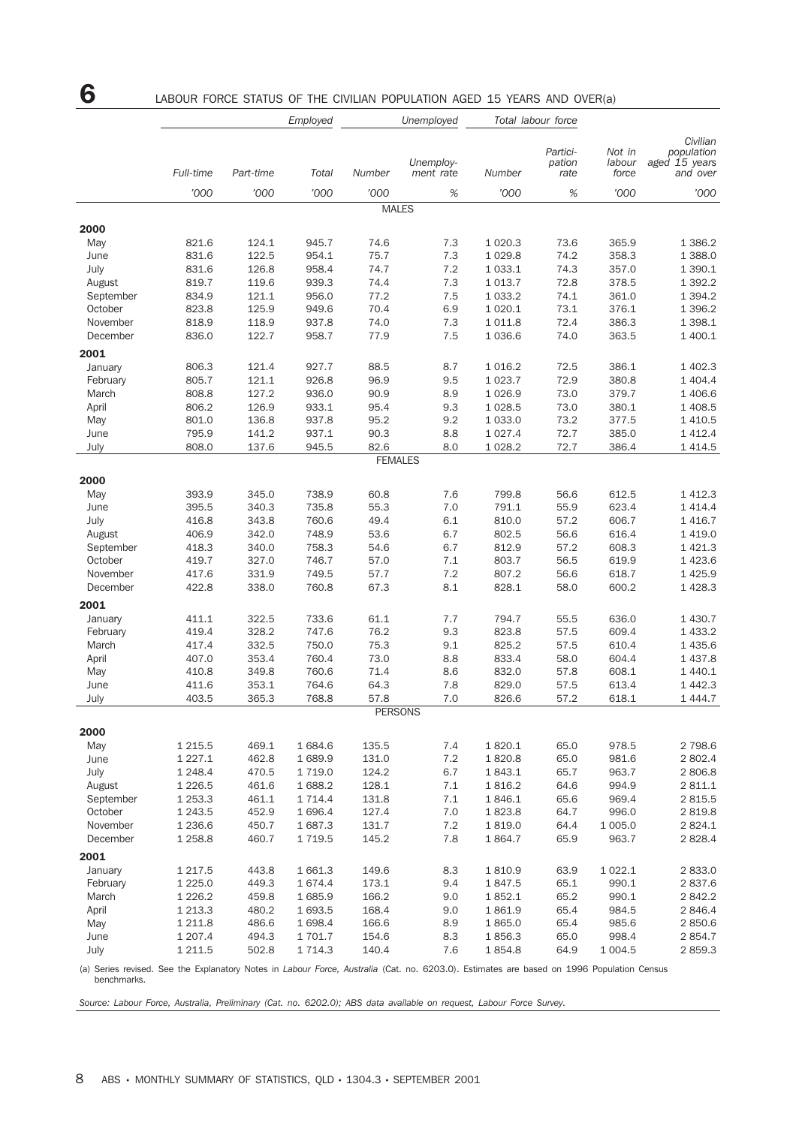# 6 LABOUR FORCE STATUS OF THE CIVILIAN POPULATION AGED 15 YEARS AND OVER(a)

|           | Employed    |           |            | Unemployed     |                        | Total labour force |                            |                           |                                                     |
|-----------|-------------|-----------|------------|----------------|------------------------|--------------------|----------------------------|---------------------------|-----------------------------------------------------|
|           | Full-time   | Part-time | Total      | Number         | Unemploy-<br>ment rate | Number             | Partici-<br>pation<br>rate | Not in<br>labour<br>force | Civilian<br>population<br>aged 15 years<br>and over |
|           | '000        | '000      | '000       | '000           | $\%$                   | '000               | $\%$                       | '000                      | '000                                                |
|           |             |           |            | <b>MALES</b>   |                        |                    |                            |                           |                                                     |
| 2000      |             |           |            |                |                        |                    |                            |                           |                                                     |
| May       | 821.6       | 124.1     | 945.7      | 74.6           | 7.3                    | 1 0 20.3           | 73.6                       | 365.9                     | 1 3 8 6.2                                           |
| June      | 831.6       | 122.5     | 954.1      | 75.7           | 7.3                    | 1 0 29.8           | 74.2                       | 358.3                     | 1 388.0                                             |
| July      | 831.6       | 126.8     | 958.4      | 74.7           | 7.2                    | 1 0 3 3.1          | 74.3                       | 357.0                     | 1 3 9 0.1                                           |
| August    | 819.7       | 119.6     | 939.3      | 74.4           | 7.3                    | 1 0 1 3.7          | 72.8                       | 378.5                     | 1 3 9 2.2                                           |
| September | 834.9       | 121.1     | 956.0      | 77.2           | 7.5                    | 1 0 3 3.2          | 74.1                       | 361.0                     | 1 3 9 4 . 2                                         |
| October   | 823.8       | 125.9     | 949.6      | 70.4           | 6.9                    | 1 0 20.1           | 73.1                       | 376.1                     | 1 3 9 6.2                                           |
| November  | 818.9       | 118.9     | 937.8      | 74.0           | 7.3                    | 1 0 1 1.8          | 72.4                       | 386.3                     | 1 3 9 8.1                                           |
| December  | 836.0       | 122.7     | 958.7      | 77.9           | 7.5                    | 1036.6             | 74.0                       | 363.5                     | 1 400.1                                             |
| 2001      |             |           |            |                |                        |                    |                            |                           |                                                     |
| January   | 806.3       | 121.4     | 927.7      | 88.5           | 8.7                    | 1 0 1 6.2          | 72.5                       | 386.1                     | 1 402.3                                             |
| February  | 805.7       | 121.1     | 926.8      | 96.9           | 9.5                    | 1 0 2 3 . 7        | 72.9                       | 380.8                     | 1 404.4                                             |
| March     | 808.8       | 127.2     | 936.0      | 90.9           | 8.9                    | 1 0 26.9           | 73.0                       | 379.7                     | 1 406.6                                             |
| April     | 806.2       | 126.9     | 933.1      | 95.4           | 9.3                    | 1 0 28.5           | 73.0                       | 380.1                     | 1 408.5                                             |
| May       | 801.0       | 136.8     | 937.8      | 95.2           | 9.2                    | 1 0 3 3 . 0        | 73.2                       | 377.5                     | 1 4 1 0.5                                           |
| June      | 795.9       | 141.2     | 937.1      | 90.3           | 8.8                    | 1 0 2 7 . 4        | 72.7                       | 385.0                     | 1 4 1 2.4                                           |
| July      | 808.0       | 137.6     | 945.5      | 82.6           | 8.0                    | 1 0 28.2           | 72.7                       | 386.4                     | 1 4 1 4.5                                           |
|           |             |           |            | <b>FEMALES</b> |                        |                    |                            |                           |                                                     |
| 2000      |             |           |            |                |                        |                    |                            |                           |                                                     |
| May       | 393.9       | 345.0     | 738.9      | 60.8           | 7.6                    | 799.8              | 56.6                       | 612.5                     | 1 4 1 2.3                                           |
| June      | 395.5       | 340.3     | 735.8      | 55.3           | 7.0                    | 791.1              | 55.9                       | 623.4                     | 1 4 1 4 .4                                          |
| July      | 416.8       | 343.8     | 760.6      | 49.4           | 6.1                    | 810.0              | 57.2                       | 606.7                     | 1 4 1 6.7                                           |
| August    | 406.9       | 342.0     | 748.9      | 53.6           | 6.7                    | 802.5              | 56.6                       | 616.4                     | 1 4 1 9 . 0                                         |
| September | 418.3       | 340.0     | 758.3      | 54.6           | 6.7                    | 812.9              | 57.2                       | 608.3                     | 1 4 2 1 . 3                                         |
| October   | 419.7       | 327.0     | 746.7      | 57.0           | 7.1                    | 803.7              | 56.5                       | 619.9                     | 1 4 2 3.6                                           |
| November  | 417.6       | 331.9     | 749.5      | 57.7           | 7.2                    | 807.2              | 56.6                       | 618.7                     | 1 4 2 5.9                                           |
| December  | 422.8       | 338.0     | 760.8      | 67.3           | 8.1                    | 828.1              | 58.0                       | 600.2                     | 1 4 28.3                                            |
| 2001      |             |           |            |                |                        |                    |                            |                           |                                                     |
| January   | 411.1       | 322.5     | 733.6      | 61.1           | 7.7                    | 794.7              | 55.5                       | 636.0                     | 1 4 3 0.7                                           |
| February  | 419.4       | 328.2     | 747.6      | 76.2           | 9.3                    | 823.8              | 57.5                       | 609.4                     | 1 4 3 3.2                                           |
| March     | 417.4       | 332.5     | 750.0      | 75.3           | 9.1                    | 825.2              | 57.5                       | 610.4                     | 1 4 3 5.6                                           |
| April     | 407.0       | 353.4     | 760.4      | 73.0           | 8.8                    | 833.4              | 58.0                       | 604.4                     | 1 4 3 7 . 8                                         |
| May       | 410.8       | 349.8     | 760.6      | 71.4           | 8.6                    | 832.0              | 57.8                       | 608.1                     | 1 4 4 0.1                                           |
| June      | 411.6       | 353.1     | 764.6      | 64.3           | 7.8                    | 829.0              | 57.5                       | 613.4                     | 1 4 4 2.3                                           |
| July      | 403.5       | 365.3     | 768.8      | 57.8           | 7.0                    | 826.6              | 57.2                       | 618.1                     | 1 4 4 4.7                                           |
|           |             |           |            | <b>PERSONS</b> |                        |                    |                            |                           |                                                     |
| 2000      |             |           |            |                |                        |                    |                            |                           |                                                     |
| May       | 1 2 1 5 .5  | 469.1     | 1684.6     | 135.5          | 7.4                    | 1820.1             | 65.0                       | 978.5                     | 2 7 9 8.6                                           |
| June      | 1 2 2 7 . 1 | 462.8     | 1689.9     | 131.0          | 7.2                    | 1820.8             | 65.0                       | 981.6                     | 2 802.4                                             |
| July      | 1 2 4 8.4   | 470.5     | 1719.0     | 124.2          | 6.7                    | 1843.1             | 65.7                       | 963.7                     | 2806.8                                              |
| August    | 1 2 2 6 .5  | 461.6     | 1688.2     | 128.1          | 7.1                    | 1816.2             | 64.6                       | 994.9                     | 2811.1                                              |
| September | 1 2 5 3 . 3 | 461.1     | 1 7 1 4 .4 | 131.8          | 7.1                    | 1846.1             | 65.6                       | 969.4                     | 2815.5                                              |
| October   | 1 243.5     | 452.9     | 1696.4     | 127.4          | 7.0                    | 1823.8             | 64.7                       | 996.0                     | 2819.8                                              |
| November  | 1 2 3 6.6   | 450.7     | 1687.3     | 131.7          | 7.2                    | 1819.0             | 64.4                       | 1 0 0 5.0                 | 2824.1                                              |
| December  | 1 2 5 8.8   | 460.7     | 1719.5     | 145.2          | 7.8                    | 1864.7             | 65.9                       | 963.7                     | 2828.4                                              |
| 2001      |             |           |            |                |                        |                    |                            |                           |                                                     |
| January   | 1 2 1 7 .5  | 443.8     | 1 661.3    | 149.6          | 8.3                    | 1810.9             | 63.9                       | 1 0 2 2.1                 | 2833.0                                              |
| February  | 1 2 2 5 . 0 | 449.3     | 1674.4     | 173.1          | 9.4                    | 1847.5             | 65.1                       | 990.1                     | 2837.6                                              |
| March     | 1 2 2 6 . 2 | 459.8     | 1685.9     | 166.2          | 9.0                    | 1852.1             | 65.2                       | 990.1                     | 2842.2                                              |
| April     | 1 2 1 3 . 3 | 480.2     | 1693.5     | 168.4          | 9.0                    | 1861.9             | 65.4                       | 984.5                     | 2846.4                                              |
| May       | 1 2 1 1.8   | 486.6     | 1698.4     | 166.6          | 8.9                    | 1865.0             | 65.4                       | 985.6                     | 2850.6                                              |
| June      | 1 207.4     | 494.3     | 1 701.7    | 154.6          | 8.3                    | 1856.3             | 65.0                       | 998.4                     | 2854.7                                              |
| July      | 1 2 1 1.5   | 502.8     | 1714.3     | 140.4          | 7.6                    | 1854.8             | 64.9                       | 1 0 0 4.5                 | 2859.3                                              |

(a) Series revised. See the Explanatory Notes in *Labour Force, Australia* (Cat. no. 6203.0). Estimates are based on 1996 Population Census benchmarks.

*Source: Labour Force, Australia, Preliminary (Cat. no. 6202.0); ABS data available on request, Labour Force Survey.*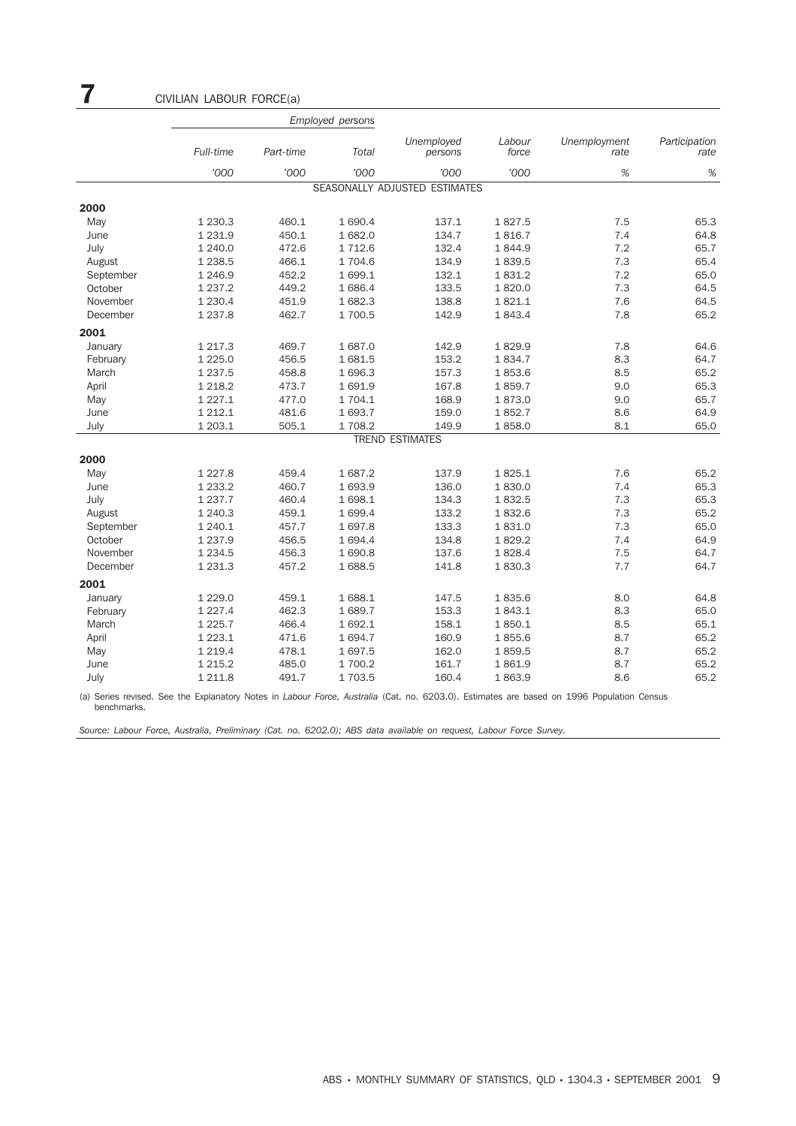|           |             |           | <b>Employed persons</b> |                               |                 |                      |                       |
|-----------|-------------|-----------|-------------------------|-------------------------------|-----------------|----------------------|-----------------------|
|           | Full-time   | Part-time | Total                   | Unemployed<br>persons         | Labour<br>force | Unemployment<br>rate | Participation<br>rate |
|           | '000        | '000      | '000                    | '000                          | '000            | %                    | %                     |
|           |             |           |                         | SEASONALLY ADJUSTED ESTIMATES |                 |                      |                       |
| 2000      |             |           |                         |                               |                 |                      |                       |
| May       | 1 2 3 0 . 3 | 460.1     | 1 690.4                 | 137.1                         | 1827.5          | 7.5                  | 65.3                  |
| June      | 1 2 3 1.9   | 450.1     | 1 682.0                 | 134.7                         | 1816.7          | 7.4                  | 64.8                  |
| July      | 1 240.0     | 472.6     | 1 7 1 2.6               | 132.4                         | 1844.9          | 7.2                  | 65.7                  |
| August    | 1 2 38.5    | 466.1     | 1 704.6                 | 134.9                         | 1839.5          | 7.3                  | 65.4                  |
| September | 1 246.9     | 452.2     | 1699.1                  | 132.1                         | 1831.2          | 7.2                  | 65.0                  |
| October   | 1 2 3 7 . 2 | 449.2     | 1 686.4                 | 133.5                         | 1820.0          | 7.3                  | 64.5                  |
| November  | 1 2 3 0.4   | 451.9     | 1682.3                  | 138.8                         | 1821.1          | 7.6                  | 64.5                  |
| December  | 1 2 3 7 . 8 | 462.7     | 1 700.5                 | 142.9                         | 1843.4          | 7.8                  | 65.2                  |
| 2001      |             |           |                         |                               |                 |                      |                       |
| January   | 1 2 1 7 . 3 | 469.7     | 1687.0                  | 142.9                         | 1829.9          | 7.8                  | 64.6                  |
| February  | 1 2 2 5.0   | 456.5     | 1681.5                  | 153.2                         | 1834.7          | 8.3                  | 64.7                  |
| March     | 1 2 3 7 . 5 | 458.8     | 1 696.3                 | 157.3                         | 1853.6          | 8.5                  | 65.2                  |
| April     | 1 2 1 8.2   | 473.7     | 1691.9                  | 167.8                         | 1859.7          | 9.0                  | 65.3                  |
| May       | 1 2 2 7 . 1 | 477.0     | 1 704.1                 | 168.9                         | 1873.0          | 9.0                  | 65.7                  |
| June      | 1 2 1 2 . 1 | 481.6     | 1 693.7                 | 159.0                         | 1852.7          | 8.6                  | 64.9                  |
| July      | 1 203.1     | 505.1     | 1708.2                  | 149.9                         | 1858.0          | 8.1                  | 65.0                  |
|           |             |           |                         | <b>TREND ESTIMATES</b>        |                 |                      |                       |
| 2000      |             |           |                         |                               |                 |                      |                       |
| May       | 1 2 2 7 . 8 | 459.4     | 1687.2                  | 137.9                         | 1825.1          | 7.6                  | 65.2                  |
| June      | 1 2 3 3 . 2 | 460.7     | 1 693.9                 | 136.0                         | 1830.0          | 7.4                  | 65.3                  |
| July      | 1 2 3 7 . 7 | 460.4     | 1698.1                  | 134.3                         | 1832.5          | 7.3                  | 65.3                  |
| August    | 1 240.3     | 459.1     | 1 699.4                 | 133.2                         | 1832.6          | 7.3                  | 65.2                  |
| September | 1 240.1     | 457.7     | 1697.8                  | 133.3                         | 1831.0          | 7.3                  | 65.0                  |
| October   | 1 2 3 7 . 9 | 456.5     | 1 694.4                 | 134.8                         | 1829.2          | 7.4                  | 64.9                  |
| November  | 1 2 3 4 .5  | 456.3     | 1690.8                  | 137.6                         | 1828.4          | 7.5                  | 64.7                  |
| December  | 1 2 3 1 . 3 | 457.2     | 1688.5                  | 141.8                         | 1830.3          | 7.7                  | 64.7                  |
| 2001      |             |           |                         |                               |                 |                      |                       |
| January   | 1 2 2 9 . 0 | 459.1     | 1688.1                  | 147.5                         | 1835.6          | 8.0                  | 64.8                  |
| February  | 1 2 2 7 . 4 | 462.3     | 1689.7                  | 153.3                         | 1843.1          | 8.3                  | 65.0                  |
| March     | 1 2 2 5.7   | 466.4     | 1692.1                  | 158.1                         | 1850.1          | 8.5                  | 65.1                  |
| April     | 1 2 2 3 . 1 | 471.6     | 1694.7                  | 160.9                         | 1855.6          | 8.7                  | 65.2                  |
| May       | 1 2 1 9.4   | 478.1     | 1697.5                  | 162.0                         | 1859.5          | 8.7                  | 65.2                  |
| June      | 1 2 1 5 . 2 | 485.0     | 1 700.2                 | 161.7                         | 1861.9          | 8.7                  | 65.2                  |
| July      | 1 211.8     | 491.7     | 1703.5                  | 160.4                         | 1863.9          | 8.6                  | 65.2                  |

(a) Series revised. See the Explanatory Notes in *Labour Force, Australia* (Cat. no. 6203.0). Estimates are based on 1996 Population Census benchmarks.

*Source: Labour Force, Australia, Preliminary (Cat. no. 6202.0); ABS data available on request, Labour Force Survey.*

7 CIVILIAN LABOUR FORCE(a)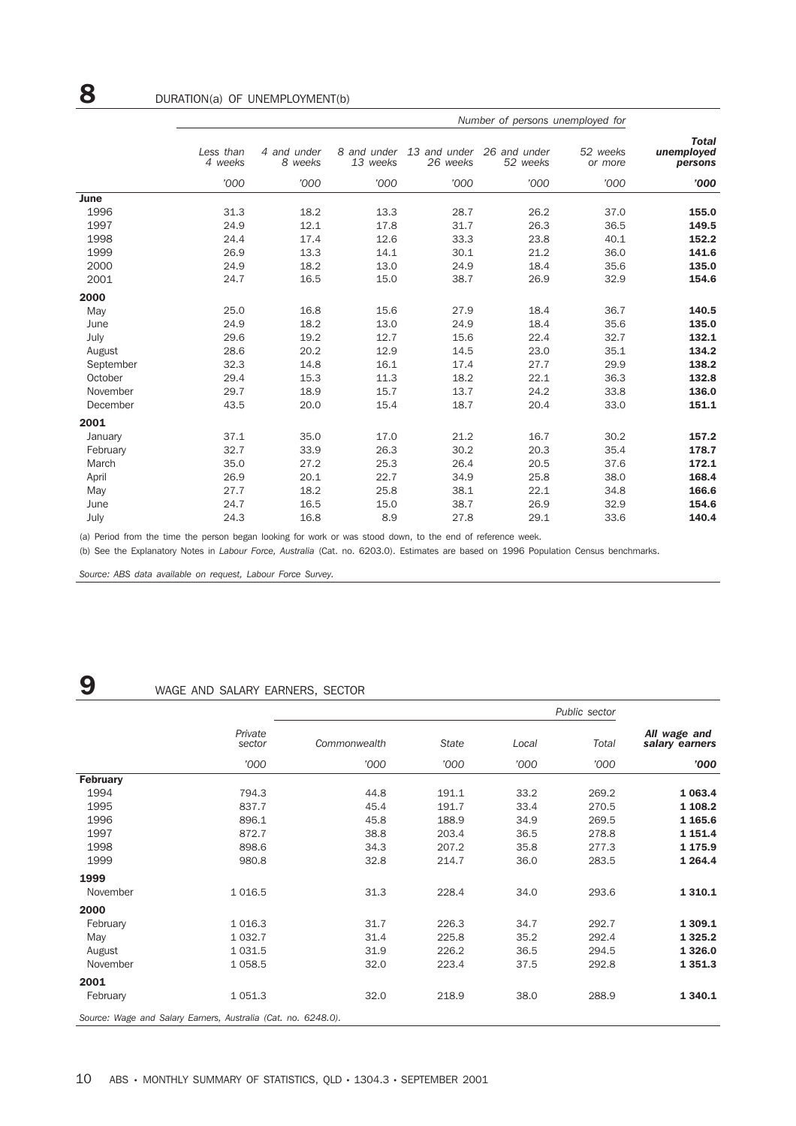|           |                      |                        |                         |                          | Number of persons unemployed for |                     |                                       |
|-----------|----------------------|------------------------|-------------------------|--------------------------|----------------------------------|---------------------|---------------------------------------|
|           | Less than<br>4 weeks | 4 and under<br>8 weeks | 8 and under<br>13 weeks | 13 and under<br>26 weeks | 26 and under<br>52 weeks         | 52 weeks<br>or more | <b>Total</b><br>unemployed<br>persons |
|           | '000                 | '000                   | '000                    | '000                     | '000                             | '000                | '000                                  |
| June      |                      |                        |                         |                          |                                  |                     |                                       |
| 1996      | 31.3                 | 18.2                   | 13.3                    | 28.7                     | 26.2                             | 37.0                | 155.0                                 |
| 1997      | 24.9                 | 12.1                   | 17.8                    | 31.7                     | 26.3                             | 36.5                | 149.5                                 |
| 1998      | 24.4                 | 17.4                   | 12.6                    | 33.3                     | 23.8                             | 40.1                | 152.2                                 |
| 1999      | 26.9                 | 13.3                   | 14.1                    | 30.1                     | 21.2                             | 36.0                | 141.6                                 |
| 2000      | 24.9                 | 18.2                   | 13.0                    | 24.9                     | 18.4                             | 35.6                | 135.0                                 |
| 2001      | 24.7                 | 16.5                   | 15.0                    | 38.7                     | 26.9                             | 32.9                | 154.6                                 |
| 2000      |                      |                        |                         |                          |                                  |                     |                                       |
| May       | 25.0                 | 16.8                   | 15.6                    | 27.9                     | 18.4                             | 36.7                | 140.5                                 |
| June      | 24.9                 | 18.2                   | 13.0                    | 24.9                     | 18.4                             | 35.6                | 135.0                                 |
| July      | 29.6                 | 19.2                   | 12.7                    | 15.6                     | 22.4                             | 32.7                | 132.1                                 |
| August    | 28.6                 | 20.2                   | 12.9                    | 14.5                     | 23.0                             | 35.1                | 134.2                                 |
| September | 32.3                 | 14.8                   | 16.1                    | 17.4                     | 27.7                             | 29.9                | 138.2                                 |
| October   | 29.4                 | 15.3                   | 11.3                    | 18.2                     | 22.1                             | 36.3                | 132.8                                 |
| November  | 29.7                 | 18.9                   | 15.7                    | 13.7                     | 24.2                             | 33.8                | 136.0                                 |
| December  | 43.5                 | 20.0                   | 15.4                    | 18.7                     | 20.4                             | 33.0                | 151.1                                 |
| 2001      |                      |                        |                         |                          |                                  |                     |                                       |
| January   | 37.1                 | 35.0                   | 17.0                    | 21.2                     | 16.7                             | 30.2                | 157.2                                 |
| February  | 32.7                 | 33.9                   | 26.3                    | 30.2                     | 20.3                             | 35.4                | 178.7                                 |
| March     | 35.0                 | 27.2                   | 25.3                    | 26.4                     | 20.5                             | 37.6                | 172.1                                 |
| April     | 26.9                 | 20.1                   | 22.7                    | 34.9                     | 25.8                             | 38.0                | 168.4                                 |
| May       | 27.7                 | 18.2                   | 25.8                    | 38.1                     | 22.1                             | 34.8                | 166.6                                 |
| June      | 24.7                 | 16.5                   | 15.0                    | 38.7                     | 26.9                             | 32.9                | 154.6                                 |
| July      | 24.3                 | 16.8                   | 8.9                     | 27.8                     | 29.1                             | 33.6                | 140.4                                 |

(a) Period from the time the person began looking for work or was stood down, to the end of reference week.

(b) See the Explanatory Notes in *Labour Force, Australia* (Cat. no. 6203.0). Estimates are based on 1996 Population Census benchmarks.

*Source: ABS data available on request, Labour Force Survey.*

## **9** WAGE AND SALARY EARNERS, SECTOR

|                 |                                                               |              |              |       | Public sector |                                |
|-----------------|---------------------------------------------------------------|--------------|--------------|-------|---------------|--------------------------------|
|                 | Private<br>sector                                             | Commonwealth | <b>State</b> | Local | Total         | All wage and<br>salary earners |
|                 | '000                                                          | '000         | '000         | '000  | '000          | '000                           |
| <b>February</b> |                                                               |              |              |       |               |                                |
| 1994            | 794.3                                                         | 44.8         | 191.1        | 33.2  | 269.2         | 1 0 6 3 . 4                    |
| 1995            | 837.7                                                         | 45.4         | 191.7        | 33.4  | 270.5         | 1 108.2                        |
| 1996            | 896.1                                                         | 45.8         | 188.9        | 34.9  | 269.5         | 1 1 65.6                       |
| 1997            | 872.7                                                         | 38.8         | 203.4        | 36.5  | 278.8         | 1 1 5 1 . 4                    |
| 1998            | 898.6                                                         | 34.3         | 207.2        | 35.8  | 277.3         | 1 175.9                        |
| 1999            | 980.8                                                         | 32.8         | 214.7        | 36.0  | 283.5         | 1 2 6 4 . 4                    |
| 1999            |                                                               |              |              |       |               |                                |
| November        | 1 0 1 6.5                                                     | 31.3         | 228.4        | 34.0  | 293.6         | 1 3 1 0.1                      |
| 2000            |                                                               |              |              |       |               |                                |
| February        | 1 0 1 6.3                                                     | 31.7         | 226.3        | 34.7  | 292.7         | 1 309.1                        |
| May             | 1 0 3 2.7                                                     | 31.4         | 225.8        | 35.2  | 292.4         | 1 3 2 5 . 2                    |
| August          | 1 0 3 1.5                                                     | 31.9         | 226.2        | 36.5  | 294.5         | 1 3 2 6.0                      |
| November        | 1 0 58.5                                                      | 32.0         | 223.4        | 37.5  | 292.8         | 1 3 5 1 . 3                    |
| 2001            |                                                               |              |              |       |               |                                |
| February        | 1 0 5 1.3                                                     | 32.0         | 218.9        | 38.0  | 288.9         | 1 3 4 0.1                      |
|                 | Source: Wage and Salary Earners, Australia (Cat. no. 6248.0). |              |              |       |               |                                |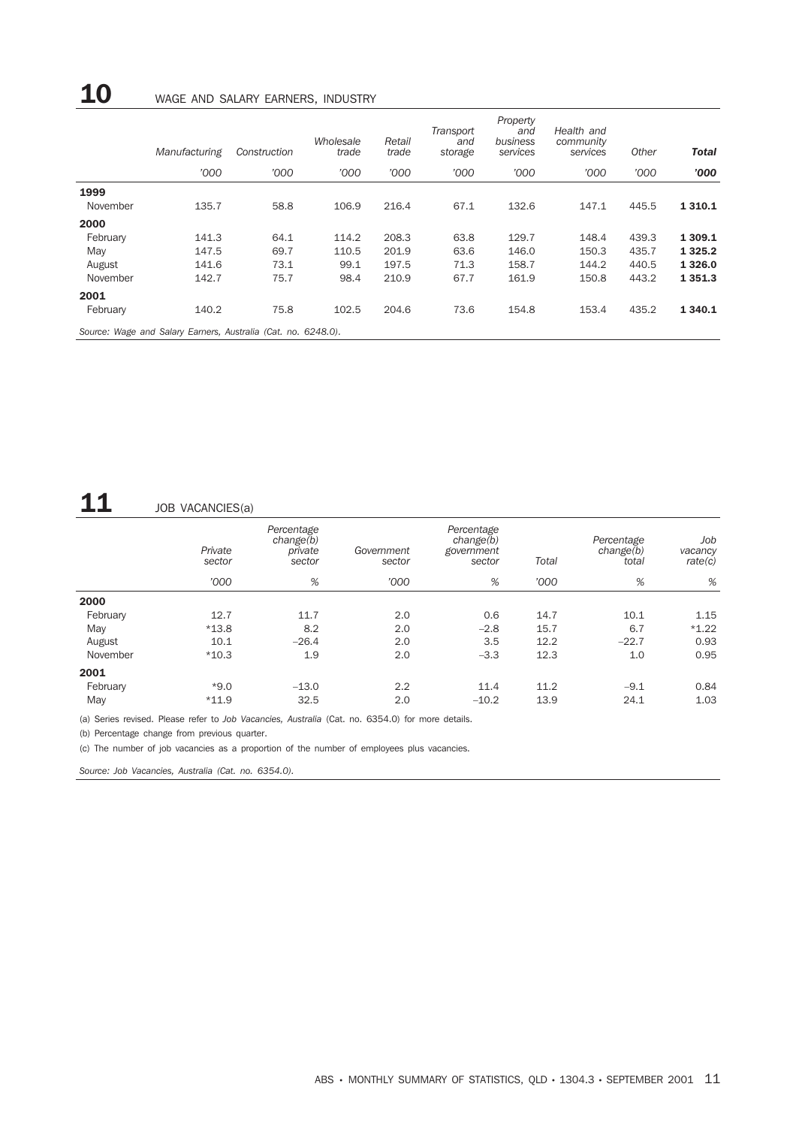# 10 WAGE AND SALARY EARNERS, INDUSTRY

|          | Manufacturing                                                 | Construction | Wholesale<br>trade | Retail<br>trade | Transport<br>and<br>storage | Property<br>and<br>business<br>services | Health and<br>community<br>services | Other | <b>Total</b> |
|----------|---------------------------------------------------------------|--------------|--------------------|-----------------|-----------------------------|-----------------------------------------|-------------------------------------|-------|--------------|
|          | '000                                                          | '000         | '000               | '000            | '000                        | '000                                    | '000                                | '000  | '000'        |
| 1999     |                                                               |              |                    |                 |                             |                                         |                                     |       |              |
| November | 135.7                                                         | 58.8         | 106.9              | 216.4           | 67.1                        | 132.6                                   | 147.1                               | 445.5 | 1 3 1 0 . 1  |
| 2000     |                                                               |              |                    |                 |                             |                                         |                                     |       |              |
| February | 141.3                                                         | 64.1         | 114.2              | 208.3           | 63.8                        | 129.7                                   | 148.4                               | 439.3 | 1 309.1      |
| May      | 147.5                                                         | 69.7         | 110.5              | 201.9           | 63.6                        | 146.0                                   | 150.3                               | 435.7 | 1 3 2 5 . 2  |
| August   | 141.6                                                         | 73.1         | 99.1               | 197.5           | 71.3                        | 158.7                                   | 144.2                               | 440.5 | 1 3 2 6 .0   |
| November | 142.7                                                         | 75.7         | 98.4               | 210.9           | 67.7                        | 161.9                                   | 150.8                               | 443.2 | 1 3 5 1 . 3  |
| 2001     |                                                               |              |                    |                 |                             |                                         |                                     |       |              |
| February | 140.2                                                         | 75.8         | 102.5              | 204.6           | 73.6                        | 154.8                                   | 153.4                               | 435.2 | 1 3 4 0.1    |
|          | Source: Wage and Salary Earners, Australia (Cat. no. 6248.0). |              |                    |                 |                             |                                         |                                     |       |              |

# $\mathbf{11}$  JOB VACANCIES(a)

|          | Private<br>sector | Percentage<br>change(b)<br>private<br>sector | Government<br>sector | Percentage<br>change(b)<br>government<br>sector | Total | Percentage<br>change(b)<br>total | Job<br>vacancy<br>rate(c) |
|----------|-------------------|----------------------------------------------|----------------------|-------------------------------------------------|-------|----------------------------------|---------------------------|
|          | '000              | %                                            | '000                 | %                                               | '000  | %                                | %                         |
| 2000     |                   |                                              |                      |                                                 |       |                                  |                           |
| February | 12.7              | 11.7                                         | 2.0                  | 0.6                                             | 14.7  | 10.1                             | 1.15                      |
| May      | $*13.8$           | 8.2                                          | 2.0                  | $-2.8$                                          | 15.7  | 6.7                              | $*1.22$                   |
| August   | 10.1              | $-26.4$                                      | 2.0                  | 3.5                                             | 12.2  | $-22.7$                          | 0.93                      |
| November | $*10.3$           | 1.9                                          | 2.0                  | $-3.3$                                          | 12.3  | 1.0                              | 0.95                      |
| 2001     |                   |                                              |                      |                                                 |       |                                  |                           |
| February | $*9.0$            | $-13.0$                                      | 2.2                  | 11.4                                            | 11.2  | $-9.1$                           | 0.84                      |
| May      | $*11.9$           | 32.5                                         | 2.0                  | $-10.2$                                         | 13.9  | 24.1                             | 1.03                      |

(a) Series revised. Please refer to *Job Vacancies, Australia* (Cat. no. 6354.0) for more details.

(b) Percentage change from previous quarter.

(c) The number of job vacancies as a proportion of the number of employees plus vacancies.

*Source: Job Vacancies, Australia (Cat. no. 6354.0).*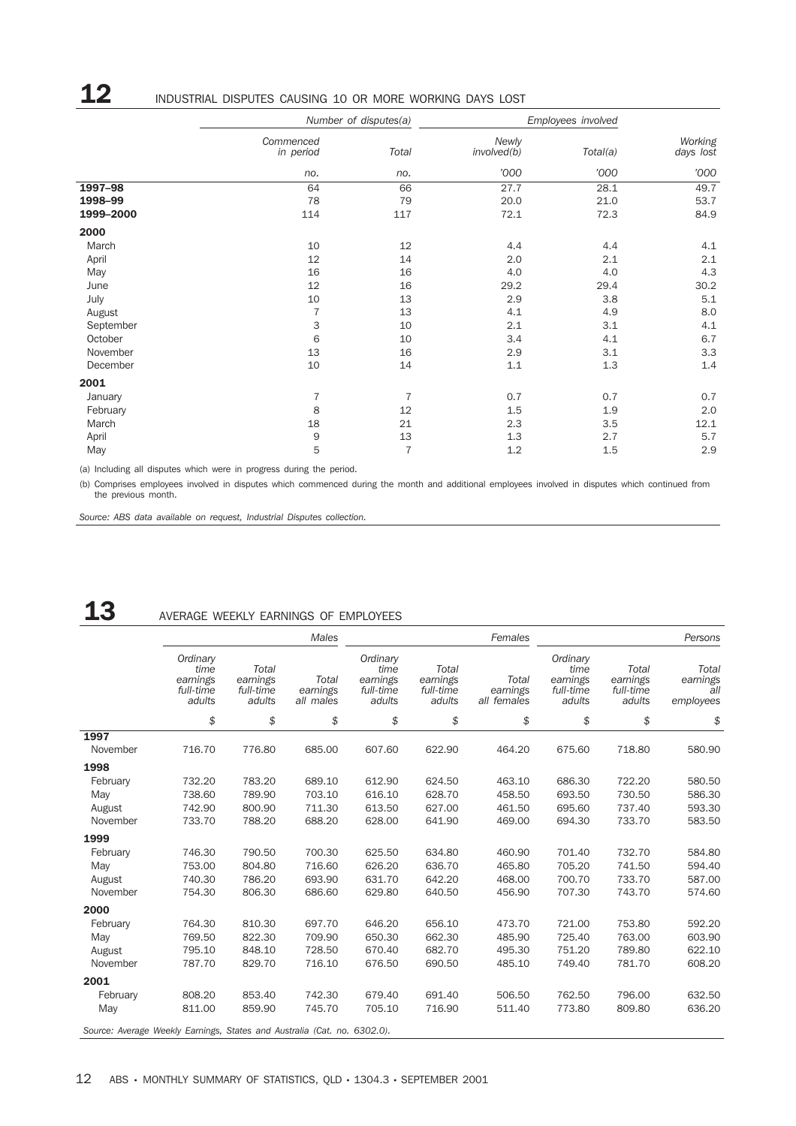# 12 INDUSTRIAL DISPUTES CAUSING 10 OR MORE WORKING DAYS LOST

| Commenced<br>in period | Total          | Newly<br>involved(b)  | Total(a) | Working<br>days lost |  |
|------------------------|----------------|-----------------------|----------|----------------------|--|
| no.                    | no.            | '000                  | '000     | '000                 |  |
| 64                     | 66             | 27.7                  | 28.1     | 49.7                 |  |
| 78                     | 79             | 20.0                  | 21.0     | 53.7                 |  |
| 114                    | 117            | 72.1                  | 72.3     | 84.9                 |  |
|                        |                |                       |          |                      |  |
| 10                     | 12             | 4.4                   | 4.4      | 4.1                  |  |
| 12                     | 14             | 2.0                   | 2.1      | 2.1                  |  |
| 16                     | 16             | 4.0                   | 4.0      | 4.3                  |  |
| 12                     | 16             | 29.2                  | 29.4     | 30.2                 |  |
| 10                     | 13             | 2.9                   | 3.8      | 5.1                  |  |
| $\overline{7}$         | 13             | 4.1                   | 4.9      | 8.0                  |  |
| 3                      | 10             | 2.1                   | 3.1      | 4.1                  |  |
| 6                      | 10             | 3.4                   | 4.1      | 6.7                  |  |
| 13                     | 16             | 2.9                   | 3.1      | 3.3                  |  |
| 10                     | 14             | 1.1                   | 1.3      | 1.4                  |  |
|                        |                |                       |          |                      |  |
| 7                      | 7              | 0.7                   | 0.7      | 0.7                  |  |
| 8                      | 12             | 1.5                   | 1.9      | 2.0                  |  |
| 18                     | 21             | 2.3                   | 3.5      | 12.1                 |  |
| 9                      | 13             | 1.3                   | 2.7      | 5.7                  |  |
| 5                      | $\overline{7}$ | 1.2                   | 1.5      | 2.9                  |  |
|                        |                | Number of disputes(a) |          | Employees involved   |  |

(a) Including all disputes which were in progress during the period.

(b) Comprises employees involved in disputes which commenced during the month and additional employees involved in disputes which continued from the previous month.

*Source: ABS data available on request, Industrial Disputes collection.*

# 13 AVERAGE WEEKLY EARNINGS OF EMPLOYEES

|                                                                          |                                                     |                                          | Males                          |                                                     |                                          | Females                          |                                                     |                                          | Persons                               |
|--------------------------------------------------------------------------|-----------------------------------------------------|------------------------------------------|--------------------------------|-----------------------------------------------------|------------------------------------------|----------------------------------|-----------------------------------------------------|------------------------------------------|---------------------------------------|
|                                                                          | Ordinary<br>time<br>earnings<br>full-time<br>adults | Total<br>earnings<br>full-time<br>adults | Total<br>earnings<br>all males | Ordinary<br>time<br>earnings<br>full-time<br>adults | Total<br>earnings<br>full-time<br>adults | Total<br>earnings<br>all females | Ordinary<br>time<br>earnings<br>full-time<br>adults | Total<br>earnings<br>full-time<br>adults | Total<br>earnings<br>all<br>employees |
|                                                                          | \$                                                  | \$                                       | \$                             | \$                                                  | \$                                       | \$                               | \$                                                  | \$                                       | \$                                    |
| 1997                                                                     |                                                     |                                          |                                |                                                     |                                          |                                  |                                                     |                                          |                                       |
| November                                                                 | 716.70                                              | 776.80                                   | 685.00                         | 607.60                                              | 622.90                                   | 464.20                           | 675.60                                              | 718.80                                   | 580.90                                |
| 1998                                                                     |                                                     |                                          |                                |                                                     |                                          |                                  |                                                     |                                          |                                       |
| February                                                                 | 732.20                                              | 783.20                                   | 689.10                         | 612.90                                              | 624.50                                   | 463.10                           | 686.30                                              | 722.20                                   | 580.50                                |
| May                                                                      | 738.60                                              | 789.90                                   | 703.10                         | 616.10                                              | 628.70                                   | 458.50                           | 693.50                                              | 730.50                                   | 586.30                                |
| August                                                                   | 742.90                                              | 800.90                                   | 711.30                         | 613.50                                              | 627.00                                   | 461.50                           | 695.60                                              | 737.40                                   | 593.30                                |
| November                                                                 | 733.70                                              | 788.20                                   | 688.20                         | 628.00                                              | 641.90                                   | 469.00                           | 694.30                                              | 733.70                                   | 583.50                                |
| 1999                                                                     |                                                     |                                          |                                |                                                     |                                          |                                  |                                                     |                                          |                                       |
| February                                                                 | 746.30                                              | 790.50                                   | 700.30                         | 625.50                                              | 634.80                                   | 460.90                           | 701.40                                              | 732.70                                   | 584.80                                |
| May                                                                      | 753.00                                              | 804.80                                   | 716.60                         | 626.20                                              | 636.70                                   | 465.80                           | 705.20                                              | 741.50                                   | 594.40                                |
| August                                                                   | 740.30                                              | 786.20                                   | 693.90                         | 631.70                                              | 642.20                                   | 468.00                           | 700.70                                              | 733.70                                   | 587.00                                |
| November                                                                 | 754.30                                              | 806.30                                   | 686.60                         | 629.80                                              | 640.50                                   | 456.90                           | 707.30                                              | 743.70                                   | 574.60                                |
| 2000                                                                     |                                                     |                                          |                                |                                                     |                                          |                                  |                                                     |                                          |                                       |
| February                                                                 | 764.30                                              | 810.30                                   | 697.70                         | 646.20                                              | 656.10                                   | 473.70                           | 721.00                                              | 753.80                                   | 592.20                                |
| May                                                                      | 769.50                                              | 822.30                                   | 709.90                         | 650.30                                              | 662.30                                   | 485.90                           | 725.40                                              | 763.00                                   | 603.90                                |
| August                                                                   | 795.10                                              | 848.10                                   | 728.50                         | 670.40                                              | 682.70                                   | 495.30                           | 751.20                                              | 789.80                                   | 622.10                                |
| November                                                                 | 787.70                                              | 829.70                                   | 716.10                         | 676.50                                              | 690.50                                   | 485.10                           | 749.40                                              | 781.70                                   | 608.20                                |
| 2001                                                                     |                                                     |                                          |                                |                                                     |                                          |                                  |                                                     |                                          |                                       |
| February                                                                 | 808.20                                              | 853.40                                   | 742.30                         | 679.40                                              | 691.40                                   | 506.50                           | 762.50                                              | 796.00                                   | 632.50                                |
| May                                                                      | 811.00                                              | 859.90                                   | 745.70                         | 705.10                                              | 716.90                                   | 511.40                           | 773.80                                              | 809.80                                   | 636.20                                |
| Source: Average Weekly Earnings, States and Australia (Cat. no. 6302.0). |                                                     |                                          |                                |                                                     |                                          |                                  |                                                     |                                          |                                       |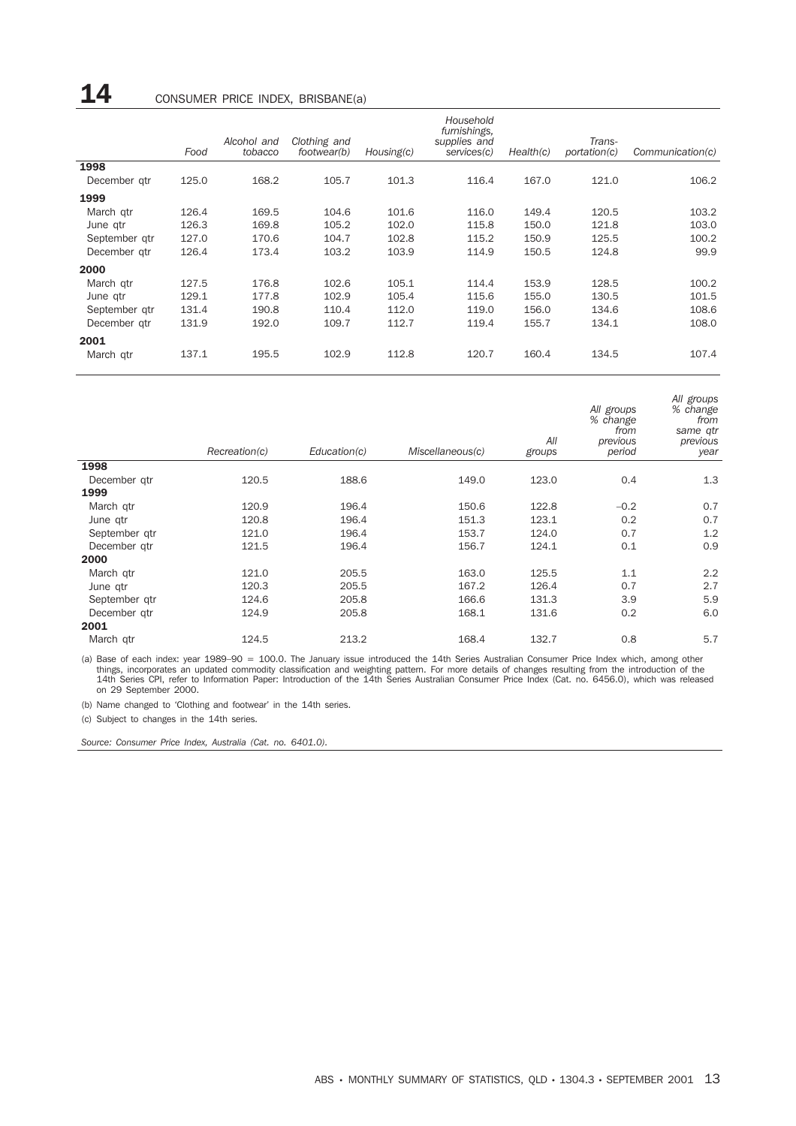# 14 CONSUMER PRICE INDEX, BRISBANE(a)

|               |       | Alcohol and | Clothing and |            | Household<br>furnishings,<br>supplies and |           | Trans-       |                  |
|---------------|-------|-------------|--------------|------------|-------------------------------------------|-----------|--------------|------------------|
|               | Food  | tobacco     | footwear(b)  | Housing(c) | services(c)                               | Health(c) | portation(c) | Communication(c) |
| 1998          |       |             |              |            |                                           |           |              |                  |
| December gtr  | 125.0 | 168.2       | 105.7        | 101.3      | 116.4                                     | 167.0     | 121.0        | 106.2            |
| 1999          |       |             |              |            |                                           |           |              |                  |
| March gtr     | 126.4 | 169.5       | 104.6        | 101.6      | 116.0                                     | 149.4     | 120.5        | 103.2            |
| June gtr      | 126.3 | 169.8       | 105.2        | 102.0      | 115.8                                     | 150.0     | 121.8        | 103.0            |
| September gtr | 127.0 | 170.6       | 104.7        | 102.8      | 115.2                                     | 150.9     | 125.5        | 100.2            |
| December atr  | 126.4 | 173.4       | 103.2        | 103.9      | 114.9                                     | 150.5     | 124.8        | 99.9             |
| 2000          |       |             |              |            |                                           |           |              |                  |
| March gtr     | 127.5 | 176.8       | 102.6        | 105.1      | 114.4                                     | 153.9     | 128.5        | 100.2            |
| June gtr      | 129.1 | 177.8       | 102.9        | 105.4      | 115.6                                     | 155.0     | 130.5        | 101.5            |
| September gtr | 131.4 | 190.8       | 110.4        | 112.0      | 119.0                                     | 156.0     | 134.6        | 108.6            |
| December atr  | 131.9 | 192.0       | 109.7        | 112.7      | 119.4                                     | 155.7     | 134.1        | 108.0            |
| 2001          |       |             |              |            |                                           |           |              |                  |
| March gtr     | 137.1 | 195.5       | 102.9        | 112.8      | 120.7                                     | 160.4     | 134.5        | 107.4            |

|               | Recreation(c) | Education(c) | Miscellaneous(c) | All<br>groups | All groups<br>% change<br>from<br>previous<br>period | All groups<br>% change<br>from<br>same qtr<br>previous<br>year |
|---------------|---------------|--------------|------------------|---------------|------------------------------------------------------|----------------------------------------------------------------|
| 1998          |               |              |                  |               |                                                      |                                                                |
| December gtr  | 120.5         | 188.6        | 149.0            | 123.0         | 0.4                                                  | 1.3                                                            |
| 1999          |               |              |                  |               |                                                      |                                                                |
| March gtr     | 120.9         | 196.4        | 150.6            | 122.8         | $-0.2$                                               | 0.7                                                            |
| June gtr      | 120.8         | 196.4        | 151.3            | 123.1         | 0.2                                                  | 0.7                                                            |
| September gtr | 121.0         | 196.4        | 153.7            | 124.0         | 0.7                                                  | 1.2                                                            |
| December gtr  | 121.5         | 196.4        | 156.7            | 124.1         | 0.1                                                  | 0.9                                                            |
| 2000          |               |              |                  |               |                                                      |                                                                |
| March qtr     | 121.0         | 205.5        | 163.0            | 125.5         | 1.1                                                  | 2.2                                                            |
| June gtr      | 120.3         | 205.5        | 167.2            | 126.4         | 0.7                                                  | 2.7                                                            |
| September gtr | 124.6         | 205.8        | 166.6            | 131.3         | 3.9                                                  | 5.9                                                            |
| December gtr  | 124.9         | 205.8        | 168.1            | 131.6         | 0.2                                                  | 6.0                                                            |
| 2001          |               |              |                  |               |                                                      |                                                                |
| March gtr     | 124.5         | 213.2        | 168.4            | 132.7         | 0.8                                                  | 5.7                                                            |

(a) Base of each index: year 1989–90 = 100.0. The January issue introduced the 14th Series Australian Consumer Price Index which, among other<br>things, incorporates an updated commodity classification and weighting pattern. on 29 September 2000.

(b) Name changed to 'Clothing and footwear' in the 14th series.

(c) Subject to changes in the 14th series.

*Source: Consumer Price Index, Australia (Cat. no. 6401.0).*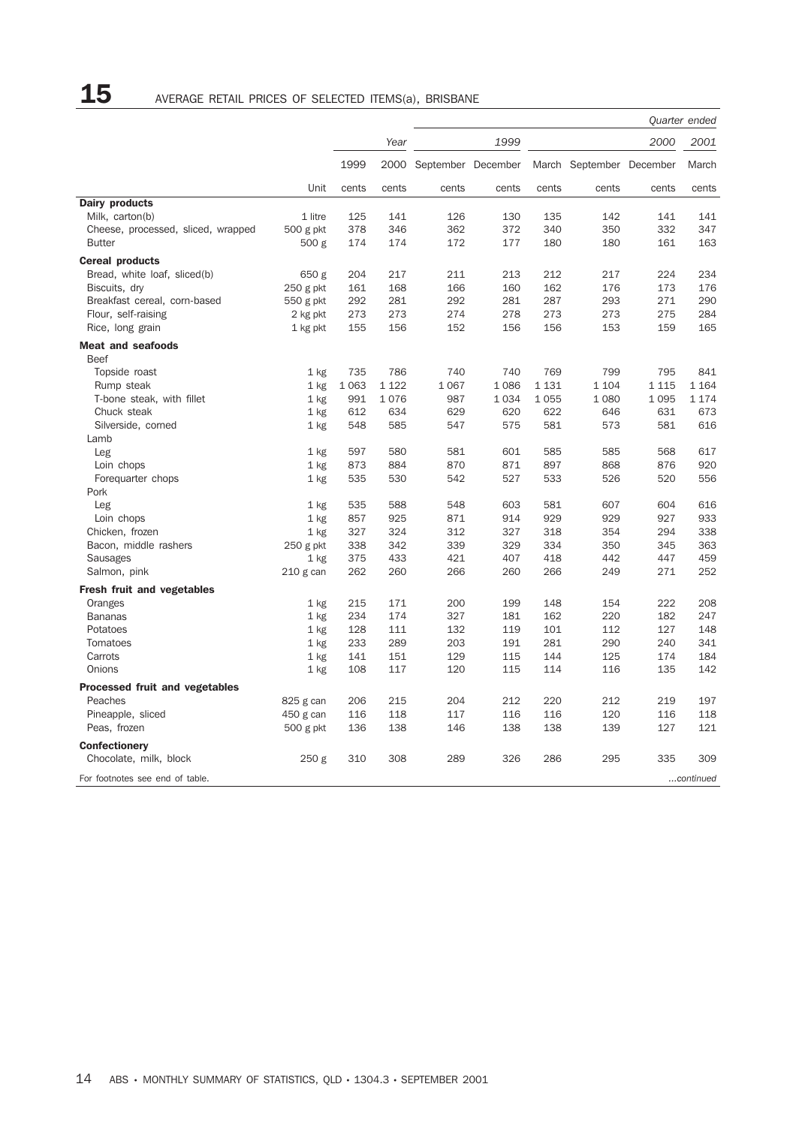|                                                |           |         |         |                         |       |         |                          |         | Quarter ended |
|------------------------------------------------|-----------|---------|---------|-------------------------|-------|---------|--------------------------|---------|---------------|
|                                                |           |         | Year    |                         | 1999  |         |                          | 2000    | 2001          |
|                                                |           | 1999    |         | 2000 September December |       |         | March September December |         | March         |
|                                                | Unit      | cents   | cents   | cents                   | cents | cents   | cents                    | cents   | cents         |
| Dairy products                                 |           |         |         |                         |       |         |                          |         |               |
| Milk, carton(b)                                | 1 litre   | 125     | 141     | 126                     | 130   | 135     | 142                      | 141     | 141           |
| Cheese, processed, sliced, wrapped             | 500 g pkt | 378     | 346     | 362                     | 372   | 340     | 350                      | 332     | 347           |
| <b>Butter</b>                                  | 500 g     | 174     | 174     | 172                     | 177   | 180     | 180                      | 161     | 163           |
| <b>Cereal products</b>                         |           |         |         |                         |       |         |                          |         |               |
| Bread, white loaf, sliced(b)                   | 650 g     | 204     | 217     | 211                     | 213   | 212     | 217                      | 224     | 234           |
| Biscuits, dry                                  | 250 g pkt | 161     | 168     | 166                     | 160   | 162     | 176                      | 173     | 176           |
| Breakfast cereal, corn-based                   | 550 g pkt | 292     | 281     | 292                     | 281   | 287     | 293                      | 271     | 290           |
| Flour, self-raising                            | 2 kg pkt  | 273     | 273     | 274                     | 278   | 273     | 273                      | 275     | 284           |
| Rice, long grain                               | 1 kg pkt  | 155     | 156     | 152                     | 156   | 156     | 153                      | 159     | 165           |
| <b>Meat and seafoods</b><br><b>Beef</b>        |           |         |         |                         |       |         |                          |         |               |
| Topside roast                                  | $1$ kg    | 735     | 786     | 740                     | 740   | 769     | 799                      | 795     | 841           |
| Rump steak                                     | 1 kg      | 1 0 6 3 | 1 1 2 2 | 1 0 6 7                 | 1086  | 1 1 3 1 | 1 1 0 4                  | 1 1 1 5 | 1 1 6 4       |
| T-bone steak, with fillet                      | $1$ kg    | 991     | 1076    | 987                     | 1034  | 1 0 5 5 | 1 0 8 0                  | 1095    | 1 1 7 4       |
| Chuck steak                                    | $1$ kg    | 612     | 634     | 629                     | 620   | 622     | 646                      | 631     | 673           |
| Silverside, corned                             | 1 kg      | 548     | 585     | 547                     | 575   | 581     | 573                      | 581     | 616           |
| Lamb                                           |           |         |         |                         |       |         |                          |         |               |
| Leg                                            | $1$ kg    | 597     | 580     | 581                     | 601   | 585     | 585                      | 568     | 617           |
| Loin chops                                     | $1$ kg    | 873     | 884     | 870                     | 871   | 897     | 868                      | 876     | 920           |
| Forequarter chops                              | 1 kg      | 535     | 530     | 542                     | 527   | 533     | 526                      | 520     | 556           |
| Pork                                           |           |         |         |                         |       |         |                          |         |               |
| Leg                                            | $1$ kg    | 535     | 588     | 548                     | 603   | 581     | 607                      | 604     | 616           |
| Loin chops                                     | $1$ kg    | 857     | 925     | 871                     | 914   | 929     | 929                      | 927     | 933           |
| Chicken, frozen                                | $1$ kg    | 327     | 324     | 312                     | 327   | 318     | 354                      | 294     | 338           |
| Bacon, middle rashers                          | 250 g pkt | 338     | 342     | 339                     | 329   | 334     | 350                      | 345     | 363           |
| <b>Sausages</b>                                | $1$ kg    | 375     | 433     | 421                     | 407   | 418     | 442                      | 447     | 459           |
| Salmon, pink                                   | 210 g can | 262     | 260     | 266                     | 260   | 266     | 249                      | 271     | 252           |
| Fresh fruit and vegetables                     |           |         |         |                         |       |         |                          |         |               |
| Oranges                                        | 1 kg      | 215     | 171     | 200                     | 199   | 148     | 154                      | 222     | 208           |
| <b>Bananas</b>                                 | $1$ kg    | 234     | 174     | 327                     | 181   | 162     | 220                      | 182     | 247           |
| Potatoes                                       | $1$ kg    | 128     | 111     | 132                     | 119   | 101     | 112                      | 127     | 148           |
| Tomatoes                                       | $1$ kg    | 233     | 289     | 203                     | 191   | 281     | 290                      | 240     | 341           |
| Carrots                                        | $1$ kg    | 141     | 151     | 129                     | 115   | 144     | 125                      | 174     | 184           |
| Onions                                         | $1$ kg    | 108     | 117     | 120                     | 115   | 114     | 116                      | 135     | 142           |
| <b>Processed fruit and vegetables</b>          |           |         |         |                         |       |         |                          |         |               |
| Peaches                                        | 825 g can | 206     | 215     | 204                     | 212   | 220     | 212                      | 219     | 197           |
| Pineapple, sliced                              | 450 g can | 116     | 118     | 117                     | 116   | 116     | 120                      | 116     | 118           |
| Peas, frozen                                   | 500 g pkt | 136     | 138     | 146                     | 138   | 138     | 139                      | 127     | 121           |
|                                                |           |         |         |                         |       |         |                          |         |               |
| <b>Confectionery</b><br>Chocolate, milk, block | 250 g     | 310     | 308     | 289                     | 326   | 286     | 295                      | 335     | 309           |
| For footnotes see end of table.                |           |         |         |                         |       |         |                          |         | continued     |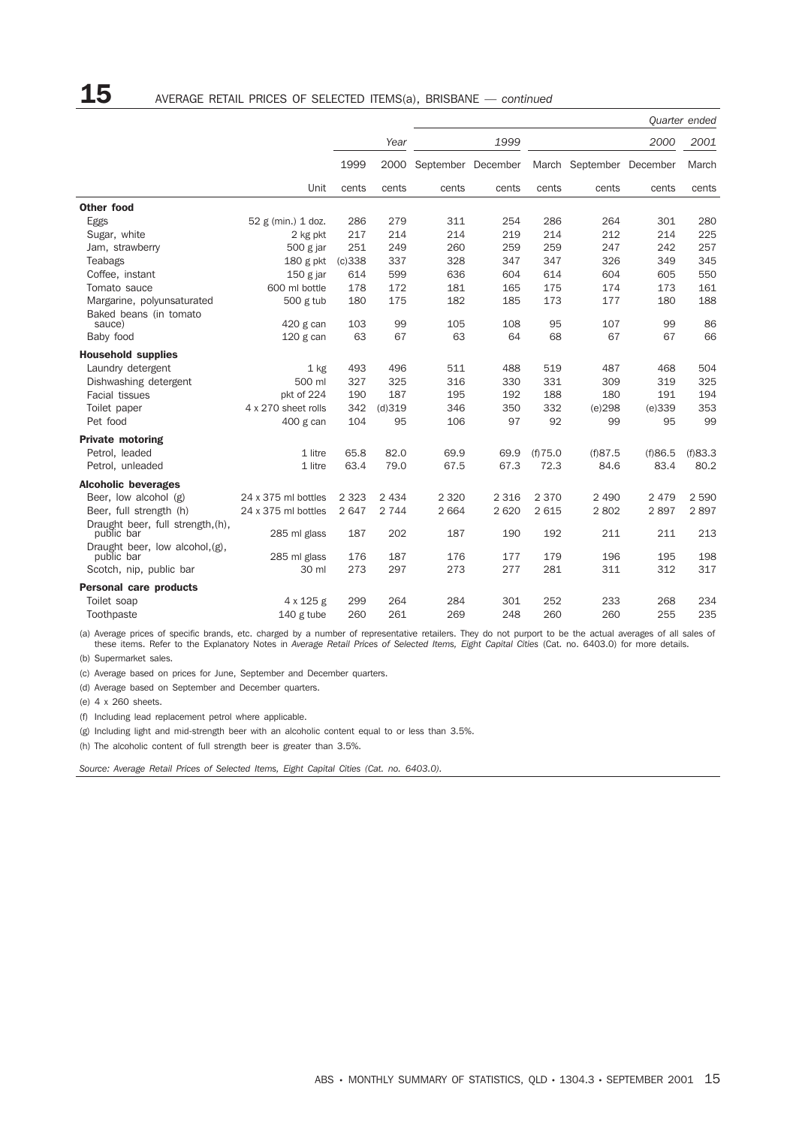|                                                  |                     |         |         |                    |         |          |                          |         | Quarter ended |
|--------------------------------------------------|---------------------|---------|---------|--------------------|---------|----------|--------------------------|---------|---------------|
|                                                  |                     |         | Year    |                    | 1999    |          |                          | 2000    | 2001          |
|                                                  |                     | 1999    | 2000    | September December |         |          | March September December |         | March         |
|                                                  | Unit                | cents   | cents   | cents              | cents   | cents    | cents                    | cents   | cents         |
| <b>Other food</b>                                |                     |         |         |                    |         |          |                          |         |               |
| Eggs                                             | 52 g (min.) 1 doz.  | 286     | 279     | 311                | 254     | 286      | 264                      | 301     | 280           |
| Sugar, white                                     | 2 kg pkt            | 217     | 214     | 214                | 219     | 214      | 212                      | 214     | 225           |
| Jam, strawberry                                  | 500 g jar           | 251     | 249     | 260                | 259     | 259      | 247                      | 242     | 257           |
| Teabags                                          | 180 g pkt           | (c)338  | 337     | 328                | 347     | 347      | 326                      | 349     | 345           |
| Coffee, instant                                  | $150$ g jar         | 614     | 599     | 636                | 604     | 614      | 604                      | 605     | 550           |
| Tomato sauce                                     | 600 ml bottle       | 178     | 172     | 181                | 165     | 175      | 174                      | 173     | 161           |
| Margarine, polyunsaturated                       | 500 g tub           | 180     | 175     | 182                | 185     | 173      | 177                      | 180     | 188           |
| Baked beans (in tomato                           |                     |         |         |                    |         |          |                          |         |               |
| sauce)                                           | 420 g can           | 103     | 99      | 105                | 108     | 95       | 107                      | 99      | 86            |
| Baby food                                        | $120$ g can         | 63      | 67      | 63                 | 64      | 68       | 67                       | 67      | 66            |
| <b>Household supplies</b>                        |                     |         |         |                    |         |          |                          |         |               |
| Laundry detergent                                | $1$ kg              | 493     | 496     | 511                | 488     | 519      | 487                      | 468     | 504           |
| Dishwashing detergent                            | 500 ml              | 327     | 325     | 316                | 330     | 331      | 309                      | 319     | 325           |
| Facial tissues                                   | pkt of 224          | 190     | 187     | 195                | 192     | 188      | 180                      | 191     | 194           |
| Toilet paper                                     | 4 x 270 sheet rolls | 342     | (d)319  | 346                | 350     | 332      | (e)298                   | (e)339  | 353           |
| Pet food                                         | 400 g can           | 104     | 95      | 106                | 97      | 92       | 99                       | 95      | 99            |
| <b>Private motoring</b>                          |                     |         |         |                    |         |          |                          |         |               |
| Petrol, leaded                                   | 1 litre             | 65.8    | 82.0    | 69.9               | 69.9    | (f) 75.0 | (f)87.5                  | (f)86.5 | (f)83.3       |
| Petrol, unleaded                                 | 1 litre             | 63.4    | 79.0    | 67.5               | 67.3    | 72.3     | 84.6                     | 83.4    | 80.2          |
| <b>Alcoholic beverages</b>                       |                     |         |         |                    |         |          |                          |         |               |
| Beer, low alcohol (g)                            | 24 x 375 ml bottles | 2 3 2 3 | 2 4 3 4 | 2 3 2 0            | 2 3 1 6 | 2 3 7 0  | 2 4 9 0                  | 2 4 7 9 | 2 5 9 0       |
| Beer, full strength (h)                          | 24 x 375 ml bottles | 2 647   | 2 7 4 4 | 2 6 6 4            | 2 6 2 0 | 2615     | 2802                     | 2897    | 2897          |
| Draught beer, full strength, (h),                |                     |         |         |                    |         |          |                          |         |               |
| public bar                                       | 285 ml glass        | 187     | 202     | 187                | 190     | 192      | 211                      | 211     | 213           |
| Draught beer, low alcohol, $(g)$ ,<br>public bar | 285 ml glass        | 176     | 187     | 176                | 177     | 179      | 196                      | 195     | 198           |
| Scotch, nip, public bar                          | 30 ml               | 273     | 297     | 273                | 277     | 281      | 311                      | 312     | 317           |
| <b>Personal care products</b>                    |                     |         |         |                    |         |          |                          |         |               |
| Toilet soap                                      | 4 x 125 g           | 299     | 264     | 284                | 301     | 252      | 233                      | 268     | 234           |
| Toothpaste                                       | $140$ g tube        | 260     | 261     | 269                | 248     | 260      | 260                      | 255     | 235           |

(a) Average prices of specific brands, etc. charged by a number of representative retailers. They do not purport to be the actual averages of all sales of these items. Refer to the Explanatory Notes in *Average Retail Prices of Selected Items, Eight Capital Cities* (Cat. no. 6403.0) for more details.

(b) Supermarket sales.

(c) Average based on prices for June, September and December quarters.

(d) Average based on September and December quarters.

(e) 4 x 260 sheets.

(f) Including lead replacement petrol where applicable.

(g) Including light and mid-strength beer with an alcoholic content equal to or less than 3.5%.

(h) The alcoholic content of full strength beer is greater than 3.5%.

*Source: Average Retail Prices of Selected Items, Eight Capital Cities (Cat. no. 6403.0).*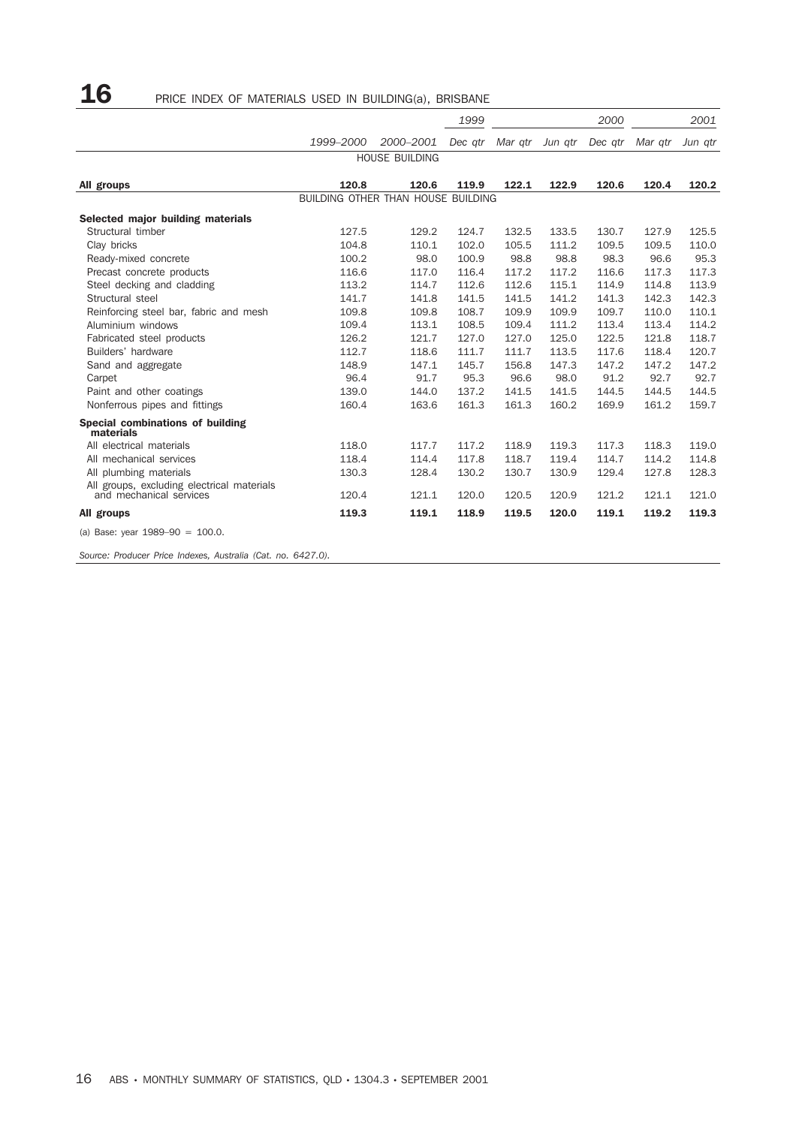# ${\bf 16}$  PRICE INDEX OF MATERIALS USED IN BUILDING(a), BRISBANE

|                                                                       |                                                                                                                                                                                                                                                                                                                                                                                                                                                                                                                                                                                                                                                                                                                                                                                                                                                                                                                                                                                                                                                                                                                                                                                                                                                                                              |           | 1999    | 2000    |         |         | 2001    |         |
|-----------------------------------------------------------------------|----------------------------------------------------------------------------------------------------------------------------------------------------------------------------------------------------------------------------------------------------------------------------------------------------------------------------------------------------------------------------------------------------------------------------------------------------------------------------------------------------------------------------------------------------------------------------------------------------------------------------------------------------------------------------------------------------------------------------------------------------------------------------------------------------------------------------------------------------------------------------------------------------------------------------------------------------------------------------------------------------------------------------------------------------------------------------------------------------------------------------------------------------------------------------------------------------------------------------------------------------------------------------------------------|-----------|---------|---------|---------|---------|---------|---------|
|                                                                       | 1999-2000                                                                                                                                                                                                                                                                                                                                                                                                                                                                                                                                                                                                                                                                                                                                                                                                                                                                                                                                                                                                                                                                                                                                                                                                                                                                                    | 2000-2001 | Dec atr | Mar qtr | Jun gtr | Dec atr | Mar gtr | Jun gtr |
|                                                                       | <b>HOUSE BUILDING</b><br>120.8<br>120.6<br>119.9<br>122.1<br>122.9<br>120.6<br>120.4<br>BUILDING OTHER THAN HOUSE BUILDING<br>127.5<br>129.2<br>124.7<br>132.5<br>133.5<br>130.7<br>127.9<br>104.8<br>102.0<br>110.1<br>105.5<br>111.2<br>109.5<br>109.5<br>100.2<br>98.0<br>100.9<br>98.8<br>98.8<br>98.3<br>96.6<br>116.6<br>117.2<br>117.0<br>116.4<br>117.2<br>116.6<br>117.3<br>113.2<br>114.7<br>112.6<br>112.6<br>115.1<br>114.9<br>114.8<br>141.7<br>141.5<br>141.2<br>141.8<br>141.5<br>141.3<br>142.3<br>109.8<br>108.7<br>109.8<br>109.9<br>109.9<br>109.7<br>110.0<br>109.4<br>113.1<br>108.5<br>111.2<br>113.4<br>113.4<br>109.4<br>126.2<br>121.7<br>127.0<br>125.0<br>122.5<br>121.8<br>127.0<br>112.7<br>118.6<br>111.7<br>111.7<br>113.5<br>117.6<br>118.4<br>148.9<br>147.1<br>145.7<br>147.3<br>147.2<br>156.8<br>147.2<br>96.4<br>91.7<br>95.3<br>96.6<br>98.0<br>91.2<br>92.7<br>139.0<br>144.0<br>137.2<br>141.5<br>141.5<br>144.5<br>144.5<br>160.2<br>160.4<br>163.6<br>161.3<br>161.3<br>169.9<br>161.2<br>118.0<br>117.7<br>117.2<br>118.9<br>119.3<br>117.3<br>118.3<br>118.4<br>114.4<br>117.8<br>118.7<br>119.4<br>114.7<br>114.2<br>130.2<br>130.3<br>128.4<br>130.7<br>130.9<br>129.4<br>127.8<br>120.4<br>121.1<br>120.0<br>120.5<br>120.9<br>121.2<br>121.1 |           |         |         |         |         |         |         |
|                                                                       |                                                                                                                                                                                                                                                                                                                                                                                                                                                                                                                                                                                                                                                                                                                                                                                                                                                                                                                                                                                                                                                                                                                                                                                                                                                                                              |           |         |         |         |         |         |         |
| All groups                                                            |                                                                                                                                                                                                                                                                                                                                                                                                                                                                                                                                                                                                                                                                                                                                                                                                                                                                                                                                                                                                                                                                                                                                                                                                                                                                                              |           |         |         |         |         |         | 120.2   |
|                                                                       |                                                                                                                                                                                                                                                                                                                                                                                                                                                                                                                                                                                                                                                                                                                                                                                                                                                                                                                                                                                                                                                                                                                                                                                                                                                                                              |           |         |         |         |         |         |         |
| Selected major building materials                                     |                                                                                                                                                                                                                                                                                                                                                                                                                                                                                                                                                                                                                                                                                                                                                                                                                                                                                                                                                                                                                                                                                                                                                                                                                                                                                              |           |         |         |         |         |         |         |
| Structural timber                                                     |                                                                                                                                                                                                                                                                                                                                                                                                                                                                                                                                                                                                                                                                                                                                                                                                                                                                                                                                                                                                                                                                                                                                                                                                                                                                                              |           |         |         |         |         |         | 125.5   |
| Clay bricks                                                           |                                                                                                                                                                                                                                                                                                                                                                                                                                                                                                                                                                                                                                                                                                                                                                                                                                                                                                                                                                                                                                                                                                                                                                                                                                                                                              |           |         |         |         |         |         | 110.0   |
| Ready-mixed concrete                                                  |                                                                                                                                                                                                                                                                                                                                                                                                                                                                                                                                                                                                                                                                                                                                                                                                                                                                                                                                                                                                                                                                                                                                                                                                                                                                                              |           |         |         |         |         |         | 95.3    |
| Precast concrete products                                             |                                                                                                                                                                                                                                                                                                                                                                                                                                                                                                                                                                                                                                                                                                                                                                                                                                                                                                                                                                                                                                                                                                                                                                                                                                                                                              |           |         |         |         |         |         | 117.3   |
| Steel decking and cladding                                            |                                                                                                                                                                                                                                                                                                                                                                                                                                                                                                                                                                                                                                                                                                                                                                                                                                                                                                                                                                                                                                                                                                                                                                                                                                                                                              |           |         |         |         |         |         | 113.9   |
| Structural steel                                                      |                                                                                                                                                                                                                                                                                                                                                                                                                                                                                                                                                                                                                                                                                                                                                                                                                                                                                                                                                                                                                                                                                                                                                                                                                                                                                              |           |         |         |         |         |         | 142.3   |
| Reinforcing steel bar, fabric and mesh                                |                                                                                                                                                                                                                                                                                                                                                                                                                                                                                                                                                                                                                                                                                                                                                                                                                                                                                                                                                                                                                                                                                                                                                                                                                                                                                              |           |         |         |         |         |         | 110.1   |
| Aluminium windows                                                     |                                                                                                                                                                                                                                                                                                                                                                                                                                                                                                                                                                                                                                                                                                                                                                                                                                                                                                                                                                                                                                                                                                                                                                                                                                                                                              |           |         |         |         |         |         | 114.2   |
| Fabricated steel products                                             |                                                                                                                                                                                                                                                                                                                                                                                                                                                                                                                                                                                                                                                                                                                                                                                                                                                                                                                                                                                                                                                                                                                                                                                                                                                                                              |           |         |         |         |         |         | 118.7   |
| Builders' hardware                                                    |                                                                                                                                                                                                                                                                                                                                                                                                                                                                                                                                                                                                                                                                                                                                                                                                                                                                                                                                                                                                                                                                                                                                                                                                                                                                                              |           |         |         |         |         |         | 120.7   |
| Sand and aggregate                                                    |                                                                                                                                                                                                                                                                                                                                                                                                                                                                                                                                                                                                                                                                                                                                                                                                                                                                                                                                                                                                                                                                                                                                                                                                                                                                                              |           |         |         |         |         |         | 147.2   |
| Carpet                                                                |                                                                                                                                                                                                                                                                                                                                                                                                                                                                                                                                                                                                                                                                                                                                                                                                                                                                                                                                                                                                                                                                                                                                                                                                                                                                                              |           |         |         |         |         |         | 92.7    |
| Paint and other coatings                                              |                                                                                                                                                                                                                                                                                                                                                                                                                                                                                                                                                                                                                                                                                                                                                                                                                                                                                                                                                                                                                                                                                                                                                                                                                                                                                              |           |         |         |         |         |         | 144.5   |
| Nonferrous pipes and fittings                                         |                                                                                                                                                                                                                                                                                                                                                                                                                                                                                                                                                                                                                                                                                                                                                                                                                                                                                                                                                                                                                                                                                                                                                                                                                                                                                              |           |         |         |         |         |         | 159.7   |
| Special combinations of building<br>materials                         |                                                                                                                                                                                                                                                                                                                                                                                                                                                                                                                                                                                                                                                                                                                                                                                                                                                                                                                                                                                                                                                                                                                                                                                                                                                                                              |           |         |         |         |         |         |         |
| All electrical materials                                              |                                                                                                                                                                                                                                                                                                                                                                                                                                                                                                                                                                                                                                                                                                                                                                                                                                                                                                                                                                                                                                                                                                                                                                                                                                                                                              |           |         |         |         |         |         | 119.0   |
| All mechanical services                                               |                                                                                                                                                                                                                                                                                                                                                                                                                                                                                                                                                                                                                                                                                                                                                                                                                                                                                                                                                                                                                                                                                                                                                                                                                                                                                              |           |         |         |         |         |         | 114.8   |
| All plumbing materials                                                |                                                                                                                                                                                                                                                                                                                                                                                                                                                                                                                                                                                                                                                                                                                                                                                                                                                                                                                                                                                                                                                                                                                                                                                                                                                                                              |           |         |         |         |         |         | 128.3   |
| All groups, excluding electrical materials<br>and mechanical services |                                                                                                                                                                                                                                                                                                                                                                                                                                                                                                                                                                                                                                                                                                                                                                                                                                                                                                                                                                                                                                                                                                                                                                                                                                                                                              |           |         |         |         |         |         | 121.0   |
| All groups                                                            | 119.3                                                                                                                                                                                                                                                                                                                                                                                                                                                                                                                                                                                                                                                                                                                                                                                                                                                                                                                                                                                                                                                                                                                                                                                                                                                                                        | 119.1     | 118.9   | 119.5   | 120.0   | 119.1   | 119.2   | 119.3   |
| (a) Base: year $1989-90 = 100.0$ .                                    |                                                                                                                                                                                                                                                                                                                                                                                                                                                                                                                                                                                                                                                                                                                                                                                                                                                                                                                                                                                                                                                                                                                                                                                                                                                                                              |           |         |         |         |         |         |         |

*Source: Producer Price Indexes, Australia (Cat. no. 6427.0).*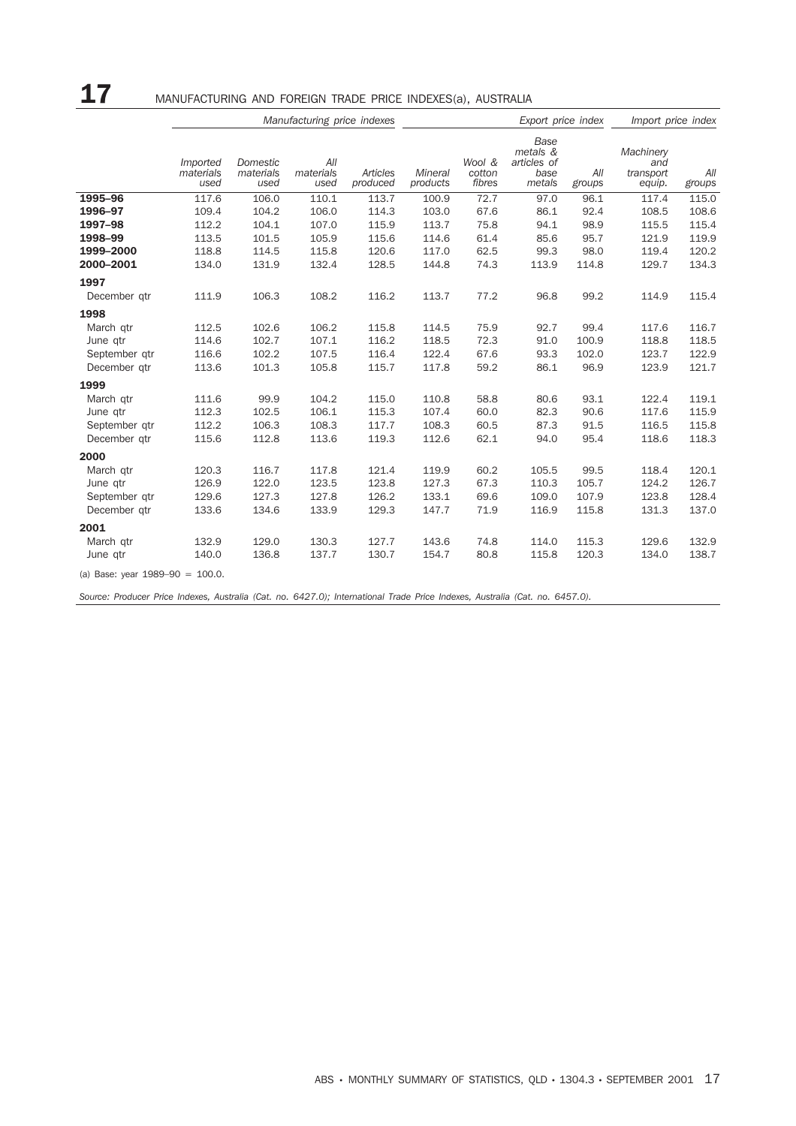# 17 MANUFACTURING AND FOREIGN TRADE PRICE INDEXES(a), AUSTRALIA

|                                    |                               |                               | Manufacturing price indexes |                      |                     |                            | Export price index                                |               |                                         | Import price index |  |
|------------------------------------|-------------------------------|-------------------------------|-----------------------------|----------------------|---------------------|----------------------------|---------------------------------------------------|---------------|-----------------------------------------|--------------------|--|
|                                    | Imported<br>materials<br>used | Domestic<br>materials<br>used | All<br>materials<br>used    | Articles<br>produced | Mineral<br>products | Wool &<br>cotton<br>fibres | Base<br>metals &<br>articles of<br>base<br>metals | All<br>groups | Machinery<br>and<br>transport<br>equip. | All<br>groups      |  |
| 1995-96                            | 117.6                         | 106.0                         | 110.1                       | 113.7                | 100.9               | 72.7                       | 97.0                                              | 96.1          | 117.4                                   | 115.0              |  |
| 1996-97                            | 109.4                         | 104.2                         | 106.0                       | 114.3                | 103.0               | 67.6                       | 86.1                                              | 92.4          | 108.5                                   | 108.6              |  |
| 1997-98                            | 112.2                         | 104.1                         | 107.0                       | 115.9                | 113.7               | 75.8                       | 94.1                                              | 98.9          | 115.5                                   | 115.4              |  |
| 1998-99                            | 113.5                         | 101.5                         | 105.9                       | 115.6                | 114.6               | 61.4                       | 85.6                                              | 95.7          | 121.9                                   | 119.9              |  |
| 1999-2000                          | 118.8                         | 114.5                         | 115.8                       | 120.6                | 117.0               | 62.5                       | 99.3                                              | 98.0          | 119.4                                   | 120.2              |  |
| 2000-2001                          | 134.0                         | 131.9                         | 132.4                       | 128.5                | 144.8               | 74.3                       | 113.9                                             | 114.8         | 129.7                                   | 134.3              |  |
| 1997                               |                               |                               |                             |                      |                     |                            |                                                   |               |                                         |                    |  |
| December qtr                       | 111.9                         | 106.3                         | 108.2                       | 116.2                | 113.7               | 77.2                       | 96.8                                              | 99.2          | 114.9                                   | 115.4              |  |
| 1998                               |                               |                               |                             |                      |                     |                            |                                                   |               |                                         |                    |  |
| March qtr                          | 112.5                         | 102.6                         | 106.2                       | 115.8                | 114.5               | 75.9                       | 92.7                                              | 99.4          | 117.6                                   | 116.7              |  |
| June qtr                           | 114.6                         | 102.7                         | 107.1                       | 116.2                | 118.5               | 72.3                       | 91.0                                              | 100.9         | 118.8                                   | 118.5              |  |
| September qtr                      | 116.6                         | 102.2                         | 107.5                       | 116.4                | 122.4               | 67.6                       | 93.3                                              | 102.0         | 123.7                                   | 122.9              |  |
| December gtr                       | 113.6                         | 101.3                         | 105.8                       | 115.7                | 117.8               | 59.2                       | 86.1                                              | 96.9          | 123.9                                   | 121.7              |  |
| 1999                               |                               |                               |                             |                      |                     |                            |                                                   |               |                                         |                    |  |
| March qtr                          | 111.6                         | 99.9                          | 104.2                       | 115.0                | 110.8               | 58.8                       | 80.6                                              | 93.1          | 122.4                                   | 119.1              |  |
| June qtr                           | 112.3                         | 102.5                         | 106.1                       | 115.3                | 107.4               | 60.0                       | 82.3                                              | 90.6          | 117.6                                   | 115.9              |  |
| September qtr                      | 112.2                         | 106.3                         | 108.3                       | 117.7                | 108.3               | 60.5                       | 87.3                                              | 91.5          | 116.5                                   | 115.8              |  |
| December gtr                       | 115.6                         | 112.8                         | 113.6                       | 119.3                | 112.6               | 62.1                       | 94.0                                              | 95.4          | 118.6                                   | 118.3              |  |
| 2000                               |                               |                               |                             |                      |                     |                            |                                                   |               |                                         |                    |  |
| March qtr                          | 120.3                         | 116.7                         | 117.8                       | 121.4                | 119.9               | 60.2                       | 105.5                                             | 99.5          | 118.4                                   | 120.1              |  |
| June qtr                           | 126.9                         | 122.0                         | 123.5                       | 123.8                | 127.3               | 67.3                       | 110.3                                             | 105.7         | 124.2                                   | 126.7              |  |
| September gtr                      | 129.6                         | 127.3                         | 127.8                       | 126.2                | 133.1               | 69.6                       | 109.0                                             | 107.9         | 123.8                                   | 128.4              |  |
| December gtr                       | 133.6                         | 134.6                         | 133.9                       | 129.3                | 147.7               | 71.9                       | 116.9                                             | 115.8         | 131.3                                   | 137.0              |  |
| 2001                               |                               |                               |                             |                      |                     |                            |                                                   |               |                                         |                    |  |
| March qtr                          | 132.9                         | 129.0                         | 130.3                       | 127.7                | 143.6               | 74.8                       | 114.0                                             | 115.3         | 129.6                                   | 132.9              |  |
| June qtr                           | 140.0                         | 136.8                         | 137.7                       | 130.7                | 154.7               | 80.8                       | 115.8                                             | 120.3         | 134.0                                   | 138.7              |  |
| (a) Base: year $1989-90 = 100.0$ . |                               |                               |                             |                      |                     |                            |                                                   |               |                                         |                    |  |

*Source: Producer Price Indexes, Australia (Cat. no. 6427.0); International Trade Price Indexes, Australia (Cat. no. 6457.0).*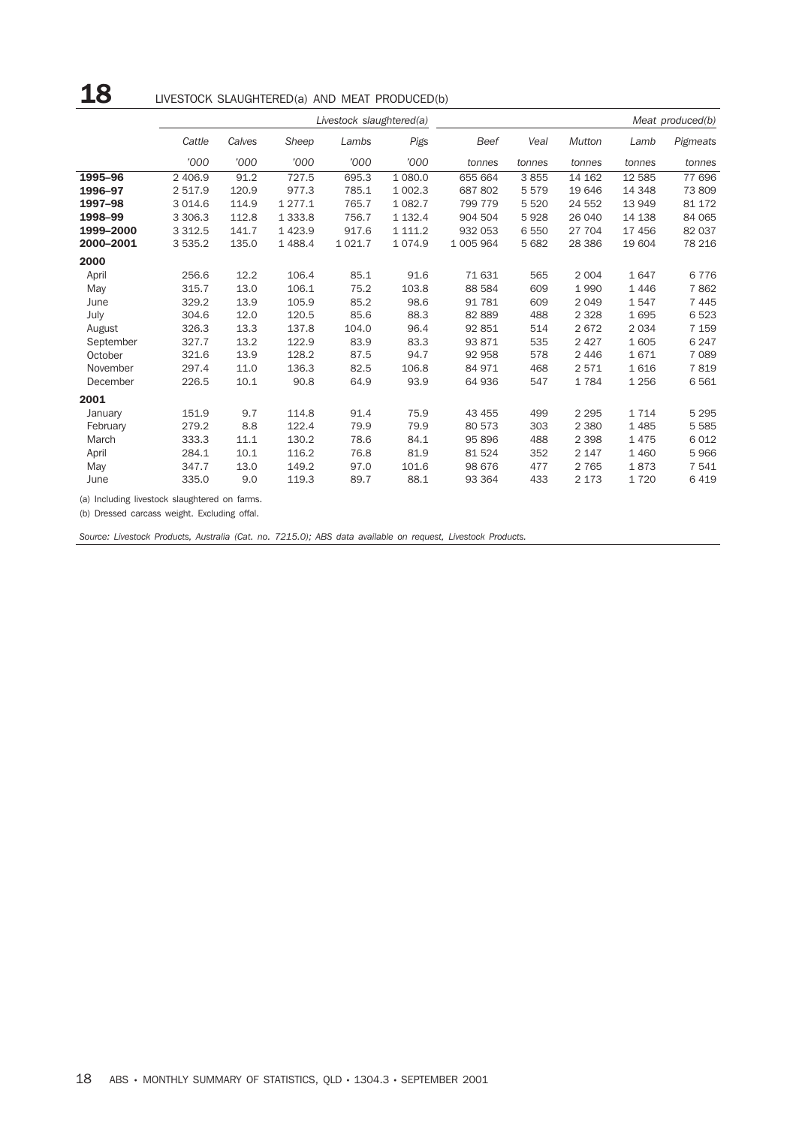# 18 LIVESTOCK SLAUGHTERED(a) AND MEAT PRODUCED(b)

|           |           |        |             | Livestock slaughtered(a) |             |             |         |               |         | Meat produced(b) |
|-----------|-----------|--------|-------------|--------------------------|-------------|-------------|---------|---------------|---------|------------------|
|           | Cattle    | Calves | Sheep       | Lambs                    | Pigs        | <b>Beef</b> | Veal    | <b>Mutton</b> | Lamb    | Pigmeats         |
|           | '000      | '000   | '000        | '000                     | '000        | tonnes      | tonnes  | tonnes        | tonnes  | tonnes           |
| 1995-96   | 2 406.9   | 91.2   | 727.5       | 695.3                    | 1 080.0     | 655 664     | 3855    | 14 162        | 12 5 85 | 77 696           |
| 1996-97   | 2 517.9   | 120.9  | 977.3       | 785.1                    | 1 002.3     | 687 802     | 5579    | 19 646        | 14 348  | 73 809           |
| 1997-98   | 3 0 1 4.6 | 114.9  | 1 2 7 7 . 1 | 765.7                    | 1 0 8 2.7   | 799 779     | 5 5 2 0 | 24 552        | 13 949  | 81 172           |
| 1998-99   | 3 3 0 6.3 | 112.8  | 1 3 3 3 . 8 | 756.7                    | 1 1 3 2 . 4 | 904 504     | 5928    | 26 040        | 14 138  | 84 065           |
| 1999-2000 | 3 3 1 2.5 | 141.7  | 1 4 2 3.9   | 917.6                    | 1 1 1 1 . 2 | 932 053     | 6 5 5 0 | 27 704        | 17 456  | 82 037           |
| 2000-2001 | 3 535.2   | 135.0  | 1488.4      | 1 0 2 1.7                | 1 0 7 4 .9  | 1 005 964   | 5 6 8 2 | 28 3 86       | 19 604  | 78 216           |
| 2000      |           |        |             |                          |             |             |         |               |         |                  |
| April     | 256.6     | 12.2   | 106.4       | 85.1                     | 91.6        | 71 631      | 565     | 2 0 0 4       | 1647    | 6776             |
| May       | 315.7     | 13.0   | 106.1       | 75.2                     | 103.8       | 88 584      | 609     | 1990          | 1446    | 7862             |
| June      | 329.2     | 13.9   | 105.9       | 85.2                     | 98.6        | 91 781      | 609     | 2049          | 1547    | 7 4 4 5          |
| July      | 304.6     | 12.0   | 120.5       | 85.6                     | 88.3        | 82 889      | 488     | 2 3 2 8       | 1695    | 6523             |
| August    | 326.3     | 13.3   | 137.8       | 104.0                    | 96.4        | 92 851      | 514     | 2672          | 2 0 3 4 | 7 1 5 9          |
| September | 327.7     | 13.2   | 122.9       | 83.9                     | 83.3        | 93 871      | 535     | 2 4 2 7       | 1605    | 6 2 4 7          |
| October   | 321.6     | 13.9   | 128.2       | 87.5                     | 94.7        | 92 958      | 578     | 2 4 4 6       | 1671    | 7 0 8 9          |
| November  | 297.4     | 11.0   | 136.3       | 82.5                     | 106.8       | 84 971      | 468     | 2571          | 1616    | 7819             |
| December  | 226.5     | 10.1   | 90.8        | 64.9                     | 93.9        | 64 936      | 547     | 1784          | 1 2 5 6 | 6561             |
| 2001      |           |        |             |                          |             |             |         |               |         |                  |
| January   | 151.9     | 9.7    | 114.8       | 91.4                     | 75.9        | 43 455      | 499     | 2 2 9 5       | 1 7 1 4 | 5 2 9 5          |
| February  | 279.2     | 8.8    | 122.4       | 79.9                     | 79.9        | 80 573      | 303     | 2 3 8 0       | 1485    | 5 5 8 5          |
| March     | 333.3     | 11.1   | 130.2       | 78.6                     | 84.1        | 95 896      | 488     | 2 3 9 8       | 1475    | 6 0 1 2          |
| April     | 284.1     | 10.1   | 116.2       | 76.8                     | 81.9        | 81 524      | 352     | 2 1 4 7       | 1 4 6 0 | 5966             |
| May       | 347.7     | 13.0   | 149.2       | 97.0                     | 101.6       | 98 676      | 477     | 2 7 6 5       | 1873    | 7 541            |
| June      | 335.0     | 9.0    | 119.3       | 89.7                     | 88.1        | 93 364      | 433     | 2 1 7 3       | 1720    | 6419             |

(a) Including livestock slaughtered on farms.

(b) Dressed carcass weight. Excluding offal.

*Source: Livestock Products, Australia (Cat. no. 7215.0); ABS data available on request, Livestock Products.*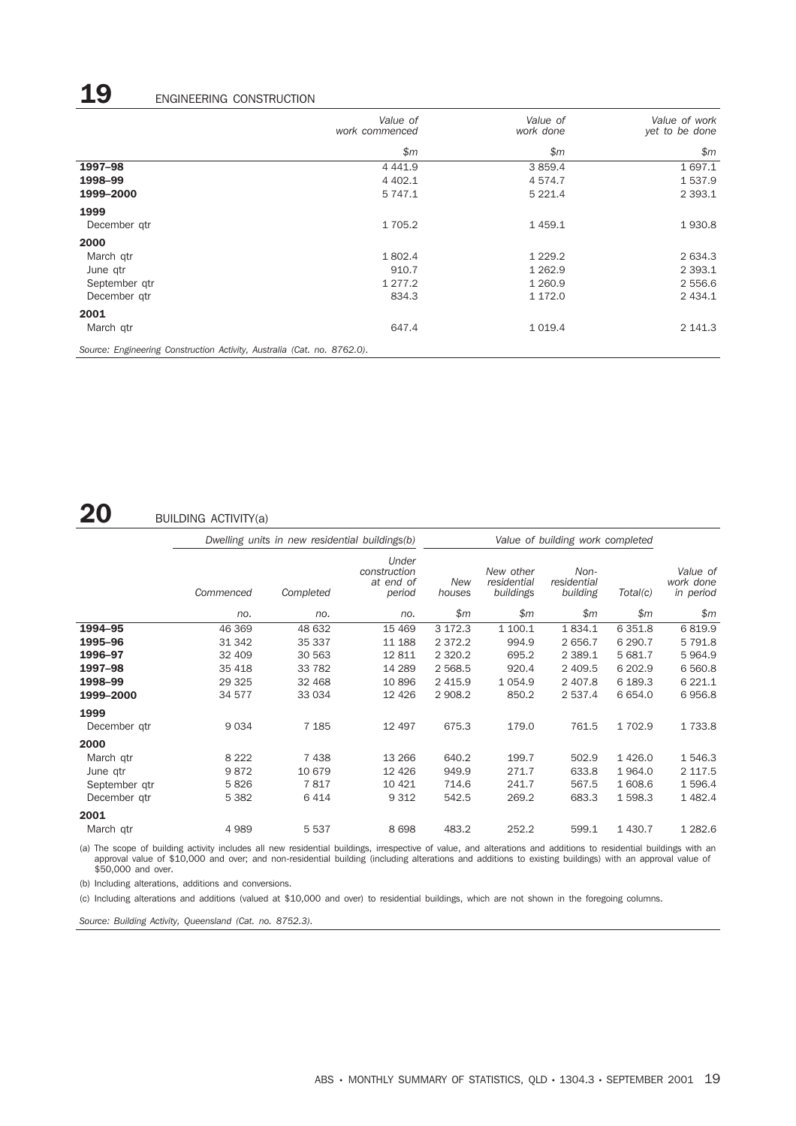# 19 ENGINEERING CONSTRUCTION

|                                                                         | Value of<br>work commenced | Value of<br>work done | Value of work<br>yet to be done |
|-------------------------------------------------------------------------|----------------------------|-----------------------|---------------------------------|
|                                                                         | \$m\$                      | \$m\$                 | \$m\$                           |
| 1997-98                                                                 | 4 4 4 1.9                  | 3 8 5 9.4             | 1 697.1                         |
| 1998-99                                                                 | 4 4 0 2.1                  | 4 5 7 4 . 7           | 1 537.9                         |
| 1999-2000                                                               | 5 747.1                    | 5 2 2 1.4             | 2 3 9 3.1                       |
| 1999                                                                    |                            |                       |                                 |
| December qtr                                                            | 1 705.2                    | 1459.1                | 1930.8                          |
| 2000                                                                    |                            |                       |                                 |
| March gtr                                                               | 1802.4                     | 1 2 2 9 . 2           | 2 634.3                         |
| June qtr                                                                | 910.7                      | 1 2 6 2.9             | 2 3 9 3 . 1                     |
| September gtr                                                           | 1 277.2                    | 1 2 6 0.9             | 2 556.6                         |
| December qtr                                                            | 834.3                      | 1 172.0               | 2 4 3 4 . 1                     |
| 2001                                                                    |                            |                       |                                 |
| March qtr                                                               | 647.4                      | 1 0 1 9.4             | 2 141.3                         |
| Source: Engineering Construction Activity, Australia (Cat. no. 8762.0). |                            |                       |                                 |

# 20 BUILDING ACTIVITY(a)

|               |           | Dwelling units in new residential buildings(b) |                                              | Value of building work completed |                                       |                                 |           |                                    |
|---------------|-----------|------------------------------------------------|----------------------------------------------|----------------------------------|---------------------------------------|---------------------------------|-----------|------------------------------------|
|               | Commenced | Completed                                      | Under<br>construction<br>at end of<br>period | <b>New</b><br>houses             | New other<br>residential<br>buildings | Non-<br>residential<br>building | Total(c)  | Value of<br>work done<br>in period |
|               | no.       | no.                                            | no.                                          | \$m\$                            | \$m                                   | \$m\$                           | \$m\$     | \$m\$                              |
| 1994-95       | 46 369    | 48 632                                         | 15 4 69                                      | 3 172.3                          | 1 100.1                               | 1834.1                          | 6 3 5 1.8 | 6819.9                             |
| 1995-96       | 31 342    | 35 337                                         | 11 188                                       | 2 3 7 2 . 2                      | 994.9                                 | 2 656.7                         | 6 290.7   | 5 7 9 1.8                          |
| 1996-97       | 32 409    | 30 563                                         | 12 811                                       | 2 3 2 0.2                        | 695.2                                 | 2 3 8 9.1                       | 5 681.7   | 5964.9                             |
| 1997-98       | 35 4 18   | 33 782                                         | 14 289                                       | 2 5 68.5                         | 920.4                                 | 2 409.5                         | 6 202.9   | 6 5 6 0.8                          |
| 1998-99       | 29 3 25   | 32 468                                         | 10 896                                       | 2 4 1 5.9                        | 1 0 5 4 .9                            | 2 407.8                         | 6 189.3   | 6 2 2 1.1                          |
| 1999-2000     | 34 577    | 33 034                                         | 12 4 26                                      | 2 908.2                          | 850.2                                 | 2 537.4                         | 6 6 5 4.0 | 6956.8                             |
| 1999          |           |                                                |                                              |                                  |                                       |                                 |           |                                    |
| December gtr  | 9034      | 7 1 8 5                                        | 12 497                                       | 675.3                            | 179.0                                 | 761.5                           | 1 702.9   | 1 7 3 3.8                          |
| 2000          |           |                                                |                                              |                                  |                                       |                                 |           |                                    |
| March qtr     | 8 2 2 2   | 7438                                           | 13 26 6                                      | 640.2                            | 199.7                                 | 502.9                           | 1426.0    | 1 546.3                            |
| June qtr      | 9872      | 10 679                                         | 12 4 26                                      | 949.9                            | 271.7                                 | 633.8                           | 1964.0    | 2 1 1 7 .5                         |
| September gtr | 5826      | 7817                                           | 10 4 21                                      | 714.6                            | 241.7                                 | 567.5                           | 1 608.6   | 1 596.4                            |
| December gtr  | 5 3 8 2   | 6414                                           | 9 3 1 2                                      | 542.5                            | 269.2                                 | 683.3                           | 1 598.3   | 1 4 8 2.4                          |
| 2001          |           |                                                |                                              |                                  |                                       |                                 |           |                                    |
| March qtr     | 4989      | 5 5 3 7                                        | 8698                                         | 483.2                            | 252.2                                 | 599.1                           | 1 4 3 0.7 | 1 2 8 2.6                          |

(a) The scope of building activity includes all new residential buildings, irrespective of value, and alterations and additions to residential buildings with an<br>approval value of \$10,000 and over; and non-residential build

(b) Including alterations, additions and conversions.

(c) Including alterations and additions (valued at \$10,000 and over) to residential buildings, which are not shown in the foregoing columns.

*Source: Building Activity, Queensland (Cat. no. 8752.3).*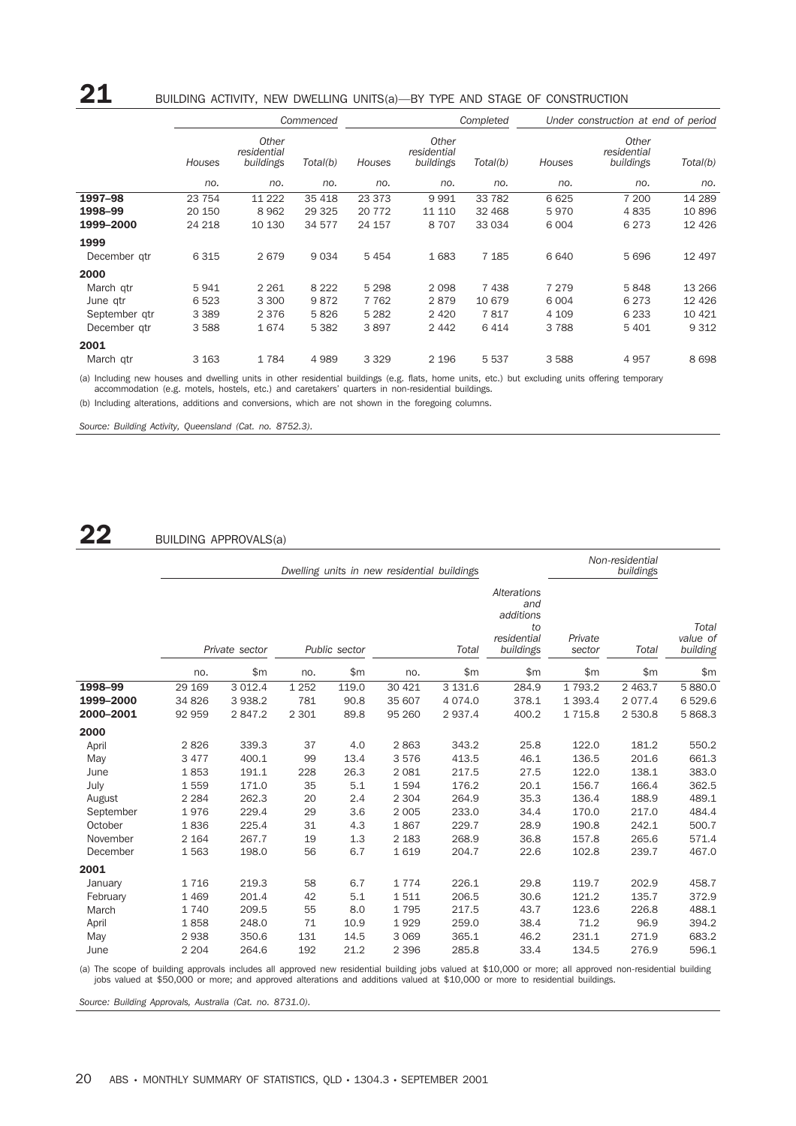## $21$  BUILDING ACTIVITY, NEW DWELLING UNITS(a)—BY TYPE AND STAGE OF CONSTRUCTION

|               |         |                                   | Commenced | Completed |                                   |          | Under construction at end of period |                                   |          |
|---------------|---------|-----------------------------------|-----------|-----------|-----------------------------------|----------|-------------------------------------|-----------------------------------|----------|
|               | Houses  | Other<br>residential<br>buildings | Total(b)  | Houses    | Other<br>residential<br>buildings | Total(b) | Houses                              | Other<br>residential<br>buildings | Total(b) |
|               | no.     | no.                               | no.       | no.       | no.                               | no.      | no.                                 | no.                               | no.      |
| 1997-98       | 23 754  | 11 222                            | 35 4 18   | 23 373    | 9991                              | 33 7 82  | 6625                                | 7 200                             | 14 289   |
| 1998-99       | 20 150  | 8 9 6 2                           | 29 3 25   | 20 772    | 11 110                            | 32 4 68  | 5970                                | 4835                              | 10896    |
| 1999-2000     | 24 218  | 10 130                            | 34 577    | 24 157    | 8707                              | 33 034   | 6 0 0 4                             | 6 2 7 3                           | 12 4 26  |
| 1999          |         |                                   |           |           |                                   |          |                                     |                                   |          |
| December gtr  | 6 3 1 5 | 2679                              | 9 0 3 4   | 5454      | 1683                              | 7 1 8 5  | 6640                                | 5696                              | 12 497   |
| 2000          |         |                                   |           |           |                                   |          |                                     |                                   |          |
| March gtr     | 5941    | 2 2 6 1                           | 8 2 2 2   | 5 2 9 8   | 2098                              | 7438     | 7 2 7 9                             | 5848                              | 13 2 66  |
| June gtr      | 6523    | 3 3 0 0                           | 9872      | 7 7 6 2   | 2879                              | 10 679   | 6 0 0 4                             | 6 2 7 3                           | 12 4 26  |
| September gtr | 3 3 8 9 | 2 3 7 6                           | 5826      | 5 2 8 2   | 2 4 2 0                           | 7817     | 4 109                               | 6 2 3 3                           | 10 4 21  |
| December atr  | 3 5 8 8 | 1674                              | 5 3 8 2   | 3897      | 2 4 4 2                           | 6414     | 3788                                | 5 4 0 1                           | 9 3 1 2  |
| 2001          |         |                                   |           |           |                                   |          |                                     |                                   |          |
| March gtr     | 3 1 6 3 | 1784                              | 4989      | 3 3 2 9   | 2 1 9 6                           | 5 5 3 7  | 3588                                | 4957                              | 8698     |

(a) Including new houses and dwelling units in other residential buildings (e.g. flats, home units, etc.) but excluding units offering temporary<br>accommodation (e.g. motels, hostels, etc.) and caretakers' quarters in non-re

(b) Including alterations, additions and conversions, which are not shown in the foregoing columns.

*Source: Building Activity, Queensland (Cat. no. 8752.3).*

 $22$  BUILDING APPROVALS(a)

|           |         |                |                        |       | Dwelling units in new residential buildings |                                                                          |                   |           | Non-residential<br>buildings  |          |
|-----------|---------|----------------|------------------------|-------|---------------------------------------------|--------------------------------------------------------------------------|-------------------|-----------|-------------------------------|----------|
|           |         | Private sector | Public sector<br>Total |       |                                             | <b>Alterations</b><br>and<br>additions<br>to<br>residential<br>buildings | Private<br>sector | Total     | Total<br>value of<br>building |          |
|           | no.     | \$m\$          | no.                    | \$m   | no.                                         | \$m                                                                      | \$m               | \$m\$     | \$m\$                         | \$m\$    |
| 1998-99   | 29 169  | 3 0 1 2.4      | 1 2 5 2                | 119.0 | 30 4 21                                     | 3 1 3 1.6                                                                | 284.9             | 1 7 9 3.2 | 2 4 6 3.7                     | 5 880.0  |
| 1999-2000 | 34 826  | 3 9 3 8.2      | 781                    | 90.8  | 35 607                                      | 4 0 7 4 .0                                                               | 378.1             | 1 3 9 3.4 | 2 0 7 7 .4                    | 6 5 29.6 |
| 2000-2001 | 92 959  | 2847.2         | 2 3 0 1                | 89.8  | 95 260                                      | 2 9 3 7.4                                                                | 400.2             | 1 7 1 5.8 | 2 530.8                       | 5 868.3  |
| 2000      |         |                |                        |       |                                             |                                                                          |                   |           |                               |          |
| April     | 2826    | 339.3          | 37                     | 4.0   | 2863                                        | 343.2                                                                    | 25.8              | 122.0     | 181.2                         | 550.2    |
| May       | 3 4 7 7 | 400.1          | 99                     | 13.4  | 3576                                        | 413.5                                                                    | 46.1              | 136.5     | 201.6                         | 661.3    |
| June      | 1853    | 191.1          | 228                    | 26.3  | 2 0 8 1                                     | 217.5                                                                    | 27.5              | 122.0     | 138.1                         | 383.0    |
| July      | 1559    | 171.0          | 35                     | 5.1   | 1594                                        | 176.2                                                                    | 20.1              | 156.7     | 166.4                         | 362.5    |
| August    | 2 2 8 4 | 262.3          | 20                     | 2.4   | 2 3 0 4                                     | 264.9                                                                    | 35.3              | 136.4     | 188.9                         | 489.1    |
| September | 1976    | 229.4          | 29                     | 3.6   | 2 0 0 5                                     | 233.0                                                                    | 34.4              | 170.0     | 217.0                         | 484.4    |
| October   | 1836    | 225.4          | 31                     | 4.3   | 1867                                        | 229.7                                                                    | 28.9              | 190.8     | 242.1                         | 500.7    |
| November  | 2 1 6 4 | 267.7          | 19                     | 1.3   | 2 1 8 3                                     | 268.9                                                                    | 36.8              | 157.8     | 265.6                         | 571.4    |
| December  | 1563    | 198.0          | 56                     | 6.7   | 1619                                        | 204.7                                                                    | 22.6              | 102.8     | 239.7                         | 467.0    |
| 2001      |         |                |                        |       |                                             |                                                                          |                   |           |                               |          |
| January   | 1716    | 219.3          | 58                     | 6.7   | 1774                                        | 226.1                                                                    | 29.8              | 119.7     | 202.9                         | 458.7    |
| February  | 1 4 6 9 | 201.4          | 42                     | 5.1   | 1511                                        | 206.5                                                                    | 30.6              | 121.2     | 135.7                         | 372.9    |
| March     | 1740    | 209.5          | 55                     | 8.0   | 1795                                        | 217.5                                                                    | 43.7              | 123.6     | 226.8                         | 488.1    |
| April     | 1858    | 248.0          | 71                     | 10.9  | 1929                                        | 259.0                                                                    | 38.4              | 71.2      | 96.9                          | 394.2    |
| May       | 2938    | 350.6          | 131                    | 14.5  | 3 0 6 9                                     | 365.1                                                                    | 46.2              | 231.1     | 271.9                         | 683.2    |
| June      | 2 2 0 4 | 264.6          | 192                    | 21.2  | 2 3 9 6                                     | 285.8                                                                    | 33.4              | 134.5     | 276.9                         | 596.1    |
|           |         |                |                        |       |                                             |                                                                          |                   |           |                               |          |

(a) The scope of building approvals includes all approved new residential building jobs valued at \$10,000 or more; all approved non-residential building<br>jobs valued at \$50,000 or more; and approved alterations and addition

*Source: Building Approvals, Australia (Cat. no. 8731.0).*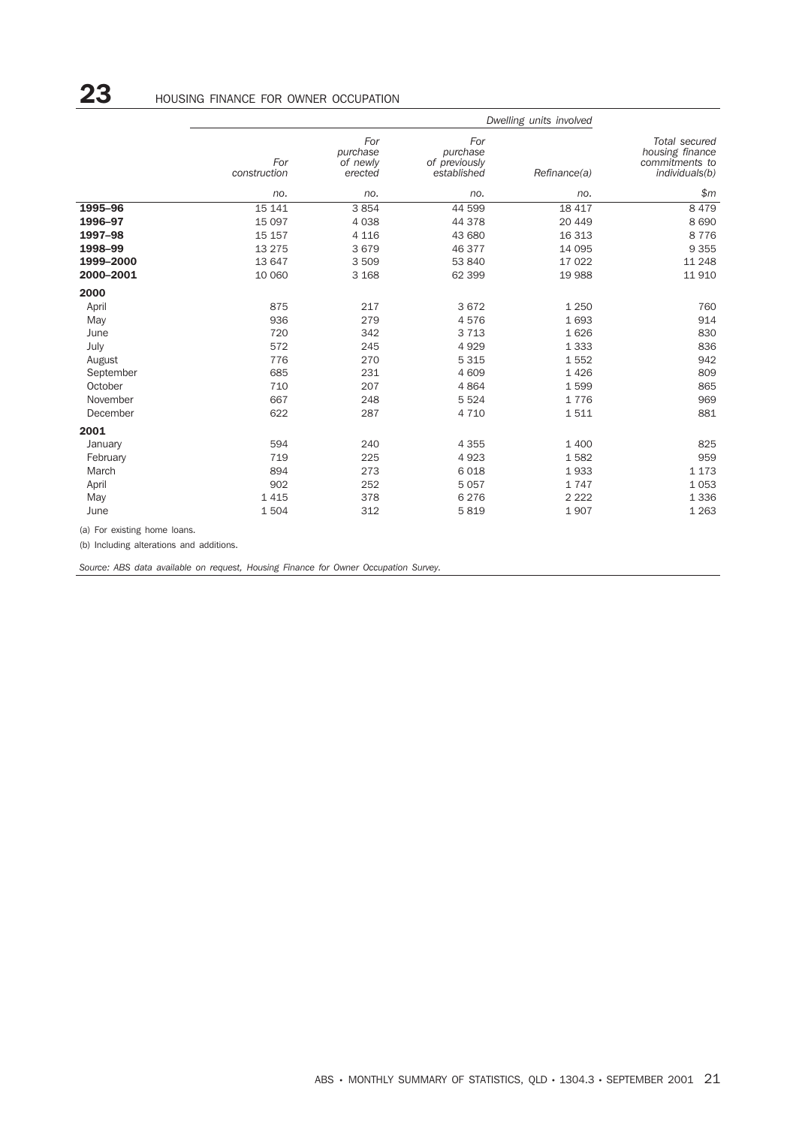|           |                     | Dwelling units involved                |                                                 |              |                                                                      |
|-----------|---------------------|----------------------------------------|-------------------------------------------------|--------------|----------------------------------------------------------------------|
|           | For<br>construction | For<br>purchase<br>of newly<br>erected | For<br>purchase<br>of previously<br>established | Refinance(a) | Total secured<br>housing finance<br>commitments to<br>individuals(b) |
|           | no.                 | no.                                    | no.                                             | no.          | \$m                                                                  |
| 1995-96   | 15 141              | 3854                                   | 44 599                                          | 18 417       | 8 4 7 9                                                              |
| 1996-97   | 15 097              | 4 0 38                                 | 44 378                                          | 20 449       | 8690                                                                 |
| 1997-98   | 15 157              | 4 1 1 6                                | 43 680                                          | 16 313       | 8776                                                                 |
| 1998-99   | 13 275              | 3679                                   | 46 377                                          | 14 095       | 9 3 5 5                                                              |
| 1999-2000 | 13 647              | 3509                                   | 53 840                                          | 17 022       | 11 248                                                               |
| 2000-2001 | 10 060              | 3 1 6 8                                | 62 399                                          | 19 988       | 11910                                                                |
| 2000      |                     |                                        |                                                 |              |                                                                      |
| April     | 875                 | 217                                    | 3672                                            | 1 2 5 0      | 760                                                                  |
| May       | 936                 | 279                                    | 4576                                            | 1693         | 914                                                                  |
| June      | 720                 | 342                                    | 3 7 1 3                                         | 1626         | 830                                                                  |
| July      | 572                 | 245                                    | 4929                                            | 1 3 3 3      | 836                                                                  |
| August    | 776                 | 270                                    | 5 3 1 5                                         | 1552         | 942                                                                  |
| September | 685                 | 231                                    | 4 609                                           | 1426         | 809                                                                  |
| October   | 710                 | 207                                    | 4864                                            | 1599         | 865                                                                  |
| November  | 667                 | 248                                    | 5 5 2 4                                         | 1776         | 969                                                                  |
| December  | 622                 | 287                                    | 4 7 1 0                                         | 1511         | 881                                                                  |
| 2001      |                     |                                        |                                                 |              |                                                                      |
| January   | 594                 | 240                                    | 4 3 5 5                                         | 1 400        | 825                                                                  |
| February  | 719                 | 225                                    | 4923                                            | 1582         | 959                                                                  |
| March     | 894                 | 273                                    | 6018                                            | 1933         | 1 1 7 3                                                              |
| April     | 902                 | 252                                    | 5 0 5 7                                         | 1747         | 1 0 5 3                                                              |
| May       | 1 4 1 5             | 378                                    | 6 2 7 6                                         | 2 2 2 2      | 1 3 3 6                                                              |
| June      | 1504                | 312                                    | 5819                                            | 1907         | 1 2 6 3                                                              |
|           |                     |                                        |                                                 |              |                                                                      |

(a) For existing home loans.

(b) Including alterations and additions.

*Source: ABS data available on request, Housing Finance for Owner Occupation Survey.*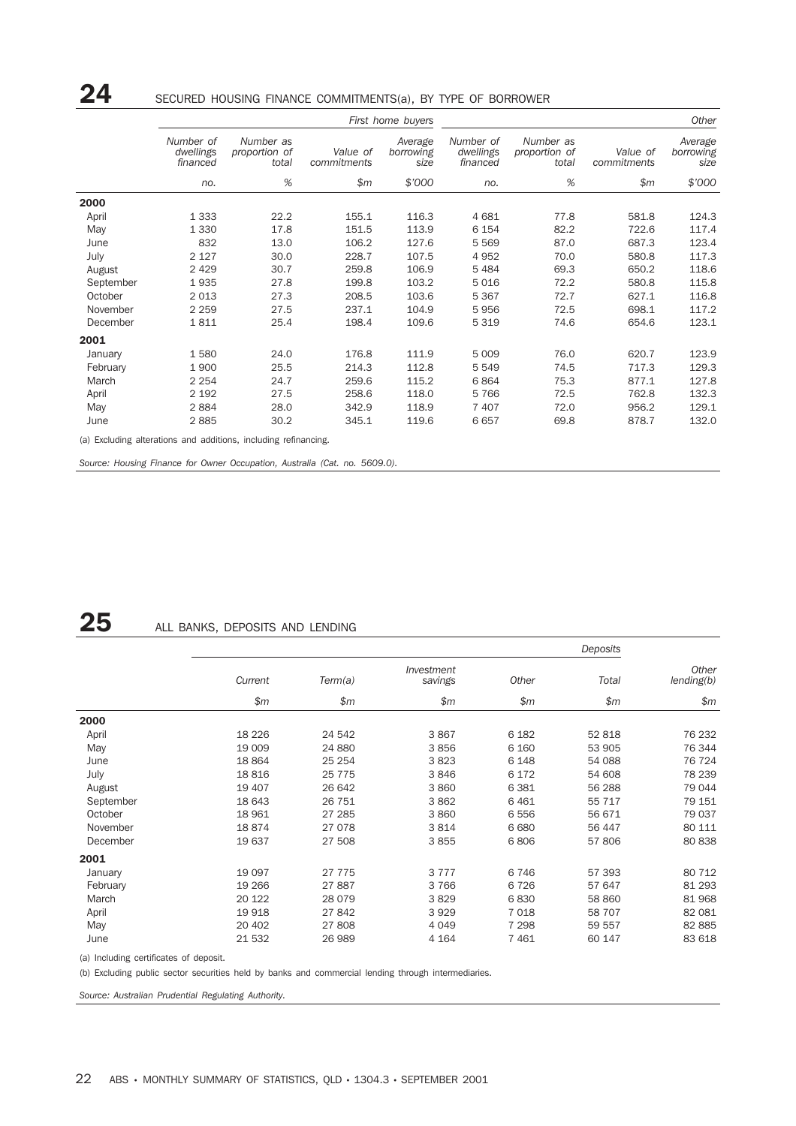## 24 SECURED HOUSING FINANCE COMMITMENTS(a), BY TYPE OF BORROWER

|           |                                    |                                                                 |                         | First home buyers            | Other                              |                                     |                         |                              |
|-----------|------------------------------------|-----------------------------------------------------------------|-------------------------|------------------------------|------------------------------------|-------------------------------------|-------------------------|------------------------------|
|           | Number of<br>dwellings<br>financed | Number as<br>proportion of<br>total                             | Value of<br>commitments | Average<br>borrowing<br>size | Number of<br>dwellings<br>financed | Number as<br>proportion of<br>total | Value of<br>commitments | Average<br>borrowing<br>size |
|           | no.                                | %                                                               | \$m\$                   | \$'000                       | no.                                | %                                   | \$m\$                   | \$'000                       |
| 2000      |                                    |                                                                 |                         |                              |                                    |                                     |                         |                              |
| April     | 1 3 3 3                            | 22.2                                                            | 155.1                   | 116.3                        | 4 6 8 1                            | 77.8                                | 581.8                   | 124.3                        |
| May       | 1 3 3 0                            | 17.8                                                            | 151.5                   | 113.9                        | 6 1 5 4                            | 82.2                                | 722.6                   | 117.4                        |
| June      | 832                                | 13.0                                                            | 106.2                   | 127.6                        | 5 5 6 9                            | 87.0                                | 687.3                   | 123.4                        |
| July      | 2 1 2 7                            | 30.0                                                            | 228.7                   | 107.5                        | 4952                               | 70.0                                | 580.8                   | 117.3                        |
| August    | 2 4 2 9                            | 30.7                                                            | 259.8                   | 106.9                        | 5484                               | 69.3                                | 650.2                   | 118.6                        |
| September | 1935                               | 27.8                                                            | 199.8                   | 103.2                        | 5016                               | 72.2                                | 580.8                   | 115.8                        |
| October   | 2 0 1 3                            | 27.3                                                            | 208.5                   | 103.6                        | 5 3 6 7                            | 72.7                                | 627.1                   | 116.8                        |
| November  | 2 2 5 9                            | 27.5                                                            | 237.1                   | 104.9                        | 5956                               | 72.5                                | 698.1                   | 117.2                        |
| December  | 1811                               | 25.4                                                            | 198.4                   | 109.6                        | 5 3 1 9                            | 74.6                                | 654.6                   | 123.1                        |
| 2001      |                                    |                                                                 |                         |                              |                                    |                                     |                         |                              |
| January   | 1580                               | 24.0                                                            | 176.8                   | 111.9                        | 5 0 0 9                            | 76.0                                | 620.7                   | 123.9                        |
| February  | 1900                               | 25.5                                                            | 214.3                   | 112.8                        | 5 5 4 9                            | 74.5                                | 717.3                   | 129.3                        |
| March     | 2 2 5 4                            | 24.7                                                            | 259.6                   | 115.2                        | 6864                               | 75.3                                | 877.1                   | 127.8                        |
| April     | 2 1 9 2                            | 27.5                                                            | 258.6                   | 118.0                        | 5766                               | 72.5                                | 762.8                   | 132.3                        |
| May       | 2884                               | 28.0                                                            | 342.9                   | 118.9                        | 7 4 0 7                            | 72.0                                | 956.2                   | 129.1                        |
| June      | 2885                               | 30.2                                                            | 345.1                   | 119.6                        | 6657                               | 69.8                                | 878.7                   | 132.0                        |
|           |                                    | (a) Excluding alterations and additions, including refinancing. |                         |                              |                                    |                                     |                         |                              |

*Source: Housing Finance for Owner Occupation, Australia (Cat. no. 5609.0).*

### 25 ALL BANKS, DEPOSITS AND LENDING

|           |         |          |                       |         | Deposits |                     |
|-----------|---------|----------|-----------------------|---------|----------|---------------------|
|           | Current | Term(a)  | Investment<br>savings | Other   | Total    | Other<br>lending(b) |
|           | \$m\$   | \$m\$    | \$m\$                 | \$m\$   | \$m\$    | \$m\$               |
| 2000      |         |          |                       |         |          |                     |
| April     | 18 2 26 | 24 542   | 3867                  | 6 1 8 2 | 52 818   | 76 232              |
| May       | 19 009  | 24 880   | 3856                  | 6 1 6 0 | 53 905   | 76 344              |
| June      | 18 8 64 | 25 254   | 3823                  | 6 1 4 8 | 54 088   | 76 724              |
| July      | 18816   | 25 7 7 5 | 3846                  | 6 1 7 2 | 54 608   | 78 239              |
| August    | 19 407  | 26 642   | 3 8 6 0               | 6 3 8 1 | 56 288   | 79 044              |
| September | 18 643  | 26 751   | 3862                  | 6461    | 55 717   | 79 151              |
| October   | 18 961  | 27 285   | 3860                  | 6 5 5 6 | 56 671   | 79 037              |
| November  | 18874   | 27 078   | 3814                  | 6 6 8 0 | 56 447   | 80 111              |
| December  | 19 637  | 27 508   | 3855                  | 6806    | 57 806   | 80 838              |
| 2001      |         |          |                       |         |          |                     |
| January   | 19 0 97 | 27 7 7 5 | 3 7 7 7               | 6746    | 57 393   | 80 712              |
| February  | 19 26 6 | 27887    | 3766                  | 6726    | 57 647   | 81 293              |
| March     | 20 122  | 28 0 79  | 3829                  | 6830    | 58 860   | 81 968              |
| April     | 19 918  | 27 842   | 3929                  | 7 0 18  | 58 707   | 82 081              |
| May       | 20 402  | 27808    | 4 0 4 9               | 7 2 9 8 | 59 557   | 82 885              |
| June      | 21 532  | 26 989   | 4 1 6 4               | 7461    | 60 147   | 83 618              |

(a) Including certificates of deposit.

(b) Excluding public sector securities held by banks and commercial lending through intermediaries.

*Source: Australian Prudential Regulating Authority.*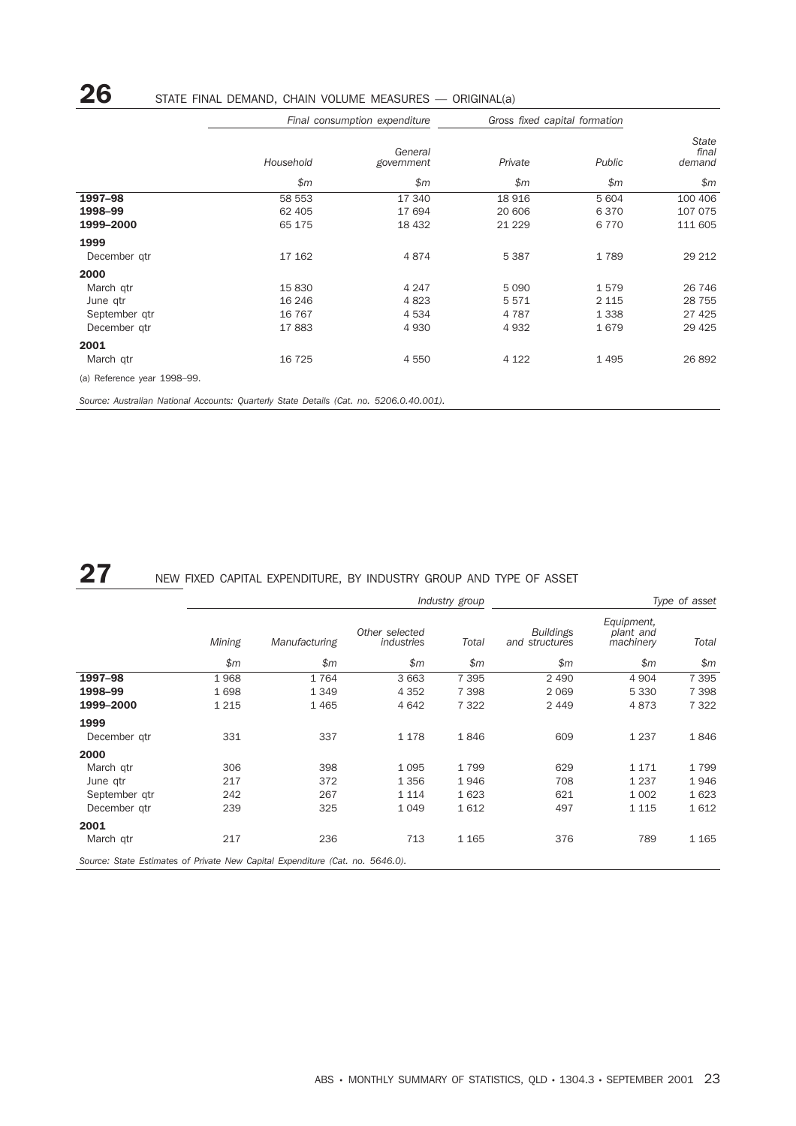# 26 STATE FINAL DEMAND, CHAIN VOLUME MEASURES — ORIGINAL(a)

|                                                                                         |                                       | Final consumption expenditure           | Gross fixed capital formation      |                                    |                                          |  |
|-----------------------------------------------------------------------------------------|---------------------------------------|-----------------------------------------|------------------------------------|------------------------------------|------------------------------------------|--|
|                                                                                         | Household                             | General<br>government                   | Private                            | Public                             | State<br>final<br>demand                 |  |
|                                                                                         | \$m\$                                 | \$m\$                                   | \$m\$                              | \$m\$                              | \$m\$                                    |  |
| 1997-98<br>1998-99<br>1999-2000                                                         | 58 553<br>62 405<br>65 175            | 17 340<br>17 694<br>18 432              | 18 916<br>20 60 6<br>21 2 2 9      | 5 604<br>6370<br>6 7 7 0           | 100 406<br>107 075<br>111 605            |  |
| 1999<br>December gtr                                                                    | 17 162                                | 4874                                    | 5 3 8 7                            | 1789                               | 29 212                                   |  |
| 2000<br>March gtr<br>June qtr<br>September qtr<br>December gtr                          | 15830<br>16 24 6<br>16 7 6 7<br>17883 | 4 2 4 7<br>4 8 23<br>4 5 3 4<br>4 9 3 0 | 5 0 9 0<br>5571<br>4 7 8 7<br>4932 | 1579<br>2 1 1 5<br>1 3 3 8<br>1679 | 26 746<br>28 7 5 5<br>27 4 25<br>29 4 25 |  |
| 2001<br>March qtr<br>(a) Reference year 1998-99.                                        | 16 7 25                               | 4 5 5 0                                 | 4 1 2 2                            | 1 4 9 5                            | 26 892                                   |  |
| Source: Australian National Accounts: Quarterly State Details (Cat. no. 5206.0.40.001). |                                       |                                         |                                    |                                    |                                          |  |

# 27 NEW FIXED CAPITAL EXPENDITURE, BY INDUSTRY GROUP AND TYPE OF ASSET

|                                                                               | Type of asset<br>Industry group |               |                              |         |                                    |                                      |         |  |  |
|-------------------------------------------------------------------------------|---------------------------------|---------------|------------------------------|---------|------------------------------------|--------------------------------------|---------|--|--|
|                                                                               | Mining                          | Manufacturing | Other selected<br>industries | Total   | <b>Buildings</b><br>and structures | Equipment,<br>plant and<br>machinery | Total   |  |  |
|                                                                               | \$m\$                           | \$m\$         | \$m\$                        | \$m\$   | \$m\$                              | \$m                                  | \$m\$   |  |  |
| 1997-98                                                                       | 1968                            | 1764          | 3 6 6 3                      | 7 3 9 5 | 2 4 9 0                            | 4 9 0 4                              | 7 3 9 5 |  |  |
| 1998-99                                                                       | 1698                            | 1 3 4 9       | 4 3 5 2                      | 7 3 9 8 | 2069                               | 5 3 3 0                              | 7 3 9 8 |  |  |
| 1999-2000                                                                     | 1 2 1 5                         | 1465          | 4 6 4 2                      | 7 3 2 2 | 2449                               | 4873                                 | 7 3 2 2 |  |  |
| 1999                                                                          |                                 |               |                              |         |                                    |                                      |         |  |  |
| December qtr                                                                  | 331                             | 337           | 1 1 7 8                      | 1846    | 609                                | 1 2 3 7                              | 1846    |  |  |
| 2000                                                                          |                                 |               |                              |         |                                    |                                      |         |  |  |
| March gtr                                                                     | 306                             | 398           | 1 0 9 5                      | 1799    | 629                                | 1 1 7 1                              | 1799    |  |  |
| June qtr                                                                      | 217                             | 372           | 1 3 5 6                      | 1946    | 708                                | 1 2 3 7                              | 1946    |  |  |
| September gtr                                                                 | 242                             | 267           | 1 1 1 4                      | 1623    | 621                                | 1 0 0 2                              | 1623    |  |  |
| December gtr                                                                  | 239                             | 325           | 1 0 4 9                      | 1612    | 497                                | 1 1 1 5                              | 1612    |  |  |
| 2001                                                                          |                                 |               |                              |         |                                    |                                      |         |  |  |
| March gtr                                                                     | 217                             | 236           | 713                          | 1 1 6 5 | 376                                | 789                                  | 1 1 6 5 |  |  |
| Source: State Estimates of Private New Capital Expenditure (Cat. no. 5646.0). |                                 |               |                              |         |                                    |                                      |         |  |  |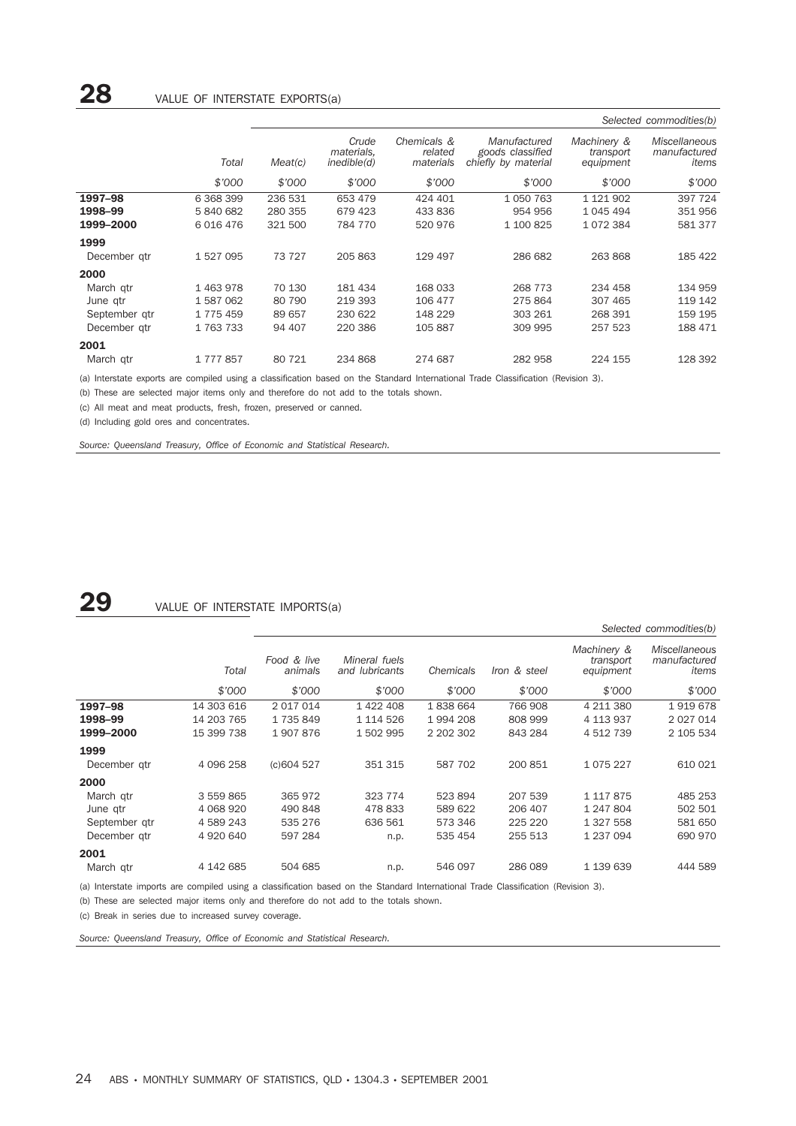|               |           |         |                                    |                                     |                                                         |                                       | Selected commodities(b)                       |
|---------------|-----------|---------|------------------------------------|-------------------------------------|---------------------------------------------------------|---------------------------------------|-----------------------------------------------|
|               | Total     | Meat(c) | Crude<br>materials.<br>inedible(d) | Chemicals &<br>related<br>materials | Manufactured<br>goods classified<br>chiefly by material | Machinery &<br>transport<br>equipment | <b>Miscellaneous</b><br>manufactured<br>items |
|               | \$'000    | \$'000  | \$'000                             | \$7000                              | \$'000                                                  | \$'000                                | \$'000                                        |
| 1997-98       | 6 368 399 | 236 531 | 653 479                            | 424 401                             | 1050763                                                 | 1 121 902                             | 397 724                                       |
| 1998-99       | 5840682   | 280 355 | 679 423                            | 433 836                             | 954 956                                                 | 1 045 494                             | 351 956                                       |
| 1999-2000     | 6 016 476 | 321 500 | 784 770                            | 520 976                             | 1 100 825                                               | 1072384                               | 581 377                                       |
| 1999          |           |         |                                    |                                     |                                                         |                                       |                                               |
| December gtr  | 1 527 095 | 73 727  | 205 863                            | 129 497                             | 286 682                                                 | 263 868                               | 185 422                                       |
| 2000          |           |         |                                    |                                     |                                                         |                                       |                                               |
| March gtr     | 1463978   | 70 130  | 181 434                            | 168 033                             | 268 773                                                 | 234 458                               | 134 959                                       |
| June qtr      | 1587062   | 80 790  | 219 393                            | 106 477                             | 275 864                                                 | 307 465                               | 119 142                                       |
| September gtr | 1775459   | 89 657  | 230 622                            | 148 229                             | 303 261                                                 | 268 391                               | 159 195                                       |
| December gtr  | 1763733   | 94 407  | 220 386                            | 105 887                             | 309 995                                                 | 257 523                               | 188 471                                       |
| 2001          |           |         |                                    |                                     |                                                         |                                       |                                               |
| March gtr     | 1777857   | 80 721  | 234 868                            | 274 687                             | 282 958                                                 | 224 155                               | 128 392                                       |

(a) Interstate exports are compiled using a classification based on the Standard International Trade Classification (Revision 3).

(b) These are selected major items only and therefore do not add to the totals shown.

(c) All meat and meat products, fresh, frozen, preserved or canned.

(d) Including gold ores and concentrates.

*Source: Queensland Treasury, Office of Economic and Statistical Research.*

#### $29$  value of interstate imports(a)

|               |               |                        |                                        |           |              |                                       | Selected commodities(b)                       |
|---------------|---------------|------------------------|----------------------------------------|-----------|--------------|---------------------------------------|-----------------------------------------------|
|               | Total         | Food & live<br>animals | Mineral fuels<br>and <i>lubricants</i> | Chemicals | Iron & steel | Machinery &<br>transport<br>equipment | <b>Miscellaneous</b><br>manufactured<br>items |
|               | \$'000        | \$7000                 | \$'000                                 | \$7000    | \$'000       | \$7000                                | \$'000                                        |
| 1997-98       | 14 303 616    | 2 017 014              | 1 422 408                              | 1838664   | 766 908      | 4 211 380                             | 1919678                                       |
| 1998-99       | 14 203 765    | 1735849                | 1 114 526                              | 1994208   | 808 999      | 4 113 937                             | 2 0 2 7 0 1 4                                 |
| 1999-2000     | 15 399 738    | 1907876                | 1 502 995                              | 2 202 302 | 843 284      | 4 512 739                             | 2 105 534                                     |
| 1999          |               |                        |                                        |           |              |                                       |                                               |
| December gtr  | 4 0 9 6 2 5 8 | (c)604 527             | 351 315                                | 587 702   | 200 851      | 1075227                               | 610 021                                       |
| 2000          |               |                        |                                        |           |              |                                       |                                               |
| March gtr     | 3 559 865     | 365 972                | 323 774                                | 523 894   | 207 539      | 1 117 875                             | 485 253                                       |
| June gtr      | 4 0 68 9 20   | 490 848                | 478 833                                | 589 622   | 206 407      | 1 247 804                             | 502 501                                       |
| September gtr | 4 589 243     | 535 276                | 636 561                                | 573 346   | 225 220      | 1 327 558                             | 581 650                                       |
| December gtr  | 4 920 640     | 597 284                | n.p.                                   | 535 454   | 255 513      | 1 237 094                             | 690 970                                       |
| 2001          |               |                        |                                        |           |              |                                       |                                               |
| March gtr     | 4 142 685     | 504 685                | n.p.                                   | 546 097   | 286 089      | 1 139 639                             | 444 589                                       |

(a) Interstate imports are compiled using a classification based on the Standard International Trade Classification (Revision 3).

(b) These are selected major items only and therefore do not add to the totals shown.

(c) Break in series due to increased survey coverage.

*Source: Queensland Treasury, Office of Economic and Statistical Research.*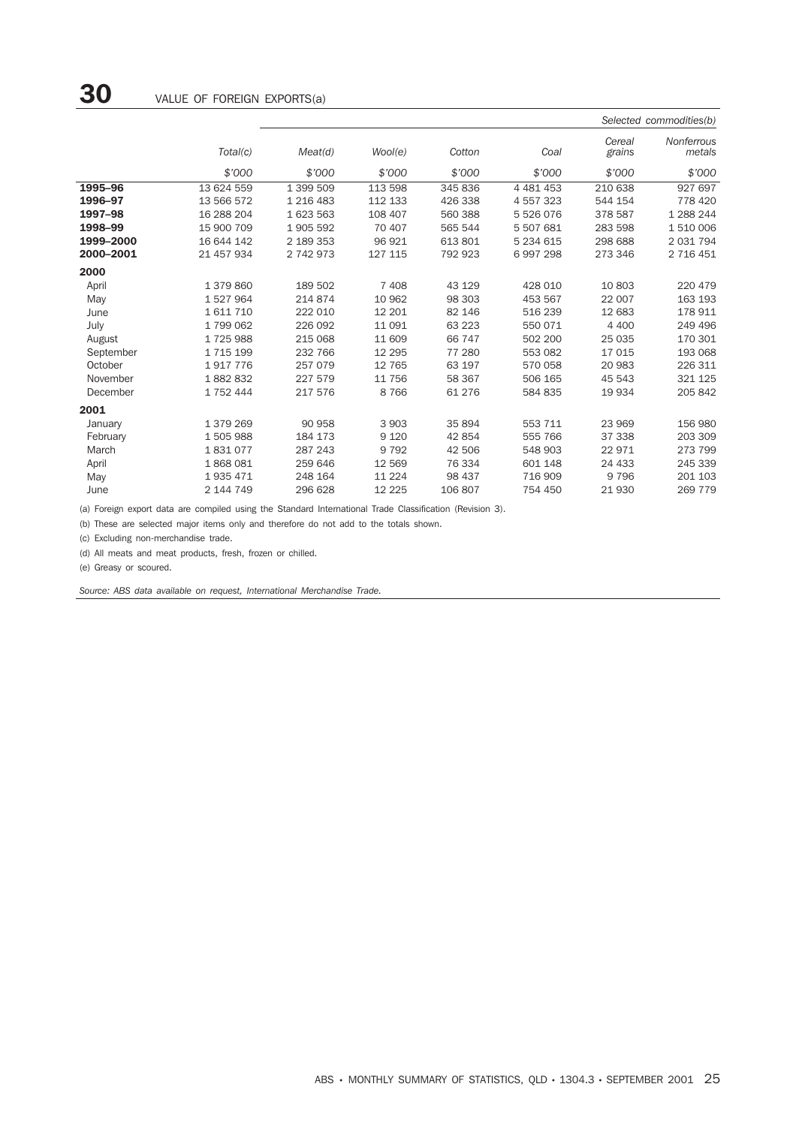|           |               |           |          |         |               |                  | Selected commodities(b)     |
|-----------|---------------|-----------|----------|---------|---------------|------------------|-----------------------------|
|           | Total(c)      | Meat(d)   | Wool(e)  | Cotton  | Coal          | Cereal<br>grains | <b>Nonferrous</b><br>metals |
|           | \$'000        | \$'000    | \$7000   | \$'000  | \$'000        | \$'000           | \$'000                      |
| 1995-96   | 13 624 559    | 1 399 509 | 113 598  | 345 836 | 4 4 8 1 4 5 3 | 210 638          | 927 697                     |
| 1996-97   | 13 566 572    | 1 216 483 | 112 133  | 426 338 | 4 557 323     | 544 154          | 778 420                     |
| 1997-98   | 16 288 204    | 1 623 563 | 108 407  | 560 388 | 5 526 076     | 378 587          | 1 288 244                   |
| 1998-99   | 15 900 709    | 1905 592  | 70 407   | 565 544 | 5 507 681     | 283 598          | 1510006                     |
| 1999-2000 | 16 644 142    | 2 189 353 | 96 921   | 613 801 | 5 234 615     | 298 688          | 2 031 794                   |
| 2000-2001 | 21 457 934    | 2 742 973 | 127 115  | 792 923 | 6997298       | 273 346          | 2 716 451                   |
| 2000      |               |           |          |         |               |                  |                             |
| April     | 1 379 860     | 189 502   | 7 4 0 8  | 43 129  | 428 010       | 10 803           | 220 479                     |
| May       | 1527964       | 214 874   | 10 962   | 98 303  | 453 567       | 22 007           | 163 193                     |
| June      | 1611710       | 222 010   | 12 201   | 82 146  | 516 239       | 12 683           | 178 911                     |
| July      | 1799062       | 226 092   | 11 0 91  | 63 223  | 550 071       | 4 400            | 249 496                     |
| August    | 1725988       | 215 068   | 11 609   | 66 747  | 502 200       | 25 0 35          | 170 301                     |
| September | 1 7 1 5 1 9 9 | 232 766   | 12 2 9 5 | 77 280  | 553 082       | 17 015           | 193 068                     |
| October   | 1917776       | 257 079   | 12 7 65  | 63 197  | 570 058       | 20 983           | 226 311                     |
| November  | 1882832       | 227 579   | 11 756   | 58 367  | 506 165       | 45 543           | 321 125                     |
| December  | 1 752 444     | 217 576   | 8766     | 61 276  | 584 835       | 19 934           | 205 842                     |
| 2001      |               |           |          |         |               |                  |                             |
| January   | 1 379 269     | 90 958    | 3 9 0 3  | 35 894  | 553 711       | 23 969           | 156 980                     |
| February  | 1505988       | 184 173   | 9 1 2 0  | 42 854  | 555 766       | 37 338           | 203 309                     |
| March     | 1831077       | 287 243   | 9 7 9 2  | 42 506  | 548 903       | 22 971           | 273 799                     |
| April     | 1868081       | 259 646   | 12 5 69  | 76 334  | 601 148       | 24 433           | 245 339                     |
| May       | 1935471       | 248 164   | 11 2 2 4 | 98 437  | 716 909       | 9796             | 201 103                     |
| June      | 2 144 749     | 296 628   | 12 2 2 5 | 106 807 | 754 450       | 21 930           | 269 779                     |

(a) Foreign export data are compiled using the Standard International Trade Classification (Revision 3).

(b) These are selected major items only and therefore do not add to the totals shown.

(c) Excluding non-merchandise trade.

(d) All meats and meat products, fresh, frozen or chilled.

(e) Greasy or scoured.

*Source: ABS data available on request, International Merchandise Trade.*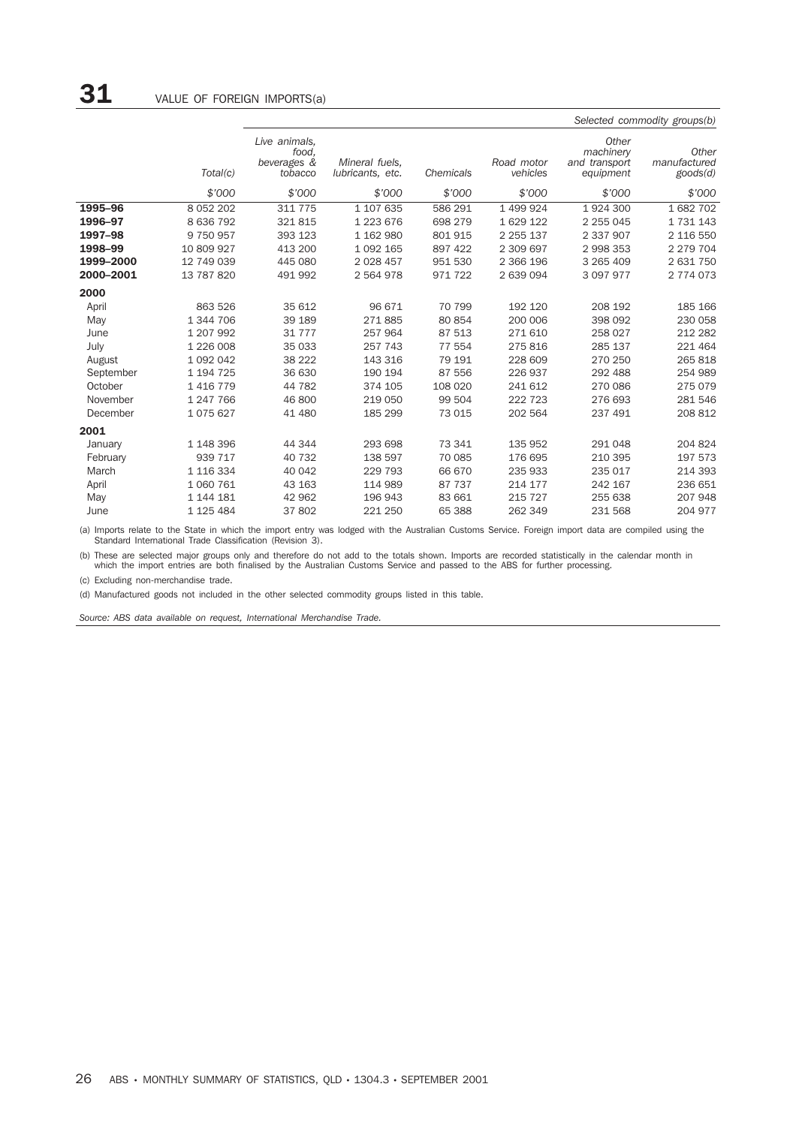|           |               |                                                  |                                    |           |                        |                                                  | Selected commodity groups(b)               |
|-----------|---------------|--------------------------------------------------|------------------------------------|-----------|------------------------|--------------------------------------------------|--------------------------------------------|
|           | Total(c)      | Live animals,<br>food.<br>beverages &<br>tobacco | Mineral fuels,<br>lubricants, etc. | Chemicals | Road motor<br>vehicles | Other<br>machinery<br>and transport<br>equipment | Other<br>manufactured<br>$\text{goods}(d)$ |
|           | \$'000        | \$'000                                           | \$'000                             | \$'000    | \$'000                 | \$'000                                           | \$'000                                     |
| 1995-96   | 8 0 5 2 2 0 2 | 311 775                                          | 1 107 635                          | 586 291   | 1 499 924              | 1924300                                          | 1682702                                    |
| 1996-97   | 8 636 792     | 321815                                           | 1 223 676                          | 698 279   | 1 629 122              | 2 2 5 0 4 5                                      | 1731143                                    |
| 1997-98   | 9 750 957     | 393 123                                          | 1 162 980                          | 801 915   | 2 2 5 1 3 7            | 2 337 907                                        | 2 116 550                                  |
| 1998-99   | 10 809 927    | 413 200                                          | 1 0 9 2 1 6 5                      | 897 422   | 2 309 697              | 2 998 353                                        | 2 2 7 9 7 0 4                              |
| 1999-2000 | 12 749 039    | 445 080                                          | 2 0 28 4 57                        | 951 530   | 2 366 196              | 3 265 409                                        | 2 631 750                                  |
| 2000-2001 | 13 787 820    | 491 992                                          | 2 564 978                          | 971 722   | 2 639 094              | 3 097 977                                        | 2 774 073                                  |
| 2000      |               |                                                  |                                    |           |                        |                                                  |                                            |
| April     | 863 526       | 35 612                                           | 96 671                             | 70 799    | 192 120                | 208 192                                          | 185 166                                    |
| May       | 1 344 706     | 39 189                                           | 271885                             | 80 854    | 200 006                | 398 092                                          | 230 058                                    |
| June      | 1 207 992     | 31 777                                           | 257 964                            | 87 513    | 271 610                | 258 027                                          | 212 282                                    |
| July      | 1 226 008     | 35 033                                           | 257 743                            | 77 554    | 275816                 | 285 137                                          | 221 464                                    |
| August    | 1 0 9 2 0 4 2 | 38 222                                           | 143 316                            | 79 191    | 228 609                | 270 250                                          | 265 818                                    |
| September | 1 194 725     | 36 630                                           | 190 194                            | 87 556    | 226 937                | 292 488                                          | 254 989                                    |
| October   | 1 4 1 6 7 7 9 | 44 782                                           | 374 105                            | 108 020   | 241 612                | 270 086                                          | 275 079                                    |
| November  | 1 247 766     | 46 800                                           | 219 050                            | 99 504    | 222 723                | 276 693                                          | 281 546                                    |
| December  | 1075627       | 41 480                                           | 185 299                            | 73 015    | 202 564                | 237 491                                          | 208 812                                    |
| 2001      |               |                                                  |                                    |           |                        |                                                  |                                            |
| January   | 1 148 396     | 44 344                                           | 293 698                            | 73 341    | 135 952                | 291 048                                          | 204 824                                    |
| February  | 939 717       | 40 732                                           | 138 597                            | 70 085    | 176 695                | 210 395                                          | 197 573                                    |
| March     | 1 116 334     | 40 042                                           | 229 793                            | 66 670    | 235 933                | 235 017                                          | 214 393                                    |
| April     | 1 060 761     | 43 163                                           | 114 989                            | 87 737    | 214 177                | 242 167                                          | 236 651                                    |
| May       | 1 144 181     | 42 962                                           | 196 943                            | 83 661    | 215 727                | 255 638                                          | 207 948                                    |
| June      | 1 125 484     | 37802                                            | 221 250                            | 65 388    | 262 349                | 231 568                                          | 204 977                                    |

(a) Imports relate to the State in which the import entry was lodged with the Australian Customs Service. Foreign import data are compiled using the Standard International Trade Classification (Revision 3).

(b) These are selected major groups only and therefore do not add to the totals shown. Imports are recorded statistically in the calendar month in<br>which the import entries are both finalised by the Australian Customs Servi

(c) Excluding non-merchandise trade.

(d) Manufactured goods not included in the other selected commodity groups listed in this table.

*Source: ABS data available on request, International Merchandise Trade.*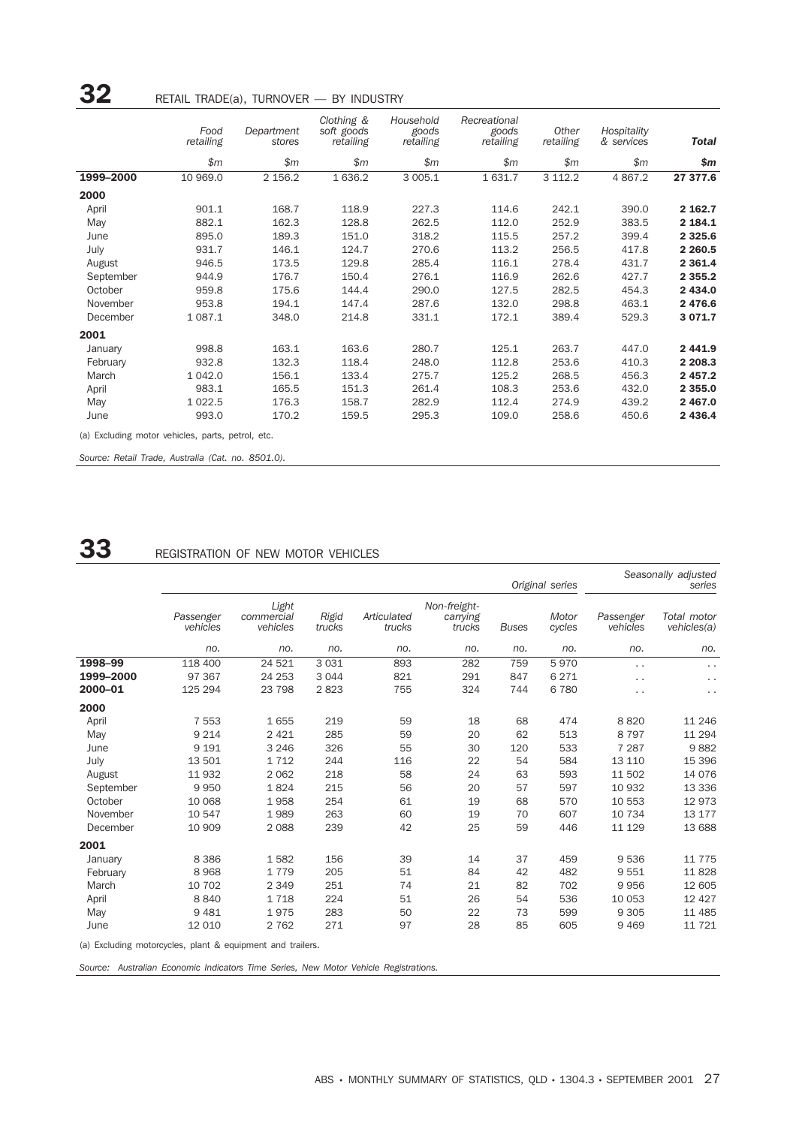|           | Food<br>retailing | Department<br>stores | Clothing &<br>soft goods<br>retailing | Household<br>goods<br>retailing | Recreational<br>goods<br>retailing | Other<br>retailing | Hospitality<br>& services | <b>Total</b> |
|-----------|-------------------|----------------------|---------------------------------------|---------------------------------|------------------------------------|--------------------|---------------------------|--------------|
|           | \$m\$             | \$m\$                | \$m\$                                 | \$m\$                           | \$m\$                              | \$m\$              | \$m\$                     | \$m          |
| 1999-2000 | 10 969.0          | 2 156.2              | 1 636.2                               | 3 005.1                         | 1 631.7                            | 3 112.2            | 4 8 67.2                  | 27 377.6     |
| 2000      |                   |                      |                                       |                                 |                                    |                    |                           |              |
| April     | 901.1             | 168.7                | 118.9                                 | 227.3                           | 114.6                              | 242.1              | 390.0                     | 2 162.7      |
| May       | 882.1             | 162.3                | 128.8                                 | 262.5                           | 112.0                              | 252.9              | 383.5                     | 2 184.1      |
| June      | 895.0             | 189.3                | 151.0                                 | 318.2                           | 115.5                              | 257.2              | 399.4                     | 2 3 2 5.6    |
| July      | 931.7             | 146.1                | 124.7                                 | 270.6                           | 113.2                              | 256.5              | 417.8                     | 2 2 6 0.5    |
| August    | 946.5             | 173.5                | 129.8                                 | 285.4                           | 116.1                              | 278.4              | 431.7                     | 2 3 6 1.4    |
| September | 944.9             | 176.7                | 150.4                                 | 276.1                           | 116.9                              | 262.6              | 427.7                     | 2 3 5 5.2    |
| October   | 959.8             | 175.6                | 144.4                                 | 290.0                           | 127.5                              | 282.5              | 454.3                     | 2 434.0      |
| November  | 953.8             | 194.1                | 147.4                                 | 287.6                           | 132.0                              | 298.8              | 463.1                     | 2 476.6      |
| December  | 1 0 8 7 . 1       | 348.0                | 214.8                                 | 331.1                           | 172.1                              | 389.4              | 529.3                     | 3 0 7 1.7    |
| 2001      |                   |                      |                                       |                                 |                                    |                    |                           |              |
| January   | 998.8             | 163.1                | 163.6                                 | 280.7                           | 125.1                              | 263.7              | 447.0                     | 2 4 4 1.9    |
| February  | 932.8             | 132.3                | 118.4                                 | 248.0                           | 112.8                              | 253.6              | 410.3                     | 2 2 0 8 . 3  |
| March     | 1 0 4 2.0         | 156.1                | 133.4                                 | 275.7                           | 125.2                              | 268.5              | 456.3                     | 2 457.2      |
| April     | 983.1             | 165.5                | 151.3                                 | 261.4                           | 108.3                              | 253.6              | 432.0                     | 2 3 5 5 .0   |
| May       | 1 0 2 2.5         | 176.3                | 158.7                                 | 282.9                           | 112.4                              | 274.9              | 439.2                     | 2 467.0      |
| June      | 993.0             | 170.2                | 159.5                                 | 295.3                           | 109.0                              | 258.6              | 450.6                     | 2 4 3 6.4    |

*Source: Retail Trade, Australia (Cat. no. 8501.0).*

## **33** REGISTRATION OF NEW MOTOR VEHICLES

|                                                            | Original series       |                                 |                 |                       |                                    |              |                 |                       | Seasonally adjusted<br>series |
|------------------------------------------------------------|-----------------------|---------------------------------|-----------------|-----------------------|------------------------------------|--------------|-----------------|-----------------------|-------------------------------|
|                                                            | Passenger<br>vehicles | Light<br>commercial<br>vehicles | Rigid<br>trucks | Articulated<br>trucks | Non-freight-<br>carrying<br>trucks | <b>Buses</b> | Motor<br>cycles | Passenger<br>vehicles | Total motor<br>vehicles(a)    |
|                                                            | no.                   | no.                             | no.             | no.                   | no.                                | no.          | no.             | no.                   | no.                           |
| 1998-99                                                    | 118 400               | 24 5 21                         | 3 0 3 1         | 893                   | 282                                | 759          | 5970            | . .                   | $\ddot{\phantom{0}}$          |
| 1999-2000                                                  | 97 367                | 24 253                          | 3 0 4 4         | 821                   | 291                                | 847          | 6 2 7 1         | $\cdot$ .             | $\ddot{\phantom{0}}$          |
| 2000-01                                                    | 125 294               | 23 798                          | 2823            | 755                   | 324                                | 744          | 6780            | $\cdot$ .             | .,                            |
| 2000                                                       |                       |                                 |                 |                       |                                    |              |                 |                       |                               |
| April                                                      | 7 5 5 3               | 1655                            | 219             | 59                    | 18                                 | 68           | 474             | 8820                  | 11 246                        |
| May                                                        | 9 2 1 4               | 2 4 2 1                         | 285             | 59                    | 20                                 | 62           | 513             | 8 7 9 7               | 11 294                        |
| June                                                       | 9 1 9 1               | 3 2 4 6                         | 326             | 55                    | 30                                 | 120          | 533             | 7 2 8 7               | 9882                          |
| July                                                       | 13 501                | 1712                            | 244             | 116                   | 22                                 | 54           | 584             | 13 110                | 15 396                        |
| August                                                     | 11 932                | 2 0 6 2                         | 218             | 58                    | 24                                 | 63           | 593             | 11 502                | 14 0 76                       |
| September                                                  | 9950                  | 1824                            | 215             | 56                    | 20                                 | 57           | 597             | 10 932                | 13 3 3 6                      |
| October                                                    | 10 068                | 1958                            | 254             | 61                    | 19                                 | 68           | 570             | 10 553                | 12973                         |
| November                                                   | 10 547                | 1989                            | 263             | 60                    | 19                                 | 70           | 607             | 10 734                | 13 177                        |
| December                                                   | 10 909                | 2 0 8 8                         | 239             | 42                    | 25                                 | 59           | 446             | 11 129                | 13 688                        |
| 2001                                                       |                       |                                 |                 |                       |                                    |              |                 |                       |                               |
| January                                                    | 8 3 8 6               | 1582                            | 156             | 39                    | 14                                 | 37           | 459             | 9536                  | 11 7 7 5                      |
| February                                                   | 8968                  | 1779                            | 205             | 51                    | 84                                 | 42           | 482             | 9551                  | 11828                         |
| March                                                      | 10 702                | 2 3 4 9                         | 251             | 74                    | 21                                 | 82           | 702             | 9956                  | 12 605                        |
| April                                                      | 8840                  | 1718                            | 224             | 51                    | 26                                 | 54           | 536             | 10 053                | 12 4 27                       |
| May                                                        | 9 4 8 1               | 1975                            | 283             | 50                    | 22                                 | 73           | 599             | 9 3 0 5               | 11 485                        |
| June                                                       | 12 010                | 2 7 6 2                         | 271             | 97                    | 28                                 | 85           | 605             | 9 4 6 9               | 11 721                        |
| (a) Excluding motorcycles, plant & equipment and trailers. |                       |                                 |                 |                       |                                    |              |                 |                       |                               |

*Source: Australian Economic Indicators Time Series, New Motor Vehicle Registrations.*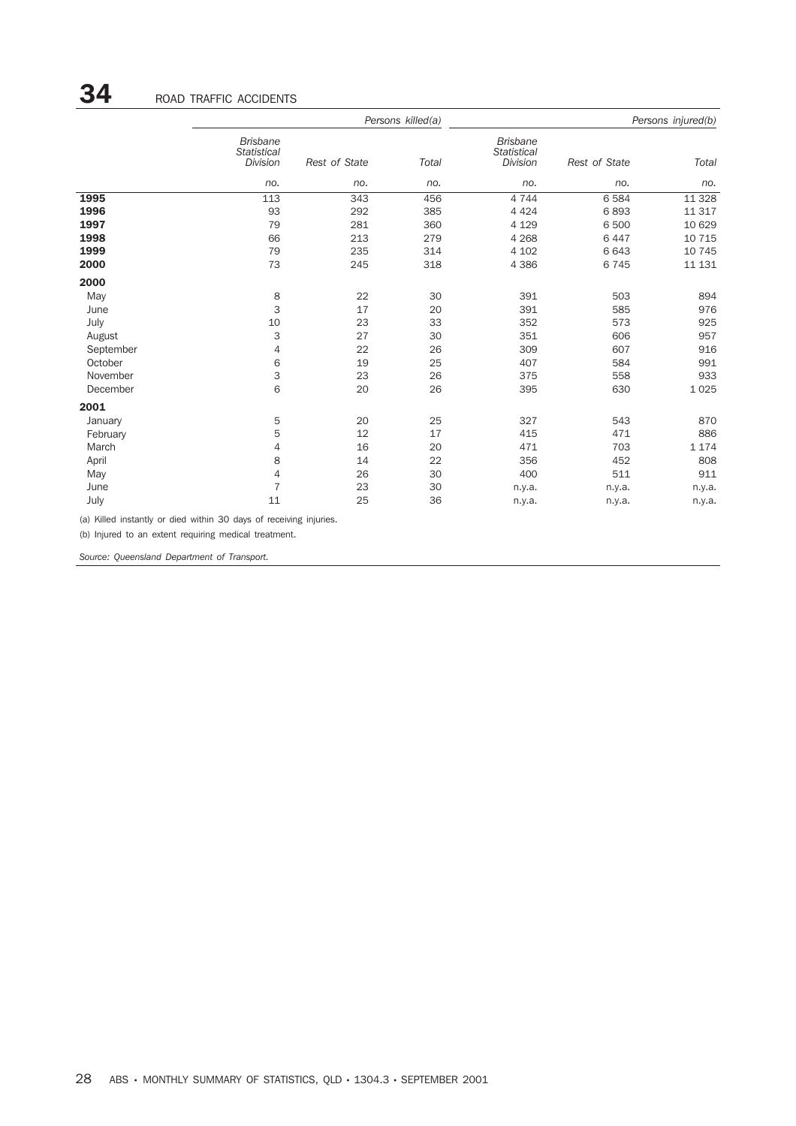|           |                                                   |               | Persons killed(a) |                                                   |               | Persons injured(b) |
|-----------|---------------------------------------------------|---------------|-------------------|---------------------------------------------------|---------------|--------------------|
|           | <b>Brisbane</b><br><b>Statistical</b><br>Division | Rest of State | Total             | <b>Brisbane</b><br><b>Statistical</b><br>Division | Rest of State | Total              |
|           | no.                                               | no.           | no.               | no.                                               | no.           | no.                |
| 1995      | 113                                               | 343           | 456               | 4 7 4 4                                           | 6 5 8 4       | 11 3 28            |
| 1996      | 93                                                | 292           | 385               | 4 4 2 4                                           | 6893          | 11 317             |
| 1997      | 79                                                | 281           | 360               | 4 1 2 9                                           | 6 500         | 10 629             |
| 1998      | 66                                                | 213           | 279               | 4 2 6 8                                           | 6 4 4 7       | 10 7 15            |
| 1999      | 79                                                | 235           | 314               | 4 1 0 2                                           | 6 6 4 3       | 10 745             |
| 2000      | 73                                                | 245           | 318               | 4 3 8 6                                           | 6745          | 11 131             |
| 2000      |                                                   |               |                   |                                                   |               |                    |
| May       | 8                                                 | 22            | 30                | 391                                               | 503           | 894                |
| June      | 3                                                 | 17            | 20                | 391                                               | 585           | 976                |
| July      | 10                                                | 23            | 33                | 352                                               | 573           | 925                |
| August    | 3                                                 | 27            | 30                | 351                                               | 606           | 957                |
| September | 4                                                 | 22            | 26                | 309                                               | 607           | 916                |
| October   | 6                                                 | 19            | 25                | 407                                               | 584           | 991                |
| November  | 3                                                 | 23            | 26                | 375                                               | 558           | 933                |
| December  | 6                                                 | 20            | 26                | 395                                               | 630           | 1 0 2 5            |
| 2001      |                                                   |               |                   |                                                   |               |                    |
| January   | 5                                                 | 20            | 25                | 327                                               | 543           | 870                |
| February  | 5                                                 | 12            | 17                | 415                                               | 471           | 886                |
| March     | 4                                                 | 16            | 20                | 471                                               | 703           | 1 1 7 4            |
| April     | 8                                                 | 14            | 22                | 356                                               | 452           | 808                |
| May       | $\overline{4}$                                    | 26            | 30                | 400                                               | 511           | 911                |
| June      | $\overline{7}$                                    | 23            | 30                | n.y.a.                                            | n.y.a.        | n.y.a.             |
| July      | 11                                                | 25            | 36                | n.y.a.                                            | n.y.a.        | n.y.a.             |

(a) Killed instantly or died within 30 days of receiving injuries.

(b) Injured to an extent requiring medical treatment.

*Source: Queensland Department of Transport.*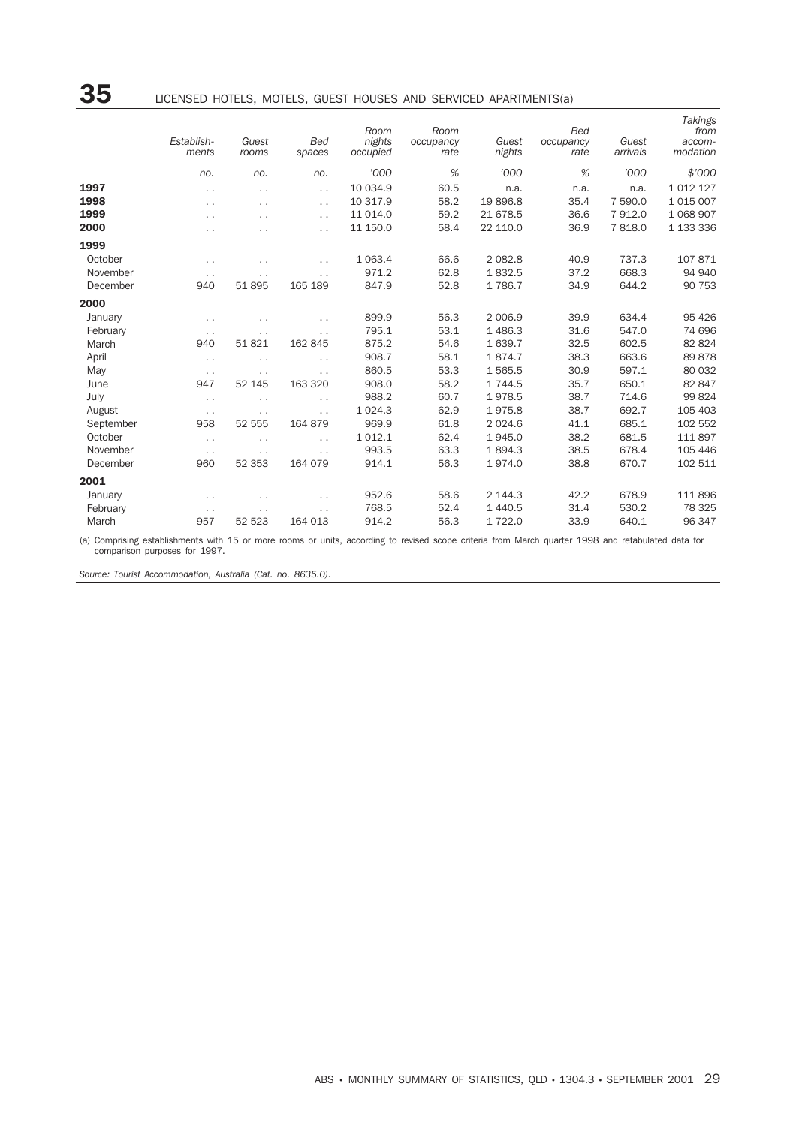|           | Establish-<br>ments  | Guest<br>rooms       | <b>Bed</b><br>spaces | Room<br>nights<br>occupied | Room<br>occupancy<br>rate | Guest<br>nights | <b>Bed</b><br>occupancy<br>rate | Guest<br>arrivals | <b>Takings</b><br>from<br>accom-<br>modation |
|-----------|----------------------|----------------------|----------------------|----------------------------|---------------------------|-----------------|---------------------------------|-------------------|----------------------------------------------|
|           | no.                  | no.                  | no.                  | '000                       | %                         | '000            | %                               | '000              | \$'000                                       |
| 1997      | $\ddotsc$            | $\cdot$ $\cdot$      | $\ddot{\phantom{0}}$ | 10 034.9                   | 60.5                      | n.a.            | n.a.                            | n.a.              | 1 0 1 2 1 2 7                                |
| 1998      | $\ddot{\phantom{0}}$ | $\ddot{\phantom{0}}$ | $\cdot$ .            | 10 317.9                   | 58.2                      | 19896.8         | 35.4                            | 7 590.0           | 1 0 1 5 0 0 7                                |
| 1999      | $\ddot{\phantom{0}}$ | $\cdot$ .            | $\ddot{\phantom{0}}$ | 11 014.0                   | 59.2                      | 21 678.5        | 36.6                            | 7912.0            | 1 068 907                                    |
| 2000      | $\ddot{\phantom{0}}$ | $\ddot{\phantom{0}}$ | $\ddot{\phantom{0}}$ | 11 150.0                   | 58.4                      | 22 110.0        | 36.9                            | 7818.0            | 1 133 336                                    |
| 1999      |                      |                      |                      |                            |                           |                 |                                 |                   |                                              |
| October   | $\sim$ $\sim$        | $\cdot$ .            | $\cdot$ .            | 1 0 6 3.4                  | 66.6                      | 2 0 8 2.8       | 40.9                            | 737.3             | 107871                                       |
| November  | $\ddot{\phantom{0}}$ | $\cdot$ .            | $\cdot$ .            | 971.2                      | 62.8                      | 1832.5          | 37.2                            | 668.3             | 94 940                                       |
| December  | 940                  | 51895                | 165 189              | 847.9                      | 52.8                      | 1786.7          | 34.9                            | 644.2             | 90 753                                       |
| 2000      |                      |                      |                      |                            |                           |                 |                                 |                   |                                              |
| January   | $\ddot{\phantom{0}}$ | $\ddot{\phantom{0}}$ | $\cdot$ .            | 899.9                      | 56.3                      | 2 0 0 6.9       | 39.9                            | 634.4             | 95 4 26                                      |
| February  | $\ddot{\phantom{0}}$ | $\ddot{\phantom{0}}$ | $\cdot$ .            | 795.1                      | 53.1                      | 1486.3          | 31.6                            | 547.0             | 74 696                                       |
| March     | 940                  | 51821                | 162 845              | 875.2                      | 54.6                      | 1 639.7         | 32.5                            | 602.5             | 82 824                                       |
| April     | $\sim$ $\sim$        | $\cdot$ .            | $\ddot{\phantom{0}}$ | 908.7                      | 58.1                      | 1874.7          | 38.3                            | 663.6             | 89878                                        |
| May       | $\ddotsc$            | $\cdot$ .            | $\cdot$ .            | 860.5                      | 53.3                      | 1565.5          | 30.9                            | 597.1             | 80 032                                       |
| June      | 947                  | 52 145               | 163 320              | 908.0                      | 58.2                      | 1 744.5         | 35.7                            | 650.1             | 82 847                                       |
| July      | $\ddotsc$            | $\ddot{\phantom{0}}$ | $\ddot{\phantom{0}}$ | 988.2                      | 60.7                      | 1978.5          | 38.7                            | 714.6             | 99824                                        |
| August    | $\ddotsc$            | $\ddot{\phantom{0}}$ | $\ddot{\phantom{0}}$ | 1 0 2 4 . 3                | 62.9                      | 1975.8          | 38.7                            | 692.7             | 105 403                                      |
| September | 958                  | 52 555               | 164 879              | 969.9                      | 61.8                      | 2 0 2 4 .6      | 41.1                            | 685.1             | 102 552                                      |
| October   | $\ddot{\phantom{0}}$ | $\cdot$ .            | $\ddot{\phantom{0}}$ | 1 0 1 2.1                  | 62.4                      | 1945.0          | 38.2                            | 681.5             | 111 897                                      |
| November  | $\sim$ $\sim$        | $\cdot$ .            | $\cdot$ .            | 993.5                      | 63.3                      | 1894.3          | 38.5                            | 678.4             | 105 446                                      |
| December  | 960                  | 52 353               | 164 079              | 914.1                      | 56.3                      | 1974.0          | 38.8                            | 670.7             | 102 511                                      |
| 2001      |                      |                      |                      |                            |                           |                 |                                 |                   |                                              |
| January   | $\ddot{\phantom{0}}$ | $\cdot$ .            | $\cdot$ .            | 952.6                      | 58.6                      | 2 144.3         | 42.2                            | 678.9             | 111 896                                      |
| February  | $\ddot{\phantom{0}}$ | . .                  | $\cdot$ .            | 768.5                      | 52.4                      | 1 4 4 0.5       | 31.4                            | 530.2             | 78 325                                       |
| March     | 957                  | 52 523               | 164 013              | 914.2                      | 56.3                      | 1722.0          | 33.9                            | 640.1             | 96 347                                       |

(a) Comprising establishments with 15 or more rooms or units, according to revised scope criteria from March quarter 1998 and retabulated data for comparison purposes for 1997.

*Source: Tourist Accommodation, Australia (Cat. no. 8635.0).*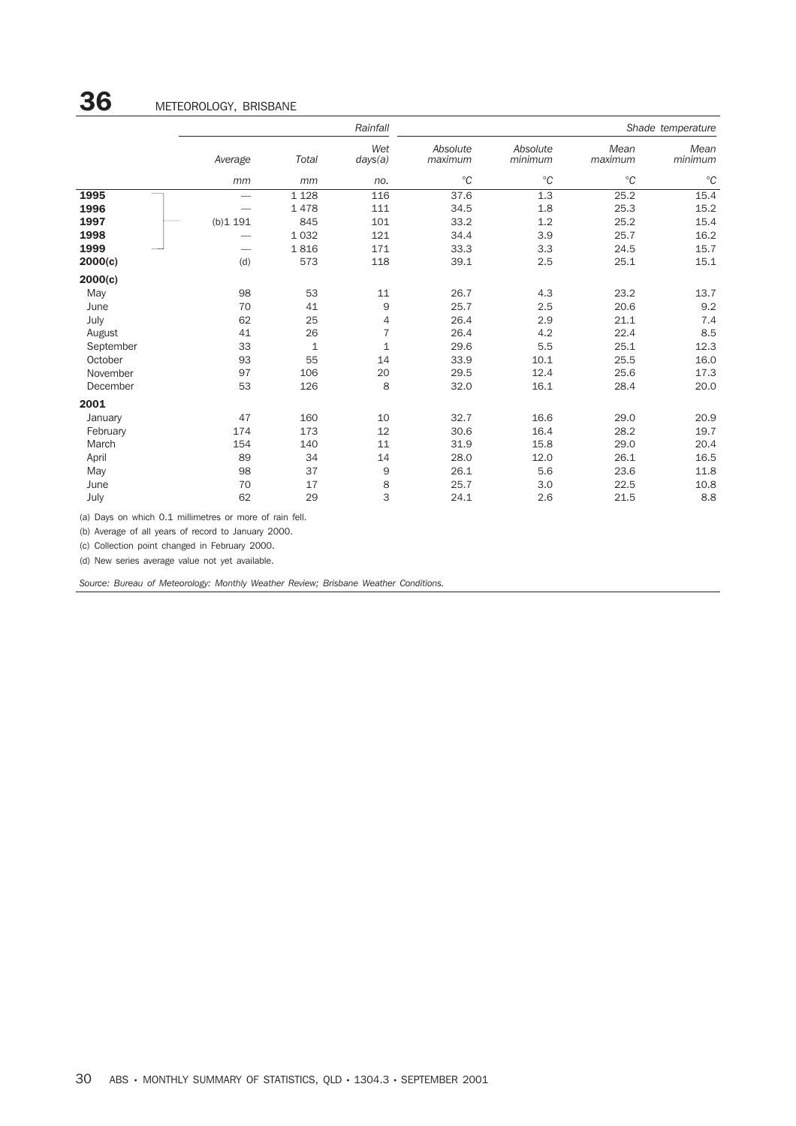|           |         |         | Rainfall       | Shade temperature   |                     |                 |                 |  |
|-----------|---------|---------|----------------|---------------------|---------------------|-----------------|-----------------|--|
|           | Average | Total   | Wet<br>days(a) | Absolute<br>maximum | Absolute<br>minimum | Mean<br>maximum | Mean<br>minimum |  |
|           | mm      | mm      | no.            | $^{\circ}C$         | $^{\circ}C$         | $^{\circ}C$     | $^{\circ}C$     |  |
| 1995      |         | 1 1 2 8 | 116            | 37.6                | 1.3                 | 25.2            | 15.4            |  |
| 1996      |         | 1478    | 111            | 34.5                | 1.8                 | 25.3            | 15.2            |  |
| 1997      | (b)1191 | 845     | 101            | 33.2                | 1.2                 | 25.2            | 15.4            |  |
| 1998      |         | 1 0 3 2 | 121            | 34.4                | 3.9                 | 25.7            | 16.2            |  |
| 1999      |         | 1816    | 171            | 33.3                | 3.3                 | 24.5            | 15.7            |  |
| 2000(c)   | (d)     | 573     | 118            | 39.1                | 2.5                 | 25.1            | 15.1            |  |
| 2000(c)   |         |         |                |                     |                     |                 |                 |  |
| May       | 98      | 53      | 11             | 26.7                | 4.3                 | 23.2            | 13.7            |  |
| June      | 70      | 41      | 9              | 25.7                | 2.5                 | 20.6            | 9.2             |  |
| July      | 62      | 25      | $\overline{4}$ | 26.4                | 2.9                 | 21.1            | 7.4             |  |
| August    | 41      | 26      | $\overline{7}$ | 26.4                | 4.2                 | 22.4            | 8.5             |  |
| September | 33      | 1       | $\mathbf{1}$   | 29.6                | 5.5                 | 25.1            | 12.3            |  |
| October   | 93      | 55      | 14             | 33.9                | 10.1                | 25.5            | 16.0            |  |
| November  | 97      | 106     | 20             | 29.5                | 12.4                | 25.6            | 17.3            |  |
| December  | 53      | 126     | 8              | 32.0                | 16.1                | 28.4            | 20.0            |  |
| 2001      |         |         |                |                     |                     |                 |                 |  |
| January   | 47      | 160     | 10             | 32.7                | 16.6                | 29.0            | 20.9            |  |
| February  | 174     | 173     | 12             | 30.6                | 16.4                | 28.2            | 19.7            |  |
| March     | 154     | 140     | 11             | 31.9                | 15.8                | 29.0            | 20.4            |  |
| April     | 89      | 34      | 14             | 28.0                | 12.0                | 26.1            | 16.5            |  |
| May       | 98      | 37      | 9              | 26.1                | 5.6                 | 23.6            | 11.8            |  |
| June      | 70      | 17      | 8              | 25.7                | 3.0                 | 22.5            | 10.8            |  |
| July      | 62      | 29      | 3              | 24.1                | 2.6                 | 21.5            | 8.8             |  |

(a) Days on which 0.1 millimetres or more of rain fell.

(b) Average of all years of record to January 2000.

(c) Collection point changed in February 2000.

(d) New series average value not yet available.

*Source: Bureau of Meteorology: Monthly Weather Review; Brisbane Weather Conditions.*